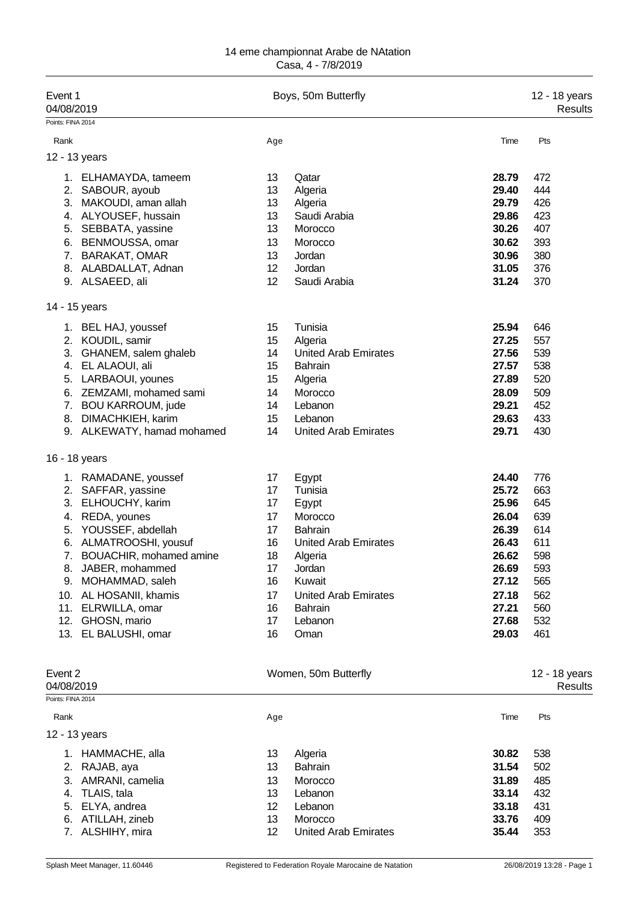| Event 1<br>04/08/2019                             | Boys, 50m Butterfly | 12 - 18 years<br><b>Results</b> |                |                                 |
|---------------------------------------------------|---------------------|---------------------------------|----------------|---------------------------------|
| Points: FINA 2014<br>Rank                         | Age                 |                                 | Time           | Pts                             |
|                                                   |                     |                                 |                |                                 |
| 12 - 13 years                                     |                     |                                 |                |                                 |
| 1. ELHAMAYDA, tameem                              | 13                  | Qatar                           | 28.79          | 472                             |
| 2.<br>SABOUR, ayoub                               | 13                  | Algeria                         | 29.40          | 444                             |
| MAKOUDI, aman allah<br>3.<br>4. ALYOUSEF, hussain | 13<br>13            | Algeria<br>Saudi Arabia         | 29.79<br>29.86 | 426<br>423                      |
| SEBBATA, yassine<br>5.                            | 13                  | Morocco                         | 30.26          | 407                             |
| BENMOUSSA, omar<br>6.                             | 13                  | Morocco                         | 30.62          | 393                             |
| <b>BARAKAT, OMAR</b><br>7.                        | 13                  | Jordan                          | 30.96          | 380                             |
| 8. ALABDALLAT, Adnan                              | 12                  | Jordan                          | 31.05          | 376                             |
| 9. ALSAEED, ali                                   | 12                  | Saudi Arabia                    | 31.24          | 370                             |
| 14 - 15 years                                     |                     |                                 |                |                                 |
| 1. BEL HAJ, youssef                               | 15                  | Tunisia                         | 25.94          | 646                             |
| 2. KOUDIL, samir                                  | 15                  | Algeria                         | 27.25          | 557                             |
| 3. GHANEM, salem ghaleb                           | 14                  | <b>United Arab Emirates</b>     | 27.56          | 539                             |
| 4. EL ALAOUI, ali                                 | 15                  | <b>Bahrain</b>                  | 27.57          | 538                             |
| 5. LARBAOUI, younes                               | 15                  | Algeria                         | 27.89          | 520                             |
| ZEMZAMI, mohamed sami<br>6.                       | 14                  | Morocco                         | 28.09          | 509                             |
| 7. BOU KARROUM, jude                              | 14                  | Lebanon                         | 29.21          | 452                             |
| DIMACHKIEH, karim<br>8.                           | 15                  | Lebanon                         | 29.63          | 433                             |
| 9. ALKEWATY, hamad mohamed                        | 14                  | <b>United Arab Emirates</b>     | 29.71          | 430                             |
| 16 - 18 years                                     |                     |                                 |                |                                 |
| 1. RAMADANE, youssef                              | 17                  | Egypt                           | 24.40          | 776                             |
| 2. SAFFAR, yassine                                | 17                  | Tunisia                         | 25.72          | 663                             |
| ELHOUCHY, karim<br>3.                             | 17                  | Egypt                           | 25.96          | 645                             |
| REDA, younes<br>4.                                | 17                  | Morocco                         | 26.04          | 639                             |
| YOUSSEF, abdellah<br>5.                           | 17                  | <b>Bahrain</b>                  | 26.39          | 614                             |
| ALMATROOSHI, yousuf<br>6.                         | 16                  | <b>United Arab Emirates</b>     | 26.43          | 611                             |
| 7.<br>BOUACHIR, mohamed amine                     | 18                  | Algeria                         | 26.62          | 598                             |
| 8. JABER, mohammed                                | 17                  | Jordan                          | 26.69          | 593                             |
| 9. MOHAMMAD, saleh                                | 16                  | Kuwait                          | 27.12          | 565                             |
| AL HOSANII, khamis<br>10.                         | 17                  | <b>United Arab Emirates</b>     | 27.18          | 562                             |
| ELRWILLA, omar<br>11.<br>12.<br>GHOSN, mario      | 16                  | Bahrain                         | 27.21<br>27.68 | 560<br>532                      |
| 13. EL BALUSHI, omar                              | 17<br>16            | Lebanon<br>Oman                 | 29.03          | 461                             |
| Event 2<br>04/08/2019                             |                     | Women, 50m Butterfly            |                | 12 - 18 years<br><b>Results</b> |
| Points: FINA 2014                                 |                     |                                 |                |                                 |
| Rank                                              | Age                 |                                 | Time           | Pts                             |
| 12 - 13 years                                     |                     |                                 |                |                                 |
| 1. HAMMACHE, alla                                 | 13                  | Algeria                         | 30.82          | 538                             |
| 2. RAJAB, aya                                     | 13                  | <b>Bahrain</b>                  | 31.54          | 502                             |
| 3.<br>AMRANI, camelia                             | 13                  | Morocco                         | 31.89          | 485                             |
| TLAIS, tala<br>4.                                 | 13                  | Lebanon                         | 33.14          | 432                             |
| ELYA, andrea<br>5.                                | 12                  | Lebanon                         | 33.18          | 431                             |
| 6.<br>ATILLAH, zineb                              | 13                  | Morocco                         | 33.76          | 409                             |
| 7. ALSHIHY, mira                                  | 12                  | <b>United Arab Emirates</b>     | 35.44          | 353                             |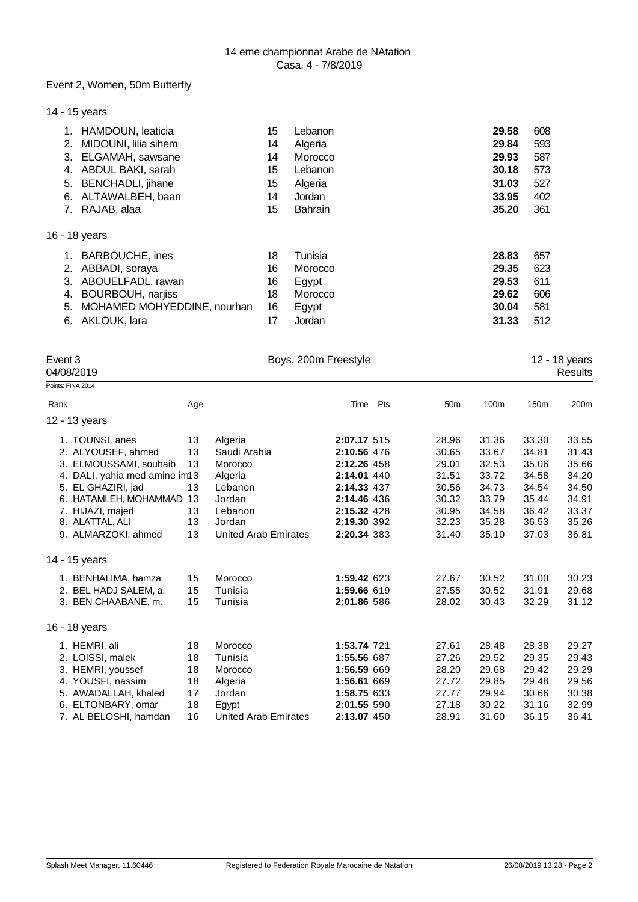## Event 2, Women, 50m Butterfly

14 - 15 years

|    | HAMDOUN, leaticia           | 15 | Lebanon        | 29.58 | 608 |
|----|-----------------------------|----|----------------|-------|-----|
| 2. | MIDOUNI, lilia sihem        | 14 | Algeria        | 29.84 | 593 |
| 3. | ELGAMAH, sawsane            | 14 | Morocco        | 29.93 | 587 |
| 4. | ABDUL BAKI, sarah           | 15 | Lebanon        | 30.18 | 573 |
| 5. | <b>BENCHADLI</b> , jihane   | 15 | Algeria        | 31.03 | 527 |
| 6. | ALTAWALBEH, baan            | 14 | Jordan         | 33.95 | 402 |
| 7. | RAJAB, alaa                 | 15 | <b>Bahrain</b> | 35.20 | 361 |
|    |                             |    |                |       |     |
|    | 16 - 18 years               |    |                |       |     |
| 1. | <b>BARBOUCHE, ines</b>      | 18 | Tunisia        | 28.83 | 657 |
| 2. | ABBADI, soraya              | 16 | Morocco        | 29.35 | 623 |
| 3. | ABOUELFADL, rawan           | 16 | Egypt          | 29.53 | 611 |
| 4. | <b>BOURBOUH, narjiss</b>    | 18 | Morocco        | 29.62 | 606 |
| 5. | MOHAMED MOHYEDDINE, nourhan | 16 | Egypt          | 30.04 | 581 |
| 6. | AKLOUK, lara                | 17 | Jordan         | 31.33 | 512 |

| Event 3 | 04/08/2019                     | Boys, 200m Freestyle |                             |             |     |                 |       |       | 12 - 18 years<br>Results |
|---------|--------------------------------|----------------------|-----------------------------|-------------|-----|-----------------|-------|-------|--------------------------|
|         | Points: FINA 2014              |                      |                             |             |     |                 |       |       |                          |
| Rank    |                                | Age                  |                             | Time        | Pts | 50 <sub>m</sub> | 100m  | 150m  | 200m                     |
|         | 12 - 13 years                  |                      |                             |             |     |                 |       |       |                          |
|         | 1. TOUNSI, anes                | 13                   | Algeria                     | 2:07.17 515 |     | 28.96           | 31.36 | 33.30 | 33.55                    |
|         | 2. ALYOUSEF, ahmed             | 13                   | Saudi Arabia                | 2:10.56 476 |     | 30.65           | 33.67 | 34.81 | 31.43                    |
|         | 3. ELMOUSSAMI, souhaib         | 13                   | Morocco                     | 2:12.26 458 |     | 29.01           | 32.53 | 35.06 | 35.66                    |
|         | 4. DALI, yahia med amine in 13 |                      | Algeria                     | 2:14.01 440 |     | 31.51           | 33.72 | 34.58 | 34.20                    |
|         | 5. EL GHAZIRI, jad             | 13                   | Lebanon                     | 2:14.33 437 |     | 30.56           | 34.73 | 34.54 | 34.50                    |
|         | 6. HATAMLEH, MOHAMMAD          | 13                   | Jordan                      | 2:14.46 436 |     | 30.32           | 33.79 | 35.44 | 34.91                    |
|         | 7. HIJAZI, majed               | 13                   | Lebanon                     | 2:15.32 428 |     | 30.95           | 34.58 | 36.42 | 33.37                    |
|         | 8. ALATTAL, ALI                | 13                   | Jordan                      | 2:19.30 392 |     | 32.23           | 35.28 | 36.53 | 35.26                    |
|         | 9. ALMARZOKI, ahmed            | 13                   | <b>United Arab Emirates</b> | 2:20.34 383 |     | 31.40           | 35.10 | 37.03 | 36.81                    |
|         | 14 - 15 years                  |                      |                             |             |     |                 |       |       |                          |
|         | 1. BENHALIMA, hamza            | 15                   | Morocco                     | 1:59.42 623 |     | 27.67           | 30.52 | 31.00 | 30.23                    |
|         | 2. BEL HADJ SALEM, a.          | 15                   | Tunisia                     | 1:59.66 619 |     | 27.55           | 30.52 | 31.91 | 29.68                    |
|         | 3. BEN CHAABANE, m.            | 15                   | Tunisia                     | 2:01.86 586 |     | 28.02           | 30.43 | 32.29 | 31.12                    |
|         | 16 - 18 years                  |                      |                             |             |     |                 |       |       |                          |
|         | 1. HEMRI, ali                  | 18                   | Morocco                     | 1:53.74 721 |     | 27.61           | 28.48 | 28.38 | 29.27                    |
|         | 2. LOISSI, malek               | 18                   | Tunisia                     | 1:55.56 687 |     | 27.26           | 29.52 | 29.35 | 29.43                    |
|         | 3. HEMRI, youssef              | 18                   | Morocco                     | 1:56.59 669 |     | 28.20           | 29.68 | 29.42 | 29.29                    |
|         | 4. YOUSFI, nassim              | 18                   | Algeria                     | 1:56.61 669 |     | 27.72           | 29.85 | 29.48 | 29.56                    |
|         | 5. AWADALLAH, khaled           | 17                   | Jordan                      | 1:58.75 633 |     | 27.77           | 29.94 | 30.66 | 30.38                    |
|         | 6. ELTONBARY, omar             | 18                   | Egypt                       | 2:01.55 590 |     | 27.18           | 30.22 | 31.16 | 32.99                    |
|         | 7. AL BELOSHI, hamdan          | 16                   | United Arab Emirates        | 2:13.07 450 |     | 28.91           | 31.60 | 36.15 | 36.41                    |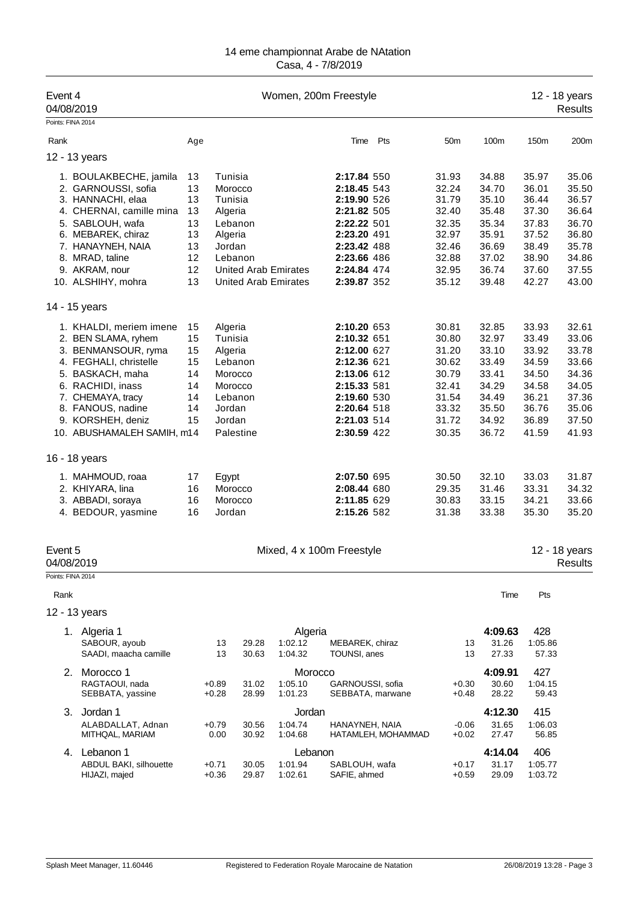| Event 4<br>04/08/2019 |                                                                                                                                                                                                                                       |                                                          |                                                                                    |                      |                                                            | Women, 200m Freestyle                                                                                                                              |                    |                                                                                        |                                                                                        |                                                                                        | 12 - 18 years<br><b>Results</b>                                                        |
|-----------------------|---------------------------------------------------------------------------------------------------------------------------------------------------------------------------------------------------------------------------------------|----------------------------------------------------------|------------------------------------------------------------------------------------|----------------------|------------------------------------------------------------|----------------------------------------------------------------------------------------------------------------------------------------------------|--------------------|----------------------------------------------------------------------------------------|----------------------------------------------------------------------------------------|----------------------------------------------------------------------------------------|----------------------------------------------------------------------------------------|
| Points: FINA 2014     |                                                                                                                                                                                                                                       |                                                          |                                                                                    |                      |                                                            |                                                                                                                                                    |                    |                                                                                        |                                                                                        |                                                                                        |                                                                                        |
| Rank                  |                                                                                                                                                                                                                                       | Age                                                      |                                                                                    |                      |                                                            | Time                                                                                                                                               | Pts                | 50 <sub>m</sub>                                                                        | 100m                                                                                   | 150m                                                                                   | 200m                                                                                   |
|                       | 12 - 13 years                                                                                                                                                                                                                         |                                                          |                                                                                    |                      |                                                            |                                                                                                                                                    |                    |                                                                                        |                                                                                        |                                                                                        |                                                                                        |
|                       | 1. BOULAKBECHE, jamila<br>2. GARNOUSSI, sofia<br>3. HANNACHI, elaa<br>4. CHERNAI, camille mina<br>5. SABLOUH, wafa<br>6. MEBAREK, chiraz<br>7. HANAYNEH, NAIA<br>8. MRAD, taline<br>9. AKRAM, nour<br>10. ALSHIHY, mohra              | 13<br>13<br>13<br>13<br>13<br>13<br>13<br>12<br>12<br>13 | Tunisia<br>Morocco<br>Tunisia<br>Algeria<br>Algeria<br>Jordan<br>Lebanon           | Lebanon              | <b>United Arab Emirates</b><br><b>United Arab Emirates</b> | 2:17.84 550<br>2:18.45 543<br>2:19.90 526<br>2:21.82 505<br>2:22.22 501<br>2:23.20 491<br>2:23.42 488<br>2:23.66 486<br>2:24.84 474<br>2:39.87 352 |                    | 31.93<br>32.24<br>31.79<br>32.40<br>32.35<br>32.97<br>32.46<br>32.88<br>32.95<br>35.12 | 34.88<br>34.70<br>35.10<br>35.48<br>35.34<br>35.91<br>36.69<br>37.02<br>36.74<br>39.48 | 35.97<br>36.01<br>36.44<br>37.30<br>37.83<br>37.52<br>38.49<br>38.90<br>37.60<br>42.27 | 35.06<br>35.50<br>36.57<br>36.64<br>36.70<br>36.80<br>35.78<br>34.86<br>37.55<br>43.00 |
|                       | 14 - 15 years                                                                                                                                                                                                                         |                                                          |                                                                                    |                      |                                                            |                                                                                                                                                    |                    |                                                                                        |                                                                                        |                                                                                        |                                                                                        |
|                       | 1. KHALDI, meriem imene<br>2. BEN SLAMA, ryhem<br>3. BENMANSOUR, ryma<br>4. FEGHALI, christelle<br>5. BASKACH, maha<br>6. RACHIDI, inass<br>7. CHEMAYA, tracy<br>8. FANOUS, nadine<br>9. KORSHEH, deniz<br>10. ABUSHAMALEH SAMIH, m14 | 15<br>15<br>15<br>15<br>14<br>14<br>14<br>14<br>15       | Algeria<br>Tunisia<br>Algeria<br>Lebanon<br>Morocco<br>Morocco<br>Jordan<br>Jordan | Lebanon<br>Palestine |                                                            | 2:10.20 653<br>2:10.32 651<br>2:12.00 627<br>2:12.36 621<br>2:13.06 612<br>2:15.33 581<br>2:19.60 530<br>2:20.64 518<br>2:21.03 514<br>2:30.59 422 |                    | 30.81<br>30.80<br>31.20<br>30.62<br>30.79<br>32.41<br>31.54<br>33.32<br>31.72<br>30.35 | 32.85<br>32.97<br>33.10<br>33.49<br>33.41<br>34.29<br>34.49<br>35.50<br>34.92<br>36.72 | 33.93<br>33.49<br>33.92<br>34.59<br>34.50<br>34.58<br>36.21<br>36.76<br>36.89<br>41.59 | 32.61<br>33.06<br>33.78<br>33.66<br>34.36<br>34.05<br>37.36<br>35.06<br>37.50<br>41.93 |
|                       | 16 - 18 years                                                                                                                                                                                                                         |                                                          |                                                                                    |                      |                                                            |                                                                                                                                                    |                    |                                                                                        |                                                                                        |                                                                                        |                                                                                        |
|                       | 1. MAHMOUD, roaa<br>2. KHIYARA, lina<br>3. ABBADI, soraya<br>4. BEDOUR, yasmine                                                                                                                                                       | 17<br>16<br>16<br>16                                     | Egypt<br>Morocco<br>Morocco<br>Jordan                                              |                      |                                                            | 2:07.50 695<br>2:08.44 680<br>2:11.85 629<br>2:15.26 582                                                                                           |                    | 30.50<br>29.35<br>30.83<br>31.38                                                       | 32.10<br>31.46<br>33.15<br>33.38                                                       | 33.03<br>33.31<br>34.21<br>35.30                                                       | 31.87<br>34.32<br>33.66<br>35.20                                                       |
| Event 5<br>04/08/2019 |                                                                                                                                                                                                                                       |                                                          |                                                                                    |                      |                                                            | Mixed, 4 x 100m Freestyle                                                                                                                          |                    |                                                                                        |                                                                                        |                                                                                        | 12 - 18 years<br>Results                                                               |
| Points: FINA 2014     |                                                                                                                                                                                                                                       |                                                          |                                                                                    |                      |                                                            |                                                                                                                                                    |                    |                                                                                        |                                                                                        |                                                                                        |                                                                                        |
| Rank                  |                                                                                                                                                                                                                                       |                                                          |                                                                                    |                      |                                                            |                                                                                                                                                    |                    |                                                                                        | Time                                                                                   | Pts                                                                                    |                                                                                        |
|                       | 12 - 13 years                                                                                                                                                                                                                         |                                                          |                                                                                    |                      |                                                            |                                                                                                                                                    |                    |                                                                                        |                                                                                        |                                                                                        |                                                                                        |
|                       | 1. Algeria 1<br>SABOUR, ayoub<br>SAADI, maacha camille                                                                                                                                                                                |                                                          | 13<br>13                                                                           | 29.28<br>30.63       | Algeria<br>1:02.12<br>1:04.32                              | MEBAREK, chiraz<br>TOUNSI, anes                                                                                                                    |                    | 13<br>13                                                                               | 4:09.63<br>31.26<br>27.33                                                              | 428<br>1:05.86<br>57.33                                                                |                                                                                        |
|                       | 2. Morocco 1<br>RAGTAOUI, nada<br>SEBBATA, yassine                                                                                                                                                                                    |                                                          | $+0.89$<br>$+0.28$                                                                 | 31.02<br>28.99       | Morocco<br>1:05.10<br>1:01.23                              | GARNOUSSI, sofia<br>SEBBATA, marwane                                                                                                               |                    | $+0.30$<br>$+0.48$                                                                     | 4:09.91<br>30.60<br>28.22                                                              | 427<br>1:04.15<br>59.43                                                                |                                                                                        |
| 3.                    | Jordan 1<br>ALABDALLAT, Adnan<br>MITHQAL, MARIAM                                                                                                                                                                                      |                                                          | $+0.79$<br>0.00                                                                    | 30.56<br>30.92       | Jordan<br>1:04.74<br>1:04.68                               | HANAYNEH, NAIA                                                                                                                                     | HATAMLEH, MOHAMMAD | $-0.06$<br>$+0.02$                                                                     | 4:12.30<br>31.65<br>27.47                                                              | 415<br>1:06.03<br>56.85                                                                |                                                                                        |
| 4.                    | Lebanon 1<br>ABDUL BAKI, silhouette<br>HIJAZI, majed                                                                                                                                                                                  |                                                          | $+0.71$<br>$+0.36$                                                                 | 30.05<br>29.87       | Lebanon<br>1:01.94<br>1:02.61                              | SABLOUH, wafa<br>SAFIE, ahmed                                                                                                                      |                    | $+0.17$<br>$+0.59$                                                                     | 4:14.04<br>31.17<br>29.09                                                              | 406<br>1:05.77<br>1:03.72                                                              |                                                                                        |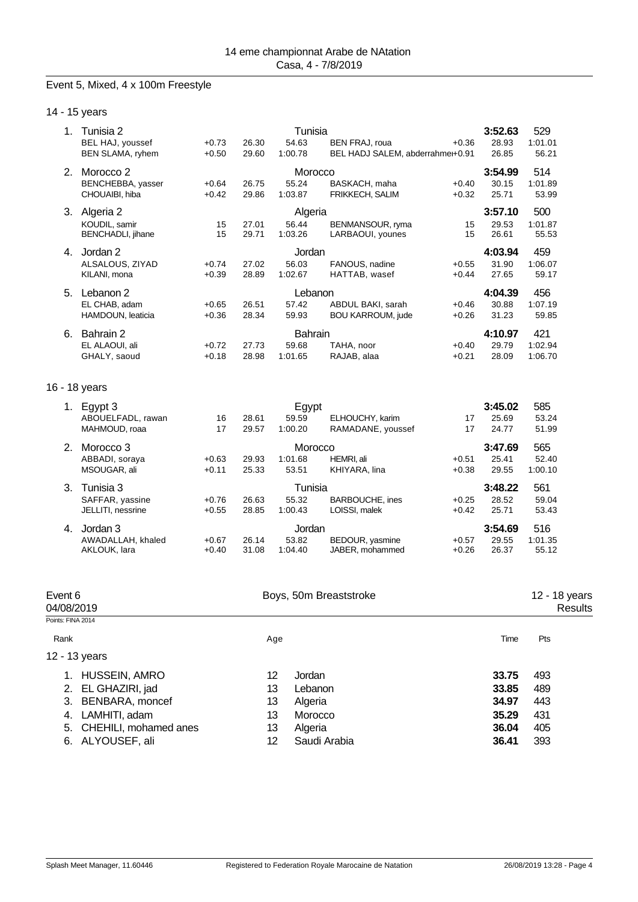## Event 5, Mixed, 4 x 100m Freestyle

14 - 15 years

| 1. | Tunisia 2<br>BEL HAJ, youssef<br><b>BEN SLAMA, ryhem</b> | $+0.73$<br>$+0.50$ | 26.30<br>29.60 | Tunisia<br>54.63<br>1:00.78        | <b>BEN FRAJ, roua</b><br>BEL HADJ SALEM, abderrahme+0.91 | $+0.36$            | 3:52.63<br>28.93<br>26.85 | 529<br>1:01.01<br>56.21   |
|----|----------------------------------------------------------|--------------------|----------------|------------------------------------|----------------------------------------------------------|--------------------|---------------------------|---------------------------|
|    | 2. Morocco 2<br>BENCHEBBA, yasser<br>CHOUAIBI, hiba      | $+0.64$<br>$+0.42$ | 26.75<br>29.86 | Morocco<br>55.24<br>1:03.87        | BASKACH, maha<br>FRIKKECH, SALIM                         | $+0.40$<br>$+0.32$ | 3:54.99<br>30.15<br>25.71 | 514<br>1:01.89<br>53.99   |
|    | 3. Algeria 2<br>KOUDIL, samir<br>BENCHADLI, jihane       | 15<br>15           | 27.01<br>29.71 | Algeria<br>56.44<br>1:03.26        | BENMANSOUR, ryma<br>LARBAOUI, younes                     | 15<br>15           | 3:57.10<br>29.53<br>26.61 | 500<br>1:01.87<br>55.53   |
| 4. | Jordan 2<br>ALSALOUS, ZIYAD<br>KILANI, mona              | $+0.74$<br>$+0.39$ | 27.02<br>28.89 | Jordan<br>56.03<br>1:02.67         | FANOUS, nadine<br>HATTAB, wasef                          | $+0.55$<br>$+0.44$ | 4:03.94<br>31.90<br>27.65 | 459<br>1:06.07<br>59.17   |
| 5. | Lebanon 2<br>EL CHAB, adam<br>HAMDOUN, leaticia          | $+0.65$<br>$+0.36$ | 26.51<br>28.34 | Lebanon<br>57.42<br>59.93          | ABDUL BAKI, sarah<br>BOU KARROUM, jude                   | $+0.46$<br>$+0.26$ | 4:04.39<br>30.88<br>31.23 | 456<br>1:07.19<br>59.85   |
| 6. | Bahrain 2<br>EL ALAOUI, ali<br>GHALY, saoud              | $+0.72$<br>$+0.18$ | 27.73<br>28.98 | <b>Bahrain</b><br>59.68<br>1:01.65 | TAHA, noor<br>RAJAB, alaa                                | $+0.40$<br>$+0.21$ | 4:10.97<br>29.79<br>28.09 | 421<br>1:02.94<br>1:06.70 |
|    | 16 - 18 years                                            |                    |                |                                    |                                                          |                    |                           |                           |
|    | 1. Egypt 3<br>ABOUELFADL, rawan<br>MAHMOUD, roaa         | 16<br>17           | 28.61<br>29.57 | Egypt<br>59.59<br>1:00.20          | ELHOUCHY, karim<br>RAMADANE, youssef                     | 17<br>17           | 3:45.02<br>25.69<br>24.77 | 585<br>53.24<br>51.99     |
| 2. | Morocco <sub>3</sub><br>ABBADI, soraya<br>MSOUGAR, ali   | $+0.63$<br>$+0.11$ | 29.93<br>25.33 | Morocco<br>1:01.68<br>53.51        | HEMRI, ali<br>KHIYARA, lina                              | $+0.51$<br>$+0.38$ | 3:47.69<br>25.41<br>29.55 | 565<br>52.40<br>1:00.10   |
| 3. | Tunisia 3<br>SAFFAR, yassine<br>JELLITI, nessrine        | $+0.76$<br>$+0.55$ | 26.63<br>28.85 | Tunisia<br>55.32<br>1:00.43        | <b>BARBOUCHE, ines</b><br>LOISSI, malek                  | $+0.25$<br>$+0.42$ | 3:48.22<br>28.52<br>25.71 | 561<br>59.04<br>53.43     |
| 4. | Jordan 3<br>AWADALLAH, khaled<br>AKLOUK, lara            | $+0.67$<br>$+0.40$ | 26.14<br>31.08 | Jordan<br>53.82<br>1:04.40         | BEDOUR, yasmine<br>JABER, mohammed                       | $+0.57$<br>$+0.26$ | 3:54.69<br>29.55<br>26.37 | 516<br>1:01.35<br>55.12   |

| Event 6<br>04/08/2019    | Boys, 50m Breaststroke | 12 - 18 years<br>Results |
|--------------------------|------------------------|--------------------------|
| Points: FINA 2014        |                        |                          |
| Rank                     | Age                    | Pts<br>Time              |
| 12 - 13 years            |                        |                          |
| 1. HUSSEIN, AMRO         | 12<br>Jordan           | 493<br>33.75             |
| 2. EL GHAZIRI, jad       | 13<br>Lebanon          | 33.85<br>489             |
| 3. BENBARA, moncef       | 13<br>Algeria          | 34.97<br>443             |
| LAMHITI, adam<br>4.      | 13<br>Morocco          | 35.29<br>431             |
| 5. CHEHILI, mohamed anes | 13<br>Algeria          | 36.04<br>405             |
| 6. ALYOUSEF, ali         | Saudi Arabia<br>12     | 36.41<br>393             |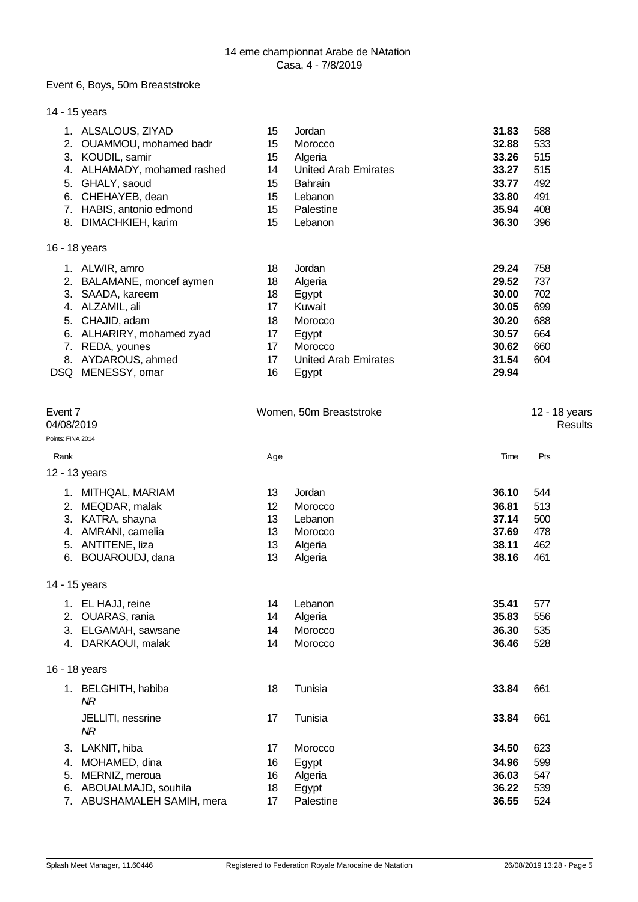#### Event 6, Boys, 50m Breaststroke

|     | 14 - 15 years            |    |                             |       |     |  |
|-----|--------------------------|----|-----------------------------|-------|-----|--|
| 1.  | ALSALOUS, ZIYAD          | 15 | Jordan                      | 31.83 | 588 |  |
| 2.  | OUAMMOU, mohamed badr    | 15 | Morocco                     | 32.88 | 533 |  |
| 3.  | KOUDIL, samir            | 15 | Algeria                     | 33.26 | 515 |  |
| 4.  | ALHAMADY, mohamed rashed | 14 | United Arab Emirates        | 33.27 | 515 |  |
| 5.  | GHALY, saoud             | 15 | <b>Bahrain</b>              | 33.77 | 492 |  |
| 6.  | CHEHAYEB, dean           | 15 | Lebanon                     | 33.80 | 491 |  |
| 7.  | HABIS, antonio edmond    | 15 | Palestine                   | 35.94 | 408 |  |
| 8.  | DIMACHKIEH, karim        | 15 | Lebanon                     | 36.30 | 396 |  |
|     | 16 - 18 years            |    |                             |       |     |  |
|     | ALWIR, amro              | 18 | Jordan                      | 29.24 | 758 |  |
| 2.  | BALAMANE, moncef aymen   | 18 | Algeria                     | 29.52 | 737 |  |
| 3.  | SAADA, kareem            | 18 | Egypt                       | 30.00 | 702 |  |
| 4.  | ALZAMIL, ali             | 17 | Kuwait                      | 30.05 | 699 |  |
| 5.  | CHAJID, adam             | 18 | Morocco                     | 30.20 | 688 |  |
| 6.  | ALHARIRY, mohamed zyad   | 17 | Egypt                       | 30.57 | 664 |  |
| 7.  | REDA, younes             | 17 | Morocco                     | 30.62 | 660 |  |
| 8.  | AYDAROUS, ahmed          | 17 | <b>United Arab Emirates</b> | 31.54 | 604 |  |
| DSQ | MENESSY, omar            | 16 | Egypt                       | 29.94 |     |  |
|     |                          |    |                             |       |     |  |

| Event 7<br>04/08/2019            |     | Women, 50m Breaststroke |       |     |  |
|----------------------------------|-----|-------------------------|-------|-----|--|
| Points: FINA 2014                |     |                         |       |     |  |
| Rank                             | Age |                         | Time  | Pts |  |
| 12 - 13 years                    |     |                         |       |     |  |
| 1. MITHQAL, MARIAM               | 13  | Jordan                  | 36.10 | 544 |  |
| MEQDAR, malak<br>2.              | 12  | Morocco                 | 36.81 | 513 |  |
| KATRA, shayna<br>3.              | 13  | Lebanon                 | 37.14 | 500 |  |
| AMRANI, camelia<br>4.            | 13  | Morocco                 | 37.69 | 478 |  |
| 5.<br>ANTITENE, liza             | 13  | Algeria                 | 38.11 | 462 |  |
| BOUAROUDJ, dana<br>6.            | 13  | Algeria                 | 38.16 | 461 |  |
| 14 - 15 years                    |     |                         |       |     |  |
| 1. EL HAJJ, reine                | 14  | Lebanon                 | 35.41 | 577 |  |
| OUARAS, rania<br>2.              | 14  | Algeria                 | 35.83 | 556 |  |
| ELGAMAH, sawsane<br>3.           | 14  | Morocco                 | 36.30 | 535 |  |
| DARKAOUI, malak<br>4.            | 14  | Morocco                 | 36.46 | 528 |  |
| 16 - 18 years                    |     |                         |       |     |  |
| 1. BELGHITH, habiba<br><b>NR</b> | 18  | Tunisia                 | 33.84 | 661 |  |
| JELLITI, nessrine<br>NR          | 17  | Tunisia                 | 33.84 | 661 |  |
| LAKNIT, hiba<br>3.               | 17  | Morocco                 | 34.50 | 623 |  |
| MOHAMED, dina<br>4.              | 16  | Egypt                   | 34.96 | 599 |  |
| MERNIZ, meroua<br>5.             | 16  | Algeria                 | 36.03 | 547 |  |
| ABOUALMAJD, souhila<br>6.        | 18  | Egypt                   | 36.22 | 539 |  |
| ABUSHAMALEH SAMIH, mera<br>7.    | 17  | Palestine               | 36.55 | 524 |  |
|                                  |     |                         |       |     |  |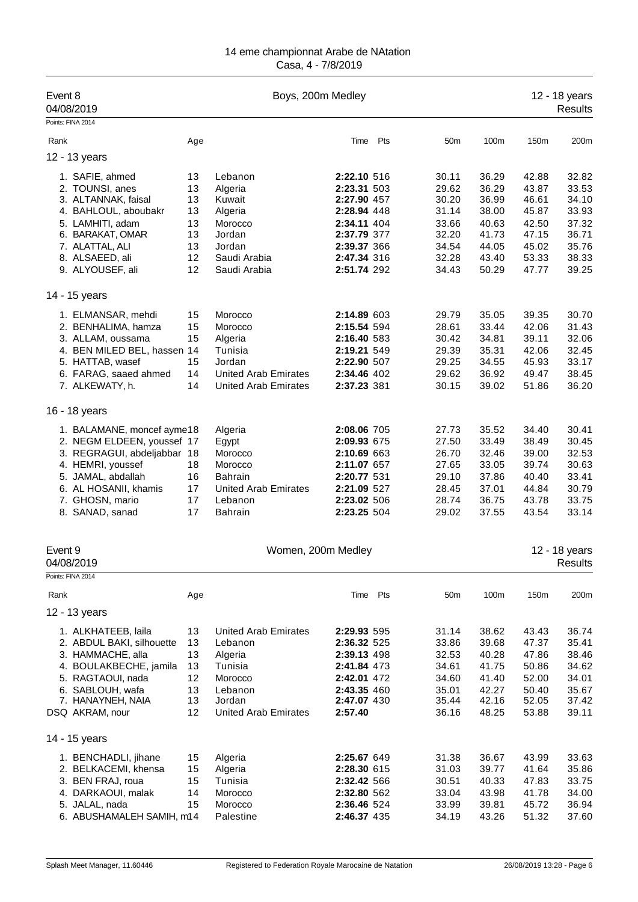| Event 8<br>04/08/2019                                                                                                                                                                             |                                                    | Boys, 200m Medley                                                                                                           |                                                                                                                                     |          |                                                                               |                                                                               |                                                                               | 12 - 18 years<br><b>Results</b>                                               |
|---------------------------------------------------------------------------------------------------------------------------------------------------------------------------------------------------|----------------------------------------------------|-----------------------------------------------------------------------------------------------------------------------------|-------------------------------------------------------------------------------------------------------------------------------------|----------|-------------------------------------------------------------------------------|-------------------------------------------------------------------------------|-------------------------------------------------------------------------------|-------------------------------------------------------------------------------|
| Points: FINA 2014                                                                                                                                                                                 |                                                    |                                                                                                                             |                                                                                                                                     |          |                                                                               |                                                                               |                                                                               |                                                                               |
| Rank                                                                                                                                                                                              | Age                                                |                                                                                                                             |                                                                                                                                     | Time Pts | 50 <sub>m</sub>                                                               | 100m                                                                          | 150m                                                                          | 200m                                                                          |
| 12 - 13 years                                                                                                                                                                                     |                                                    |                                                                                                                             |                                                                                                                                     |          |                                                                               |                                                                               |                                                                               |                                                                               |
| 1. SAFIE, ahmed<br>2. TOUNSI, anes<br>3. ALTANNAK, faisal<br>4. BAHLOUL, aboubakr<br>5. LAMHITI, adam<br>6. BARAKAT, OMAR<br>7. ALATTAL, ALI<br>8. ALSAEED, ali<br>9. ALYOUSEF, ali               | 13<br>13<br>13<br>13<br>13<br>13<br>13<br>12<br>12 | Lebanon<br>Algeria<br>Kuwait<br>Algeria<br>Morocco<br>Jordan<br>Jordan<br>Saudi Arabia<br>Saudi Arabia                      | 2:22.10 516<br>2:23.31 503<br>2:27.90 457<br>2:28.94 448<br>2:34.11 404<br>2:37.79 377<br>2:39.37 366<br>2:47.34 316<br>2:51.74 292 |          | 30.11<br>29.62<br>30.20<br>31.14<br>33.66<br>32.20<br>34.54<br>32.28<br>34.43 | 36.29<br>36.29<br>36.99<br>38.00<br>40.63<br>41.73<br>44.05<br>43.40<br>50.29 | 42.88<br>43.87<br>46.61<br>45.87<br>42.50<br>47.15<br>45.02<br>53.33<br>47.77 | 32.82<br>33.53<br>34.10<br>33.93<br>37.32<br>36.71<br>35.76<br>38.33<br>39.25 |
| 14 - 15 years                                                                                                                                                                                     |                                                    |                                                                                                                             |                                                                                                                                     |          |                                                                               |                                                                               |                                                                               |                                                                               |
| 1. ELMANSAR, mehdi<br>2. BENHALIMA, hamza<br>3. ALLAM, oussama<br>4. BEN MILED BEL, hassen 14<br>5. HATTAB, wasef<br>6. FARAG, saaed ahmed<br>7. ALKEWATY, h.                                     | 15<br>15<br>15<br>15<br>14<br>14                   | Morocco<br>Morocco<br>Algeria<br>Tunisia<br>Jordan<br><b>United Arab Emirates</b><br><b>United Arab Emirates</b>            | 2:14.89 603<br>2:15.54 594<br>2:16.40 583<br>2:19.21 549<br>2:22.90 507<br>2:34.46 402<br>2:37.23 381                               |          | 29.79<br>28.61<br>30.42<br>29.39<br>29.25<br>29.62<br>30.15                   | 35.05<br>33.44<br>34.81<br>35.31<br>34.55<br>36.92<br>39.02                   | 39.35<br>42.06<br>39.11<br>42.06<br>45.93<br>49.47<br>51.86                   | 30.70<br>31.43<br>32.06<br>32.45<br>33.17<br>38.45<br>36.20                   |
| 16 - 18 years                                                                                                                                                                                     |                                                    |                                                                                                                             |                                                                                                                                     |          |                                                                               |                                                                               |                                                                               |                                                                               |
| 1. BALAMANE, moncef ayme18<br>2. NEGM ELDEEN, youssef 17<br>3. REGRAGUI, abdeljabbar 18<br>4. HEMRI, youssef<br>5. JAMAL, abdallah<br>6. AL HOSANII, khamis<br>7. GHOSN, mario<br>8. SANAD, sanad | 18<br>16<br>17<br>17<br>17                         | Algeria<br>Egypt<br>Morocco<br>Morocco<br><b>Bahrain</b><br><b>United Arab Emirates</b><br>Lebanon<br>Bahrain               | 2:08.06 705<br>2:09.93 675<br>2:10.69 663<br>2:11.07 657<br>2:20.77 531<br>2:21.09 527<br>2:23.02 506<br>2:23.25 504                |          | 27.73<br>27.50<br>26.70<br>27.65<br>29.10<br>28.45<br>28.74<br>29.02          | 35.52<br>33.49<br>32.46<br>33.05<br>37.86<br>37.01<br>36.75<br>37.55          | 34.40<br>38.49<br>39.00<br>39.74<br>40.40<br>44.84<br>43.78<br>43.54          | 30.41<br>30.45<br>32.53<br>30.63<br>33.41<br>30.79<br>33.75<br>33.14          |
| Event 9<br>04/08/2019                                                                                                                                                                             |                                                    | Women, 200m Medley                                                                                                          |                                                                                                                                     |          |                                                                               |                                                                               |                                                                               | 12 - 18 years<br><b>Results</b>                                               |
| Points: FINA 2014                                                                                                                                                                                 |                                                    |                                                                                                                             |                                                                                                                                     |          |                                                                               |                                                                               |                                                                               |                                                                               |
| Rank                                                                                                                                                                                              | Age                                                |                                                                                                                             | Time                                                                                                                                | Pts      | 50m                                                                           | 100m                                                                          | 150m                                                                          | 200m                                                                          |
| 12 - 13 years                                                                                                                                                                                     |                                                    |                                                                                                                             |                                                                                                                                     |          |                                                                               |                                                                               |                                                                               |                                                                               |
| 1. ALKHATEEB, laila<br>2. ABDUL BAKI, silhouette<br>3. HAMMACHE, alla<br>4. BOULAKBECHE, jamila<br>5. RAGTAOUI, nada<br>6. SABLOUH, wafa<br>7. HANAYNEH, NAIA<br>DSQ AKRAM, nour                  | 13<br>13<br>13<br>13<br>12<br>13<br>13<br>12       | <b>United Arab Emirates</b><br>Lebanon<br>Algeria<br>Tunisia<br>Morocco<br>Lebanon<br>Jordan<br><b>United Arab Emirates</b> | 2:29.93 595<br>2:36.32 525<br>2:39.13 498<br>2:41.84 473<br>2:42.01 472<br>2:43.35 460<br>2:47.07 430<br>2:57.40                    |          | 31.14<br>33.86<br>32.53<br>34.61<br>34.60<br>35.01<br>35.44<br>36.16          | 38.62<br>39.68<br>40.28<br>41.75<br>41.40<br>42.27<br>42.16<br>48.25          | 43.43<br>47.37<br>47.86<br>50.86<br>52.00<br>50.40<br>52.05<br>53.88          | 36.74<br>35.41<br>38.46<br>34.62<br>34.01<br>35.67<br>37.42<br>39.11          |
| 14 - 15 years                                                                                                                                                                                     |                                                    |                                                                                                                             |                                                                                                                                     |          |                                                                               |                                                                               |                                                                               |                                                                               |
| 1. BENCHADLI, jihane<br>2. BELKACEMI, khensa<br>3. BEN FRAJ, roua<br>4. DARKAOUI, malak<br>5. JALAL, nada<br>6. ABUSHAMALEH SAMIH, m14                                                            | 15<br>15<br>15<br>14<br>15                         | Algeria<br>Algeria<br>Tunisia<br>Morocco<br>Morocco<br>Palestine                                                            | 2:25.67 649<br>2:28.30 615<br>2:32.42 566<br>2:32.80 562<br>2:36.46 524<br>2:46.37 435                                              |          | 31.38<br>31.03<br>30.51<br>33.04<br>33.99<br>34.19                            | 36.67<br>39.77<br>40.33<br>43.98<br>39.81<br>43.26                            | 43.99<br>41.64<br>47.83<br>41.78<br>45.72<br>51.32                            | 33.63<br>35.86<br>33.75<br>34.00<br>36.94<br>37.60                            |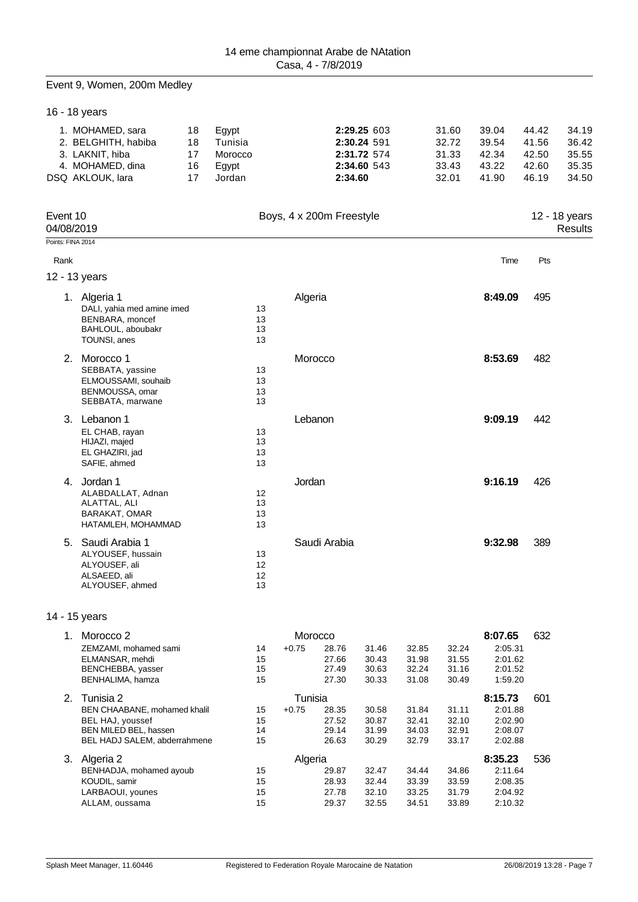#### Event 9, Women, 200m Medley

|          | 16 - 18 years                                                                                                             |                            |                                                |                      |                    |                                  |                                                          |                                  |                                           |                                                     |                                           |                                           |
|----------|---------------------------------------------------------------------------------------------------------------------------|----------------------------|------------------------------------------------|----------------------|--------------------|----------------------------------|----------------------------------------------------------|----------------------------------|-------------------------------------------|-----------------------------------------------------|-------------------------------------------|-------------------------------------------|
|          | 1. MOHAMED, sara<br>2. BELGHITH, habiba<br>3. LAKNIT, hiba<br>4. MOHAMED, dina<br>DSQ AKLOUK, lara                        | 18<br>18<br>17<br>16<br>17 | Egypt<br>Tunisia<br>Morocco<br>Egypt<br>Jordan |                      |                    | 2:34.60                          | 2:29.25 603<br>2:30.24 591<br>2:31.72 574<br>2:34.60 543 |                                  | 31.60<br>32.72<br>31.33<br>33.43<br>32.01 | 39.04<br>39.54<br>42.34<br>43.22<br>41.90           | 44.42<br>41.56<br>42.50<br>42.60<br>46.19 | 34.19<br>36.42<br>35.55<br>35.35<br>34.50 |
| Event 10 | 04/08/2019                                                                                                                |                            |                                                |                      |                    | Boys, 4 x 200m Freestyle         |                                                          |                                  |                                           |                                                     |                                           | 12 - 18 years<br>Results                  |
|          | Points: FINA 2014                                                                                                         |                            |                                                |                      |                    |                                  |                                                          |                                  |                                           |                                                     |                                           |                                           |
| Rank     |                                                                                                                           |                            |                                                |                      |                    |                                  |                                                          |                                  |                                           | Time                                                | Pts                                       |                                           |
|          | 12 - 13 years                                                                                                             |                            |                                                |                      |                    |                                  |                                                          |                                  |                                           |                                                     |                                           |                                           |
|          | 1. Algeria 1<br>DALI, yahia med amine imed<br>BENBARA, moncef<br>BAHLOUL, aboubakr<br>TOUNSI, anes                        |                            |                                                | 13<br>13<br>13<br>13 | Algeria            |                                  |                                                          |                                  |                                           | 8:49.09                                             | 495                                       |                                           |
|          | 2. Morocco 1<br>SEBBATA, yassine<br>ELMOUSSAMI, souhaib<br>BENMOUSSA, omar<br>SEBBATA, marwane                            |                            |                                                | 13<br>13<br>13<br>13 | Morocco            |                                  |                                                          |                                  |                                           | 8:53.69                                             | 482                                       |                                           |
|          | 3. Lebanon 1<br>EL CHAB, rayan<br>HIJAZI, majed<br>EL GHAZIRI, jad<br>SAFIE, ahmed                                        |                            |                                                | 13<br>13<br>13<br>13 | Lebanon            |                                  |                                                          |                                  |                                           | 9:09.19                                             | 442                                       |                                           |
|          | 4. Jordan 1<br>ALABDALLAT, Adnan<br>ALATTAL, ALI<br>BARAKAT, OMAR<br>HATAMLEH, MOHAMMAD                                   |                            |                                                | 12<br>13<br>13<br>13 | Jordan             |                                  |                                                          |                                  |                                           | 9:16.19                                             | 426                                       |                                           |
|          | 5. Saudi Arabia 1<br>ALYOUSEF, hussain<br>ALYOUSEF, ali<br>ALSAEED, ali<br>ALYOUSEF, ahmed                                |                            |                                                | 13<br>12<br>12<br>13 |                    | Saudi Arabia                     |                                                          |                                  |                                           | 9:32.98                                             | 389                                       |                                           |
|          | 14 - 15 years                                                                                                             |                            |                                                |                      |                    |                                  |                                                          |                                  |                                           |                                                     |                                           |                                           |
|          | 1. Morocco 2<br>ZEMZAMI, mohamed sami<br>ELMANSAR, mehdi<br>BENCHEBBA, yasser<br>BENHALIMA, hamza                         |                            |                                                | 14<br>15<br>15<br>15 | Morocco<br>$+0.75$ | 28.76<br>27.66<br>27.49<br>27.30 | 31.46<br>30.43<br>30.63<br>30.33                         | 32.85<br>31.98<br>32.24<br>31.08 | 32.24<br>31.55<br>31.16<br>30.49          | 8:07.65<br>2:05.31<br>2:01.62<br>2:01.52<br>1:59.20 | 632                                       |                                           |
|          | 2. Tunisia 2<br>BEN CHAABANE, mohamed khalil<br>BEL HAJ, youssef<br>BEN MILED BEL, hassen<br>BEL HADJ SALEM, abderrahmene |                            |                                                | 15<br>15<br>14<br>15 | Tunisia<br>$+0.75$ | 28.35<br>27.52<br>29.14<br>26.63 | 30.58<br>30.87<br>31.99<br>30.29                         | 31.84<br>32.41<br>34.03<br>32.79 | 31.11<br>32.10<br>32.91<br>33.17          | 8:15.73<br>2:01.88<br>2:02.90<br>2:08.07<br>2:02.88 | 601                                       |                                           |
|          | 3. Algeria 2<br>BENHADJA, mohamed ayoub<br>KOUDIL, samir<br>LARBAOUI, younes                                              |                            |                                                | 15<br>15<br>15       | Algeria            | 29.87<br>28.93<br>27.78          | 32.47<br>32.44<br>32.10                                  | 34.44<br>33.39<br>33.25          | 34.86<br>33.59<br>31.79                   | 8:35.23<br>2:11.64<br>2:08.35<br>2:04.92            | 536                                       |                                           |

ALLAM, oussama 15 29.37 32.55 34.51 33.89 2:10.32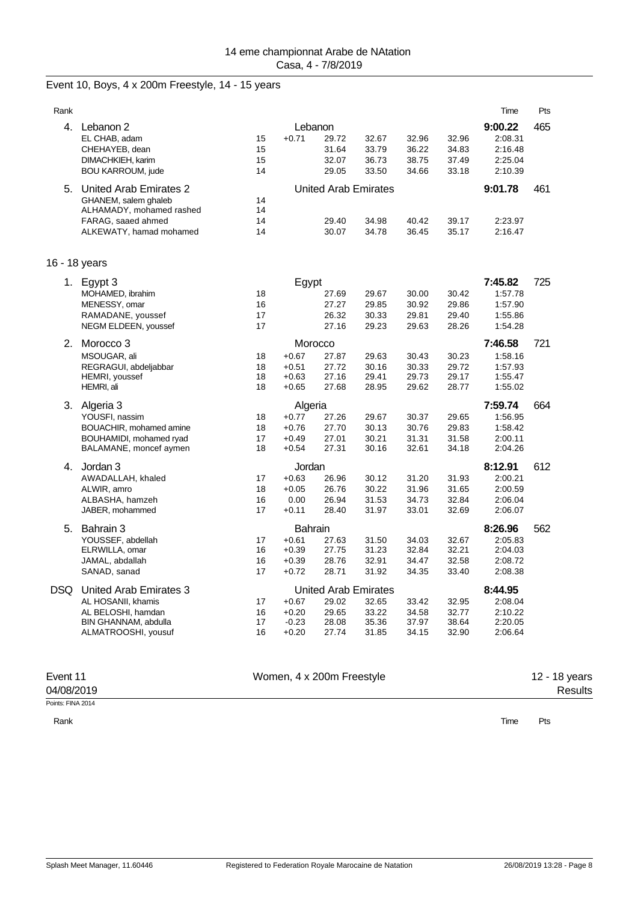#### Event 10, Boys, 4 x 200m Freestyle, 14 - 15 years

| Rank          |                                                                                                                                |                      |                                                     |                                                                 |                                  |                                  |                                  | Time                                                | Pts |
|---------------|--------------------------------------------------------------------------------------------------------------------------------|----------------------|-----------------------------------------------------|-----------------------------------------------------------------|----------------------------------|----------------------------------|----------------------------------|-----------------------------------------------------|-----|
|               | 4. Lebanon 2<br>EL CHAB, adam<br>CHEHAYEB, dean<br>DIMACHKIEH, karim<br><b>BOU KARROUM, jude</b>                               | 15<br>15<br>15<br>14 | $+0.71$                                             | Lebanon<br>29.72<br>31.64<br>32.07<br>29.05                     | 32.67<br>33.79<br>36.73<br>33.50 | 32.96<br>36.22<br>38.75<br>34.66 | 32.96<br>34.83<br>37.49<br>33.18 | 9:00.22<br>2:08.31<br>2:16.48<br>2:25.04<br>2:10.39 | 465 |
|               | 5. United Arab Emirates 2<br>GHANEM, salem ghaleb<br>ALHAMADY, mohamed rashed<br>FARAG, saaed ahmed<br>ALKEWATY, hamad mohamed | 14<br>14<br>14<br>14 |                                                     | United Arab Emirates<br>29.40<br>30.07                          | 34.98<br>34.78                   | 40.42<br>36.45                   | 39.17<br>35.17                   | 9:01.78<br>2:23.97<br>2:16.47                       | 461 |
| 16 - 18 years |                                                                                                                                |                      |                                                     |                                                                 |                                  |                                  |                                  |                                                     |     |
|               | 1. Egypt 3<br>MOHAMED, ibrahim<br>MENESSY, omar<br>RAMADANE, youssef<br>NEGM ELDEEN, youssef                                   | 18<br>16<br>17<br>17 | Egypt                                               | 27.69<br>27.27<br>26.32<br>27.16                                | 29.67<br>29.85<br>30.33<br>29.23 | 30.00<br>30.92<br>29.81<br>29.63 | 30.42<br>29.86<br>29.40<br>28.26 | 7:45.82<br>1:57.78<br>1:57.90<br>1:55.86<br>1:54.28 | 725 |
|               | 2. Morocco 3<br>MSOUGAR, ali<br>REGRAGUI, abdeljabbar<br>HEMRI, youssef<br>HEMRI, ali                                          | 18<br>18<br>18<br>18 | $+0.67$<br>$+0.51$<br>$+0.63$<br>$+0.65$            | Morocco<br>27.87<br>27.72<br>27.16<br>27.68                     | 29.63<br>30.16<br>29.41<br>28.95 | 30.43<br>30.33<br>29.73<br>29.62 | 30.23<br>29.72<br>29.17<br>28.77 | 7:46.58<br>1:58.16<br>1:57.93<br>1:55.47<br>1:55.02 | 721 |
|               | 3. Algeria 3<br>YOUSFI, nassim<br>BOUACHIR, mohamed amine<br>BOUHAMIDI, mohamed ryad<br>BALAMANE, moncef aymen                 | 18<br>18<br>17<br>18 | Algeria<br>$+0.77$<br>$+0.76$<br>$+0.49$<br>$+0.54$ | 27.26<br>27.70<br>27.01<br>27.31                                | 29.67<br>30.13<br>30.21<br>30.16 | 30.37<br>30.76<br>31.31<br>32.61 | 29.65<br>29.83<br>31.58<br>34.18 | 7:59.74<br>1:56.95<br>1:58.42<br>2:00.11<br>2:04.26 | 664 |
|               | 4. Jordan 3<br>AWADALLAH, khaled<br>ALWIR, amro<br>ALBASHA, hamzeh<br>JABER, mohammed                                          | 17<br>18<br>16<br>17 | Jordan<br>$+0.63$<br>$+0.05$<br>0.00<br>$+0.11$     | 26.96<br>26.76<br>26.94<br>28.40                                | 30.12<br>30.22<br>31.53<br>31.97 | 31.20<br>31.96<br>34.73<br>33.01 | 31.93<br>31.65<br>32.84<br>32.69 | 8:12.91<br>2:00.21<br>2:00.59<br>2:06.04<br>2:06.07 | 612 |
|               | 5. Bahrain 3<br>YOUSSEF, abdellah<br>ELRWILLA, omar<br>JAMAL, abdallah<br>SANAD, sanad                                         | 17<br>16<br>16<br>17 | Bahrain<br>$+0.61$<br>$+0.39$<br>$+0.39$<br>$+0.72$ | 27.63<br>27.75<br>28.76<br>28.71                                | 31.50<br>31.23<br>32.91<br>31.92 | 34.03<br>32.84<br>34.47<br>34.35 | 32.67<br>32.21<br>32.58<br>33.40 | 8:26.96<br>2:05.83<br>2:04.03<br>2:08.72<br>2:08.38 | 562 |
|               | DSQ United Arab Emirates 3<br>AL HOSANII, khamis<br>AL BELOSHI, hamdan<br>BIN GHANNAM, abdulla<br>ALMATROOSHI, yousuf          | 17<br>16<br>17<br>16 | $+0.67$<br>$+0.20$<br>$-0.23$<br>$+0.20$            | <b>United Arab Emirates</b><br>29.02<br>29.65<br>28.08<br>27.74 | 32.65<br>33.22<br>35.36<br>31.85 | 33.42<br>34.58<br>37.97<br>34.15 | 32.95<br>32.77<br>38.64<br>32.90 | 8:44.95<br>2:08.04<br>2:10.22<br>2:20.05<br>2:06.64 |     |

| Event 11   |
|------------|
| 04/08/2019 |

Points: FINA 2014

Rank

Women, 4 x 200m Freestyle

12 - 18 years Results

Time Pts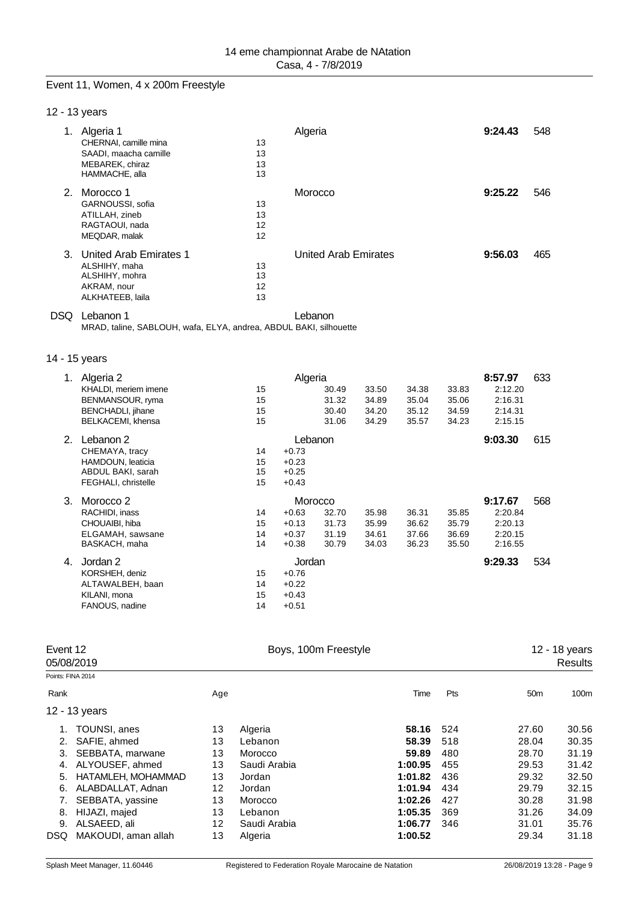#### Event 11, Women, 4 x 200m Freestyle

| 12 - 13 years |  |
|---------------|--|
|---------------|--|

|                | Algeria 1              |    | Algeria                     | 9:24.43 | 548 |
|----------------|------------------------|----|-----------------------------|---------|-----|
|                | CHERNAI, camille mina  | 13 |                             |         |     |
|                | SAADI, maacha camille  | 13 |                             |         |     |
|                | MEBAREK, chiraz        | 13 |                             |         |     |
|                | HAMMACHE, alla         | 13 |                             |         |     |
| 2 <sup>1</sup> | Morocco 1              |    | Morocco                     | 9:25.22 | 546 |
|                | GARNOUSSI, sofia       | 13 |                             |         |     |
|                | ATILLAH, zineb         | 13 |                             |         |     |
|                | RAGTAOUI, nada         | 12 |                             |         |     |
|                | MEQDAR, malak          | 12 |                             |         |     |
| 3.             | United Arab Emirates 1 |    | <b>United Arab Emirates</b> | 9:56.03 | 465 |
|                | ALSHIHY, maha          | 13 |                             |         |     |
|                | ALSHIHY, mohra         | 13 |                             |         |     |
|                | AKRAM, nour            | 12 |                             |         |     |
|                | ALKHATEEB, laila       | 13 |                             |         |     |
|                |                        |    |                             |         |     |

DSQ Lebanon 1<br>MRAD, taline, SABLOUH, wafa, ELYA, andrea, ABDUL BAKI, silhouette

#### 14 - 15 years

| 1. | Algeria 2            |    | Algeria |       |       |       |       | 8:57.97 | 633 |
|----|----------------------|----|---------|-------|-------|-------|-------|---------|-----|
|    | KHALDI, meriem imene | 15 |         | 30.49 | 33.50 | 34.38 | 33.83 | 2:12.20 |     |
|    | BENMANSOUR, ryma     | 15 |         | 31.32 | 34.89 | 35.04 | 35.06 | 2:16.31 |     |
|    | BENCHADLI, jihane    | 15 |         | 30.40 | 34.20 | 35.12 | 34.59 | 2:14.31 |     |
|    | BELKACEMI, khensa    | 15 |         | 31.06 | 34.29 | 35.57 | 34.23 | 2:15.15 |     |
| 2. | Lebanon 2            |    | Lebanon |       |       |       |       | 9:03.30 | 615 |
|    | CHEMAYA, tracy       | 14 | $+0.73$ |       |       |       |       |         |     |
|    | HAMDOUN, leaticia    | 15 | $+0.23$ |       |       |       |       |         |     |
|    | ABDUL BAKI, sarah    | 15 | $+0.25$ |       |       |       |       |         |     |
|    | FEGHALI, christelle  | 15 | $+0.43$ |       |       |       |       |         |     |
| 3. | Morocco 2            |    | Morocco |       |       |       |       | 9:17.67 | 568 |
|    | RACHIDI, inass       | 14 | $+0.63$ | 32.70 | 35.98 | 36.31 | 35.85 | 2:20.84 |     |
|    | CHOUAIBI, hiba       | 15 | $+0.13$ | 31.73 | 35.99 | 36.62 | 35.79 | 2:20.13 |     |
|    | ELGAMAH, sawsane     | 14 | $+0.37$ | 31.19 | 34.61 | 37.66 | 36.69 | 2:20.15 |     |
|    | BASKACH, maha        | 14 | $+0.38$ | 30.79 | 34.03 | 36.23 | 35.50 | 2:16.55 |     |
| 4. | Jordan 2             |    | Jordan  |       |       |       |       | 9:29.33 | 534 |
|    | KORSHEH, deniz       | 15 | $+0.76$ |       |       |       |       |         |     |
|    | ALTAWALBEH, baan     | 14 | $+0.22$ |       |       |       |       |         |     |
|    | KILANI, mona         | 15 | $+0.43$ |       |       |       |       |         |     |
|    |                      |    |         |       |       |       |       |         |     |
|    | FANOUS, nadine       | 14 | $+0.51$ |       |       |       |       |         |     |

| Event 12<br>05/08/2019 |                     | Boys, 100m Freestyle |              |         |     | 12 - 18 years<br>Results |       |  |
|------------------------|---------------------|----------------------|--------------|---------|-----|--------------------------|-------|--|
| Points: FINA 2014      |                     |                      |              |         |     |                          |       |  |
| Rank                   |                     | Age                  |              | Time    | Pts | 50 <sub>m</sub>          | 100m  |  |
|                        | 12 - 13 years       |                      |              |         |     |                          |       |  |
| 1.                     | TOUNSI, anes        | 13                   | Algeria      | 58.16   | 524 | 27.60                    | 30.56 |  |
|                        | SAFIE, ahmed        | 13                   | Lebanon      | 58.39   | 518 | 28.04                    | 30.35 |  |
| 3.                     | SEBBATA, marwane    | 13                   | Morocco      | 59.89   | 480 | 28.70                    | 31.19 |  |
| 4.                     | ALYOUSEF, ahmed     | 13                   | Saudi Arabia | 1:00.95 | 455 | 29.53                    | 31.42 |  |
| 5.                     | HATAMLEH, MOHAMMAD  | 13                   | Jordan       | 1:01.82 | 436 | 29.32                    | 32.50 |  |
| 6.                     | ALABDALLAT, Adnan   | 12                   | Jordan       | 1:01.94 | 434 | 29.79                    | 32.15 |  |
|                        | SEBBATA, yassine    | 13                   | Morocco      | 1:02.26 | 427 | 30.28                    | 31.98 |  |
| 8.                     | HIJAZI, majed       | 13                   | Lebanon      | 1:05.35 | 369 | 31.26                    | 34.09 |  |
| 9.                     | ALSAEED, ali        | 12 <sup>2</sup>      | Saudi Arabia | 1:06.77 | 346 | 31.01                    | 35.76 |  |
| <b>DSQ</b>             | MAKOUDI, aman allah | 13                   | Algeria      | 1:00.52 |     | 29.34                    | 31.18 |  |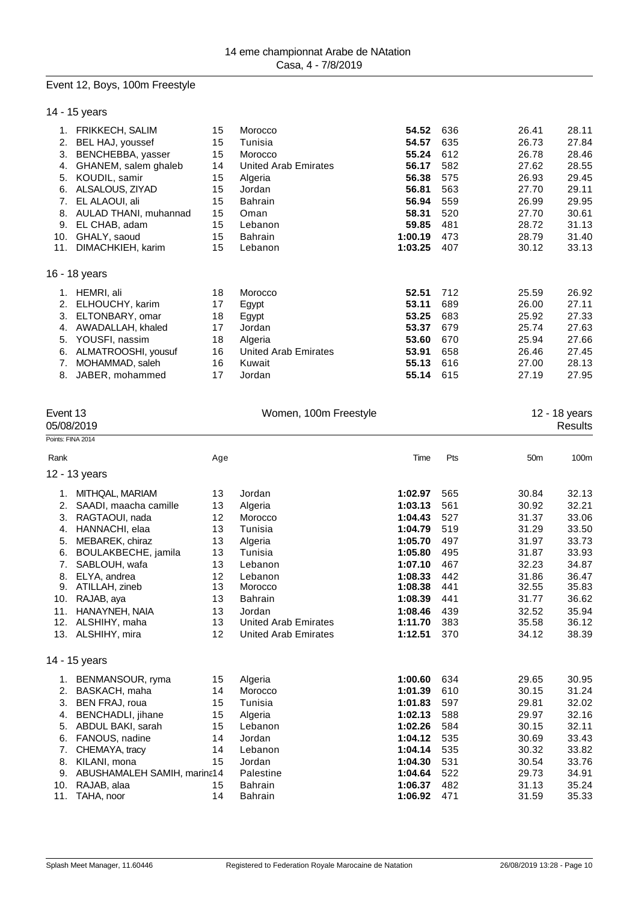#### Event 12, Boys, 100m Freestyle

| 14 - 15 years |  |
|---------------|--|
|---------------|--|

| 1.  | <b>FRIKKECH, SALIM</b> | 15 | Morocco                     | 54.52   | 636 | 26.41 | 28.11 |
|-----|------------------------|----|-----------------------------|---------|-----|-------|-------|
| 2.  | BEL HAJ, youssef       | 15 | Tunisia                     | 54.57   | 635 | 26.73 | 27.84 |
| 3.  | BENCHEBBA, yasser      | 15 | Morocco                     | 55.24   | 612 | 26.78 | 28.46 |
| 4.  | GHANEM, salem ghaleb   | 14 | <b>United Arab Emirates</b> | 56.17   | 582 | 27.62 | 28.55 |
| 5.  | KOUDIL, samir          | 15 | Algeria                     | 56.38   | 575 | 26.93 | 29.45 |
| 6.  | ALSALOUS, ZIYAD        | 15 | Jordan                      | 56.81   | 563 | 27.70 | 29.11 |
| 7.  | EL ALAOUI, ali         | 15 | <b>Bahrain</b>              | 56.94   | 559 | 26.99 | 29.95 |
| 8.  | AULAD THANI, muhannad  | 15 | Oman                        | 58.31   | 520 | 27.70 | 30.61 |
| 9.  | EL CHAB, adam          | 15 | Lebanon                     | 59.85   | 481 | 28.72 | 31.13 |
| 10. | GHALY, saoud           | 15 | <b>Bahrain</b>              | 1:00.19 | 473 | 28.79 | 31.40 |
| 11. | DIMACHKIEH, karim      | 15 | Lebanon                     | 1:03.25 | 407 | 30.12 | 33.13 |
|     | 16 - 18 years          |    |                             |         |     |       |       |
| 1.  | HEMRI, ali             | 18 | Morocco                     | 52.51   | 712 | 25.59 | 26.92 |
| 2.  | ELHOUCHY, karim        | 17 | Egypt                       | 53.11   | 689 | 26.00 | 27.11 |
| 3.  | ELTONBARY, omar        | 18 | Egypt                       | 53.25   | 683 | 25.92 | 27.33 |
| 4.  | AWADALLAH, khaled      | 17 | Jordan                      | 53.37   | 679 | 25.74 | 27.63 |
| 5.  | YOUSFI, nassim         | 18 | Algeria                     | 53.60   | 670 | 25.94 | 27.66 |
| 6.  | ALMATROOSHI, yousuf    | 16 | <b>United Arab Emirates</b> | 53.91   | 658 | 26.46 | 27.45 |
| 7.  | MOHAMMAD, saleh        | 16 | Kuwait                      | 55.13   | 616 | 27.00 | 28.13 |
| 8.  | JABER, mohammed        | 17 | Jordan                      | 55.14   | 615 | 27.19 | 27.95 |

| Event 13<br>05/08/2019 |                             | Women, 100m Freestyle |                             |         |     | 12 - 18 years<br>Results |       |
|------------------------|-----------------------------|-----------------------|-----------------------------|---------|-----|--------------------------|-------|
|                        | Points: FINA 2014           |                       |                             |         |     |                          |       |
| Rank                   |                             | Age                   |                             | Time    | Pts | 50 <sub>m</sub>          | 100m  |
|                        | 12 - 13 years               |                       |                             |         |     |                          |       |
| 1.                     | MITHQAL, MARIAM             | 13                    | Jordan                      | 1:02.97 | 565 | 30.84                    | 32.13 |
| 2.                     | SAADI, maacha camille       | 13                    | Algeria                     | 1:03.13 | 561 | 30.92                    | 32.21 |
| 3.                     | RAGTAOUI, nada              | 12                    | Morocco                     | 1:04.43 | 527 | 31.37                    | 33.06 |
| 4.                     | HANNACHI, elaa              | 13                    | Tunisia                     | 1:04.79 | 519 | 31.29                    | 33.50 |
| 5.                     | MEBAREK, chiraz             | 13                    | Algeria                     | 1:05.70 | 497 | 31.97                    | 33.73 |
| 6.                     | BOULAKBECHE, jamila         | 13                    | Tunisia                     | 1:05.80 | 495 | 31.87                    | 33.93 |
| 7.                     | SABLOUH, wafa               | 13                    | Lebanon                     | 1:07.10 | 467 | 32.23                    | 34.87 |
| 8.                     | ELYA, andrea                | 12                    | Lebanon                     | 1:08.33 | 442 | 31.86                    | 36.47 |
| 9.                     | ATILLAH, zineb              | 13                    | Morocco                     | 1:08.38 | 441 | 32.55                    | 35.83 |
| 10.                    | RAJAB, aya                  | 13                    | <b>Bahrain</b>              | 1:08.39 | 441 | 31.77                    | 36.62 |
| 11.                    | HANAYNEH, NAIA              | 13                    | Jordan                      | 1:08.46 | 439 | 32.52                    | 35.94 |
| 12.                    | ALSHIHY, maha               | 13                    | <b>United Arab Emirates</b> | 1:11.70 | 383 | 35.58                    | 36.12 |
| 13.                    | ALSHIHY, mira               | 12                    | <b>United Arab Emirates</b> | 1:12.51 | 370 | 34.12                    | 38.39 |
|                        | 14 - 15 years               |                       |                             |         |     |                          |       |
| 1.                     | BENMANSOUR, ryma            | 15                    | Algeria                     | 1:00.60 | 634 | 29.65                    | 30.95 |
| 2.                     | BASKACH, maha               | 14                    | Morocco                     | 1:01.39 | 610 | 30.15                    | 31.24 |
| 3.                     | BEN FRAJ, roua              | 15                    | Tunisia                     | 1:01.83 | 597 | 29.81                    | 32.02 |
| 4.                     | <b>BENCHADLI</b> , jihane   | 15                    | Algeria                     | 1:02.13 | 588 | 29.97                    | 32.16 |
| 5.                     | ABDUL BAKI, sarah           | 15                    | Lebanon                     | 1:02.26 | 584 | 30.15                    | 32.11 |
| 6.                     | FANOUS, nadine              | 14                    | Jordan                      | 1:04.12 | 535 | 30.69                    | 33.43 |
| 7.                     | CHEMAYA, tracy              | 14                    | Lebanon                     | 1:04.14 | 535 | 30.32                    | 33.82 |
| 8.                     | KILANI, mona                | 15                    | Jordan                      | 1:04.30 | 531 | 30.54                    | 33.76 |
| 9.                     | ABUSHAMALEH SAMIH, marina14 |                       | Palestine                   | 1:04.64 | 522 | 29.73                    | 34.91 |
| 10.                    | RAJAB, alaa                 | 15                    | <b>Bahrain</b>              | 1:06.37 | 482 | 31.13                    | 35.24 |
| 11.                    | TAHA, noor                  | 14                    | <b>Bahrain</b>              | 1:06.92 | 471 | 31.59                    | 35.33 |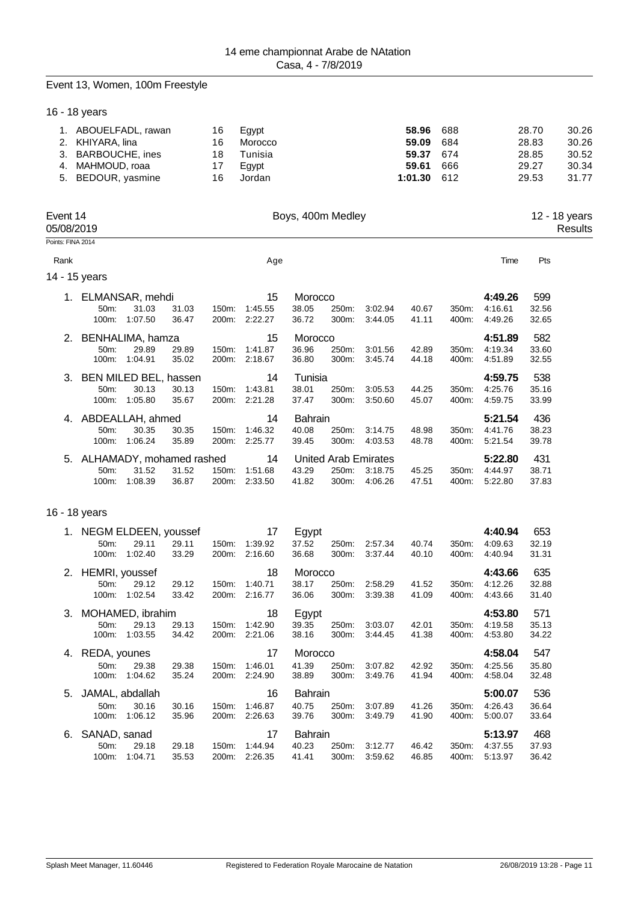#### Event 13, Women, 100m Freestyle

16 - 18 years

| 1. ABOUELFADL, rawan | 16 | Eqvpt   | 58.96 688     | 666 | 28.70 | 30.26 |
|----------------------|----|---------|---------------|-----|-------|-------|
| 2. KHIYARA, lina     | 16 | Morocco | 59.09 684     |     | 28.83 | 30.26 |
| 3. BARBOUCHE, ines   | 18 | Tunisia | 59.37 674     |     | 28.85 | 30.52 |
| 4. MAHMOUD, roaa     | 17 | Eavpt   | 59.61         |     | 29.27 | 30.34 |
| 5. BEDOUR, yasmine   | 16 | Jordan  | $1:01.30$ 612 |     | 29.53 | 31.77 |

| Event 14<br>05/08/2019 | Boys, 400m Medley | 12 - 18 vears<br>Results |
|------------------------|-------------------|--------------------------|
| Points: FINA 2014      |                   |                          |

Rank Age Time Pts

| ה+ח |  |
|-----|--|

|  |  |  |  | 14 - 15 years |
|--|--|--|--|---------------|
|--|--|--|--|---------------|

| $1_{\cdot}$ | 50 <sub>m</sub><br>100m: | ELMANSAR, mehdi<br>31.03<br>1:07.50 | 31.03<br>36.47 | $150m$ :<br>200m: | 15<br>1:45.55<br>2:22.27 | Morocco<br>38.05<br>36.72 | 250m:<br>300m: | 3:02.94<br>3:44.05   | 40.67<br>41.11 | 350m:<br>400m: | 4:49.26<br>4:16.61<br>4:49.26 | 599<br>32.56<br>32.65 |
|-------------|--------------------------|-------------------------------------|----------------|-------------------|--------------------------|---------------------------|----------------|----------------------|----------------|----------------|-------------------------------|-----------------------|
| 2.          |                          | BENHALIMA, hamza                    |                |                   | 15                       | Morocco                   |                |                      |                |                | 4:51.89                       | 582                   |
|             | 50m:                     | 29.89                               | 29.89          | $150m$ :          | 1:41.87                  | 36.96                     | 250m:          | 3:01.56              | 42.89          | 350m:          | 4:19.34                       | 33.60                 |
|             | 100m:                    | 1:04.91                             | 35.02          | 200m:             | 2:18.67                  | 36.80                     | 300m:          | 3:45.74              | 44.18          | 400m:          | 4:51.89                       | 32.55                 |
|             |                          | 3. BEN MILED BEL, hassen            |                |                   | 14                       | Tunisia                   |                |                      |                |                | 4:59.75                       | 538                   |
|             | 50m:                     | 30.13                               | 30.13          | 150m:             | 1:43.81                  | 38.01                     | 250m:          | 3:05.53              | 44.25          | 350m:          | 4:25.76                       | 35.16                 |
|             | 100m:                    | 1:05.80                             | 35.67          | 200m:             | 2:21.28                  | 37.47                     | 300m:          | 3:50.60              | 45.07          | 400m:          | 4:59.75                       | 33.99                 |
| 4.          |                          | ABDEALLAH, ahmed                    |                |                   | 14                       | <b>Bahrain</b>            |                |                      |                |                | 5:21.54                       | 436                   |
|             | 50 <sub>m</sub> :        | 30.35                               | 30.35          | 150m:             | 1:46.32                  | 40.08                     | 250m:          | 3:14.75              | 48.98          | 350m:          | 4:41.76                       | 38.23                 |
|             | 100m:                    | 1:06.24                             | 35.89          | 200m:             | 2:25.77                  | 39.45                     | 300m:          | 4:03.53              | 48.78          | 400m:          | 5:21.54                       | 39.78                 |
|             |                          | 5. ALHAMADY, mohamed rashed         |                |                   | 14                       |                           |                | United Arab Emirates |                |                | 5:22.80                       | 431                   |
|             | 50m:                     | 31.52                               | 31.52          | 150m:             | 1:51.68                  | 43.29                     | $250m$ :       | 3:18.75              | 45.25          | 350m:          | 4:44.97                       | 38.71                 |
|             | 100m:                    | 1:08.39                             | 36.87          | 200m:             | 2.33.50                  | 41.82                     | 300m:          | 4:06.26              | 47.51          | 400m:          | 5:22.80                       | 37.83                 |

#### 16 - 18 years

|                       | 1. NEGM ELDEEN, youssef |                   |                     | 17      | Egypt          |       |         |       |       | 4:40.94 | 653   |
|-----------------------|-------------------------|-------------------|---------------------|---------|----------------|-------|---------|-------|-------|---------|-------|
| $50m$ :               | 29.11                   | 29.11             | 150m:               | 1:39.92 | 37.52          | 250m: | 2:57.34 | 40.74 | 350m: | 4:09.63 | 32.19 |
| 100m:                 | 1:02.40                 | 33.29             | 200m:               | 2:16.60 | 36.68          | 300m: | 3:37.44 | 40.10 | 400m: | 4:40.94 | 31.31 |
|                       |                         |                   |                     | 18      |                |       |         |       |       | 4:43.66 | 635   |
| 50m:                  | 29.12                   | 29.12             | 150m:               | 1:40.71 | 38.17          | 250m: | 2:58.29 | 41.52 | 350m: | 4:12.26 | 32.88 |
| 100m:                 | 1:02.54                 | 33.42             | 200m:               | 2:16.77 | 36.06          | 300m: | 3:39.38 | 41.09 | 400m: | 4:43.66 | 31.40 |
|                       |                         |                   |                     | 18      |                |       |         |       |       | 4:53.80 | 571   |
| 50m:                  | 29.13                   | 29.13             | 150m:               | 1:42.90 | 39.35          | 250m: | 3:03.07 | 42.01 | 350m: | 4:19.58 | 35.13 |
| 100m:                 | 1:03.55                 | 34.42             | 200m:               | 2:21.06 | 38.16          | 300m: | 3:44.45 | 41.38 | 400m: | 4:53.80 | 34.22 |
|                       |                         |                   |                     |         |                |       |         |       |       |         |       |
| 4.                    |                         |                   |                     | 17      | Morocco        |       |         |       |       | 4:58.04 | 547   |
| REDA, younes<br>50m:  | 29.38                   | 29.38             | 150m.               | 1:46.01 | 41.39          | 250m: | 3:07.82 | 42.92 | 350m: | 4:25.56 | 35.80 |
| 100m:                 | 1:04.62                 | 35.24             | 200m:               | 2:24.90 | 38.89          | 300m: | 3:49.76 | 41.94 | 400m: | 4:58.04 | 32.48 |
| JAMAL, abdallah<br>5. |                         |                   |                     | 16      | <b>Bahrain</b> |       |         |       |       | 5:00.07 | 536   |
| 50m:                  | 30.16                   | 30.16             | 150m:               | 1:46.87 | 40.75          | 250m: | 3:07.89 | 41.26 | 350m: | 4:26.43 | 36.64 |
| 100m:                 | 1:06.12                 | 35.96             | 200 <sub>m</sub> :  | 2:26.63 | 39.76          | 300m: | 3:49.79 | 41.90 | 400m: | 5:00.07 | 33.64 |
| SANAD, sanad          |                         |                   |                     | 17      | <b>Bahrain</b> |       |         |       |       | 5:13.97 | 468   |
| 50m:                  | 29.18                   | 29.18             | 150m:               | 1:44.94 | 40.23          | 250m: | 3:12.77 | 46.42 | 350m: | 4:37.55 | 37.93 |
|                       |                         | 2. HEMRI, youssef | 3. MOHAMED, ibrahim |         |                | Egypt | Morocco |       |       |         |       |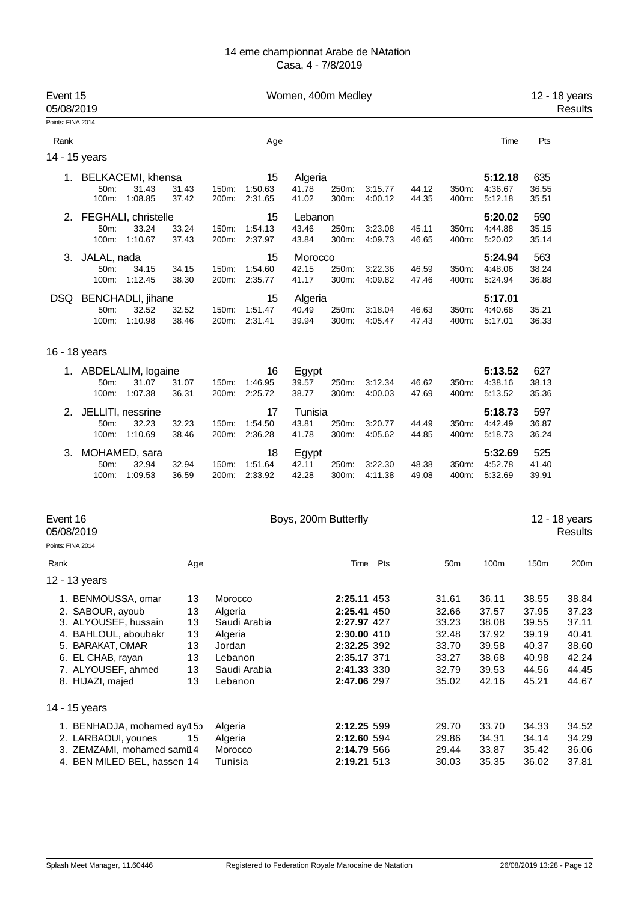| Event 15<br>05/08/2019                      |                                                                                                                                                                           |                                              | Women, 400m Medley                                            |                                |                           |                |                                                                                                                      |                |                                                                      |                                                                      |                                                                      | 12 - 18 years<br><b>Results</b>                                      |
|---------------------------------------------|---------------------------------------------------------------------------------------------------------------------------------------------------------------------------|----------------------------------------------|---------------------------------------------------------------|--------------------------------|---------------------------|----------------|----------------------------------------------------------------------------------------------------------------------|----------------|----------------------------------------------------------------------|----------------------------------------------------------------------|----------------------------------------------------------------------|----------------------------------------------------------------------|
| Points: FINA 2014                           |                                                                                                                                                                           |                                              |                                                               |                                |                           |                |                                                                                                                      |                |                                                                      |                                                                      |                                                                      |                                                                      |
| Rank                                        |                                                                                                                                                                           |                                              |                                                               | Age                            |                           |                |                                                                                                                      |                |                                                                      | Time                                                                 | Pts                                                                  |                                                                      |
|                                             | 14 - 15 years                                                                                                                                                             |                                              |                                                               |                                |                           |                |                                                                                                                      |                |                                                                      |                                                                      |                                                                      |                                                                      |
|                                             | 1. BELKACEMI, khensa<br>31.43<br>50m:<br>100m:<br>1:08.85                                                                                                                 | 31.43<br>37.42                               | 150m:<br>200m:                                                | 15<br>1:50.63<br>2:31.65       | Algeria<br>41.78<br>41.02 | 250m:<br>300m: | 3:15.77<br>4:00.12                                                                                                   | 44.12<br>44.35 | 350m:<br>400m:                                                       | 5:12.18<br>4:36.67<br>5:12.18                                        | 635<br>36.55<br>35.51                                                |                                                                      |
| 2.                                          | FEGHALI, christelle<br>50m:<br>33.24<br>100m:<br>1:10.67                                                                                                                  | 33.24<br>37.43                               | 150m:                                                         | 15<br>1:54.13<br>200m: 2:37.97 | Lebanon<br>43.46<br>43.84 | 250m:<br>300m: | 3:23.08<br>4:09.73                                                                                                   | 45.11<br>46.65 | 350m:<br>400m:                                                       | 5:20.02<br>4:44.88<br>5:20.02                                        | 590<br>35.15<br>35.14                                                |                                                                      |
| 3.                                          | JALAL, nada<br>50m:<br>34.15<br>1:12.45<br>100m:                                                                                                                          | 34.15<br>38.30                               | 150m:<br>200m:                                                | 15<br>1:54.60<br>2:35.77       | Morocco<br>42.15<br>41.17 | 250m:<br>300m: | 3:22.36<br>4:09.82                                                                                                   | 46.59<br>47.46 | 350m:<br>400m:                                                       | 5:24.94<br>4:48.06<br>5:24.94                                        | 563<br>38.24<br>36.88                                                |                                                                      |
| DSQ                                         | <b>BENCHADLI</b> , jihane<br>50m:<br>32.52<br>100m:<br>1:10.98                                                                                                            | 32.52<br>38.46                               | 150m:<br>200m:                                                | 15<br>1:51.47<br>2:31.41       | Algeria<br>40.49<br>39.94 | 250m:<br>300m: | 3:18.04<br>4:05.47                                                                                                   | 46.63<br>47.43 | 350m:<br>400m:                                                       | 5:17.01<br>4:40.68<br>5:17.01                                        | 35.21<br>36.33                                                       |                                                                      |
|                                             | 16 - 18 years                                                                                                                                                             |                                              |                                                               |                                |                           |                |                                                                                                                      |                |                                                                      |                                                                      |                                                                      |                                                                      |
|                                             | 1. ABDELALIM, logaine<br>50m:<br>31.07<br>100m:<br>1:07.38                                                                                                                | 31.07<br>36.31                               | 150m:                                                         | 16<br>1:46.95<br>200m: 2:25.72 | Egypt<br>39.57<br>38.77   | 250m:<br>300m: | 3:12.34<br>4:00.03                                                                                                   | 46.62<br>47.69 | 350m:<br>400m:                                                       | 5:13.52<br>4:38.16<br>5:13.52                                        | 627<br>38.13<br>35.36                                                |                                                                      |
| 2.                                          | JELLITI, nessrine<br>50m:<br>32.23<br>1:10.69<br>100m:                                                                                                                    | 32.23<br>38.46                               | 150m:<br>200m:                                                | 17<br>1:54.50<br>2:36.28       | Tunisia<br>43.81<br>41.78 | 250m:<br>300m: | 3:20.77<br>4:05.62                                                                                                   | 44.49<br>44.85 | 350m:<br>400m:                                                       | 5:18.73<br>4:42.49<br>5:18.73                                        | 597<br>36.87<br>36.24                                                |                                                                      |
| З.                                          | MOHAMED, sara<br>50m:<br>32.94<br>1:09.53<br>100m:                                                                                                                        | 32.94<br>36.59                               | 150m:<br>200m:                                                | 18<br>1:51.64<br>2:33.92       | Egypt<br>42.11<br>42.28   | 250m:<br>300m: | 3:22.30<br>4:11.38                                                                                                   | 48.38<br>49.08 | 350m:<br>400m:                                                       | 5:32.69<br>4:52.78<br>5:32.69                                        | 525<br>41.40<br>39.91                                                |                                                                      |
| Event 16<br>05/08/2019<br>Points: FINA 2014 |                                                                                                                                                                           |                                              |                                                               |                                | Boys, 200m Butterfly      |                |                                                                                                                      |                |                                                                      |                                                                      |                                                                      | 12 - 18 years<br>Results                                             |
| Rank                                        | 12 - 13 years                                                                                                                                                             | Age                                          |                                                               |                                |                           |                | Pts<br>Time                                                                                                          |                | 50 <sub>m</sub>                                                      | 100m                                                                 | 150m                                                                 | 200m                                                                 |
|                                             | 1. BENMOUSSA, omar<br>2. SABOUR, ayoub<br>3. ALYOUSEF, hussain<br>4. BAHLOUL, aboubakr<br>5. BARAKAT, OMAR<br>6. EL CHAB, rayan<br>7. ALYOUSEF, ahmed<br>8. HIJAZI, majed | 13<br>13<br>13<br>13<br>13<br>13<br>13<br>13 | Morocco<br>Algeria<br>Algeria<br>Jordan<br>Lebanon<br>Lebanon | Saudi Arabia<br>Saudi Arabia   |                           |                | 2:25.11 453<br>2:25.41 450<br>2:27.97 427<br>2:30.00 410<br>2:32.25 392<br>2:35.17 371<br>2:41.33 330<br>2:47.06 297 |                | 31.61<br>32.66<br>33.23<br>32.48<br>33.70<br>33.27<br>32.79<br>35.02 | 36.11<br>37.57<br>38.08<br>37.92<br>39.58<br>38.68<br>39.53<br>42.16 | 38.55<br>37.95<br>39.55<br>39.19<br>40.37<br>40.98<br>44.56<br>45.21 | 38.84<br>37.23<br>37.11<br>40.41<br>38.60<br>42.24<br>44.45<br>44.67 |
|                                             | 14 - 15 years                                                                                                                                                             |                                              |                                                               |                                |                           |                |                                                                                                                      |                |                                                                      |                                                                      |                                                                      |                                                                      |
|                                             | 1. BENHADJA, mohamed ay 15b<br>2. LARBAOUI, younes<br>3. ZEMZAMI, mohamed sam14<br>4. BEN MILED BEL, hassen 14                                                            | 15                                           | Algeria<br>Algeria<br>Morocco<br>Tunisia                      |                                |                           |                | 2:12.25 599<br>2:12.60 594<br>2:14.79 566<br>2:19.21 513                                                             |                | 29.70<br>29.86<br>29.44<br>30.03                                     | 33.70<br>34.31<br>33.87<br>35.35                                     | 34.33<br>34.14<br>35.42<br>36.02                                     | 34.52<br>34.29<br>36.06<br>37.81                                     |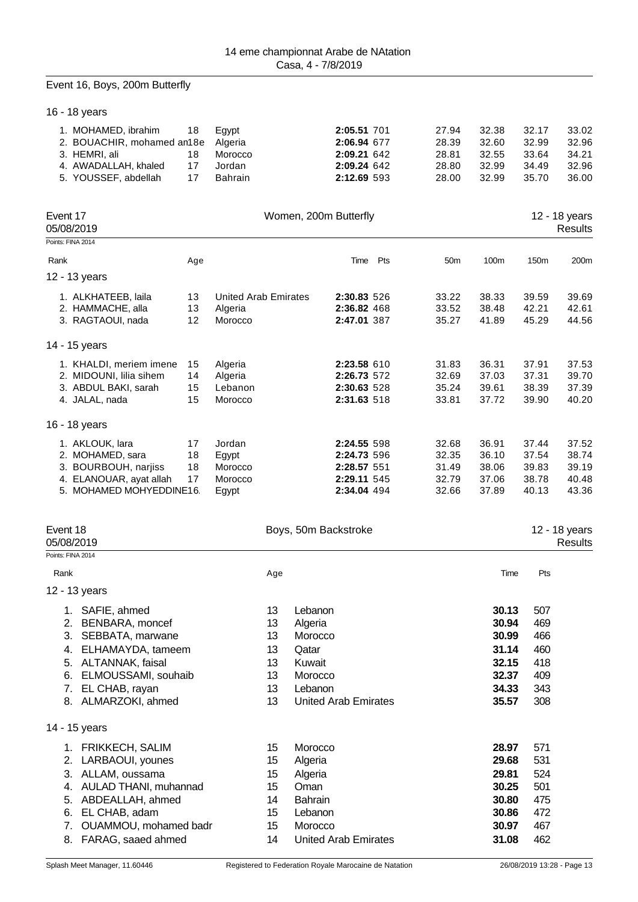## Event 16, Boys, 200m Butterfly

16 - 18 years

| 1. MOHAMED, ibrahim<br>2. BOUACHIR, mohamed an18e<br>3. HEMRI, ali<br>4. AWADALLAH, khaled<br>5. YOUSSEF, abdellah | 18<br>18<br>17<br>17 | Egypt<br>Algeria<br>Morocco<br>Jordan<br><b>Bahrain</b> |          | 2:05.51 701<br>2:06.94 677<br>2:09.21 642<br>2:09.24 642<br>2:12.69 593 |     | 27.94<br>28.39<br>28.81<br>28.80<br>28.00 | 32.38<br>32.60<br>32.55<br>32.99<br>32.99 | 32.17<br>32.99<br>33.64<br>34.49<br>35.70 | 33.02<br>32.96<br>34.21<br>32.96<br>36.00 |
|--------------------------------------------------------------------------------------------------------------------|----------------------|---------------------------------------------------------|----------|-------------------------------------------------------------------------|-----|-------------------------------------------|-------------------------------------------|-------------------------------------------|-------------------------------------------|
| Event 17<br>05/08/2019                                                                                             |                      |                                                         |          | Women, 200m Butterfly                                                   |     |                                           |                                           |                                           | 12 - 18 years<br><b>Results</b>           |
| Points: FINA 2014                                                                                                  |                      |                                                         |          |                                                                         |     |                                           |                                           |                                           |                                           |
| Rank                                                                                                               | Age                  |                                                         |          | Time                                                                    | Pts | 50 <sub>m</sub>                           | 100m                                      | 150m                                      | 200m                                      |
| 12 - 13 years                                                                                                      |                      |                                                         |          |                                                                         |     |                                           |                                           |                                           |                                           |
| 1. ALKHATEEB, laila                                                                                                | 13                   | <b>United Arab Emirates</b>                             |          | 2:30.83 526                                                             |     | 33.22                                     | 38.33                                     | 39.59                                     | 39.69                                     |
| 2. HAMMACHE, alla                                                                                                  | 13                   | Algeria                                                 |          | 2:36.82 468                                                             |     | 33.52                                     | 38.48                                     | 42.21                                     | 42.61                                     |
| 3. RAGTAOUI, nada                                                                                                  | 12                   | Morocco                                                 |          | 2:47.01 387                                                             |     | 35.27                                     | 41.89                                     | 45.29                                     | 44.56                                     |
| 14 - 15 years                                                                                                      |                      |                                                         |          |                                                                         |     |                                           |                                           |                                           |                                           |
| 1. KHALDI, meriem imene                                                                                            | 15                   | Algeria                                                 |          | 2:23.58 610                                                             |     | 31.83                                     | 36.31                                     | 37.91                                     | 37.53                                     |
| 2. MIDOUNI, lilia sihem                                                                                            | 14                   | Algeria                                                 |          | 2:26.73 572                                                             |     | 32.69                                     | 37.03                                     | 37.31                                     | 39.70                                     |
| 3. ABDUL BAKI, sarah<br>4. JALAL, nada                                                                             | 15<br>15             | Lebanon<br>Morocco                                      |          | 2:30.63 528<br>2:31.63 518                                              |     | 35.24<br>33.81                            | 39.61<br>37.72                            | 38.39<br>39.90                            | 37.39<br>40.20                            |
|                                                                                                                    |                      |                                                         |          |                                                                         |     |                                           |                                           |                                           |                                           |
| 16 - 18 years                                                                                                      |                      |                                                         |          |                                                                         |     |                                           |                                           |                                           |                                           |
| 1. AKLOUK, lara                                                                                                    | 17                   | Jordan                                                  |          | 2:24.55 598                                                             |     | 32.68                                     | 36.91                                     | 37.44                                     | 37.52                                     |
| 2. MOHAMED, sara<br>3. BOURBOUH, narjiss                                                                           | 18<br>18             | Egypt<br>Morocco                                        |          | 2:24.73 596<br>2:28.57 551                                              |     | 32.35<br>31.49                            | 36.10<br>38.06                            | 37.54<br>39.83                            | 38.74<br>39.19                            |
| 4. ELANOUAR, ayat allah                                                                                            | 17                   | Morocco                                                 |          | 2:29.11 545                                                             |     | 32.79                                     | 37.06                                     | 38.78                                     | 40.48                                     |
| 5. MOHAMED MOHYEDDINE16.                                                                                           |                      | Egypt                                                   |          | 2:34.04 494                                                             |     | 32.66                                     | 37.89                                     | 40.13                                     | 43.36                                     |
|                                                                                                                    |                      |                                                         |          |                                                                         |     |                                           |                                           |                                           |                                           |
| Event 18<br>05/08/2019                                                                                             |                      |                                                         |          | Boys, 50m Backstroke                                                    |     |                                           |                                           |                                           | 12 - 18 years<br><b>Results</b>           |
| Points: FINA 2014                                                                                                  |                      |                                                         |          |                                                                         |     |                                           |                                           |                                           |                                           |
| Rank                                                                                                               |                      |                                                         | Age      |                                                                         |     |                                           | Time                                      | Pts                                       |                                           |
| 12 - 13 years                                                                                                      |                      |                                                         |          |                                                                         |     |                                           |                                           |                                           |                                           |
| 1. SAFIE, ahmed                                                                                                    |                      |                                                         | 13       | Lebanon                                                                 |     |                                           | 30.13                                     | 507                                       |                                           |
| 2. BENBARA, moncef                                                                                                 |                      |                                                         | 13       | Algeria                                                                 |     |                                           | 30.94<br>30.99                            | 469<br>466                                |                                           |
| 3. SEBBATA, marwane<br>4. ELHAMAYDA, tameem                                                                        |                      |                                                         | 13<br>13 | Morocco<br>Qatar                                                        |     |                                           | 31.14                                     | 460                                       |                                           |
| 5. ALTANNAK, faisal                                                                                                |                      |                                                         | 13       | Kuwait                                                                  |     |                                           | 32.15                                     | 418                                       |                                           |
| 6. ELMOUSSAMI, souhaib                                                                                             |                      |                                                         | 13       | Morocco                                                                 |     |                                           | 32.37                                     | 409                                       |                                           |
| 7. EL CHAB, rayan                                                                                                  |                      |                                                         | 13       | Lebanon                                                                 |     |                                           | 34.33                                     | 343                                       |                                           |
| 8. ALMARZOKI, ahmed                                                                                                |                      |                                                         | 13       | <b>United Arab Emirates</b>                                             |     |                                           | 35.57                                     | 308                                       |                                           |
| 14 - 15 years                                                                                                      |                      |                                                         |          |                                                                         |     |                                           |                                           |                                           |                                           |
| 1. FRIKKECH, SALIM                                                                                                 |                      |                                                         | 15       | Morocco                                                                 |     |                                           | 28.97                                     | 571                                       |                                           |
| 2. LARBAOUI, younes                                                                                                |                      |                                                         | 15       | Algeria                                                                 |     |                                           | 29.68                                     | 531                                       |                                           |
| 3. ALLAM, oussama                                                                                                  |                      |                                                         | 15       | Algeria                                                                 |     |                                           | 29.81                                     | 524                                       |                                           |
| 4. AULAD THANI, muhannad                                                                                           |                      |                                                         | 15       | Oman                                                                    |     |                                           | 30.25                                     | 501                                       |                                           |
| 5. ABDEALLAH, ahmed<br>6.                                                                                          |                      |                                                         | 14<br>15 | <b>Bahrain</b><br>Lebanon                                               |     |                                           | 30.80<br>30.86                            | 475<br>472                                |                                           |
| EL CHAB, adam<br>OUAMMOU, mohamed badr<br>7.                                                                       |                      |                                                         | 15       | Morocco                                                                 |     |                                           | 30.97                                     | 467                                       |                                           |
| 8. FARAG, saaed ahmed                                                                                              |                      |                                                         | 14       | <b>United Arab Emirates</b>                                             |     |                                           | 31.08                                     | 462                                       |                                           |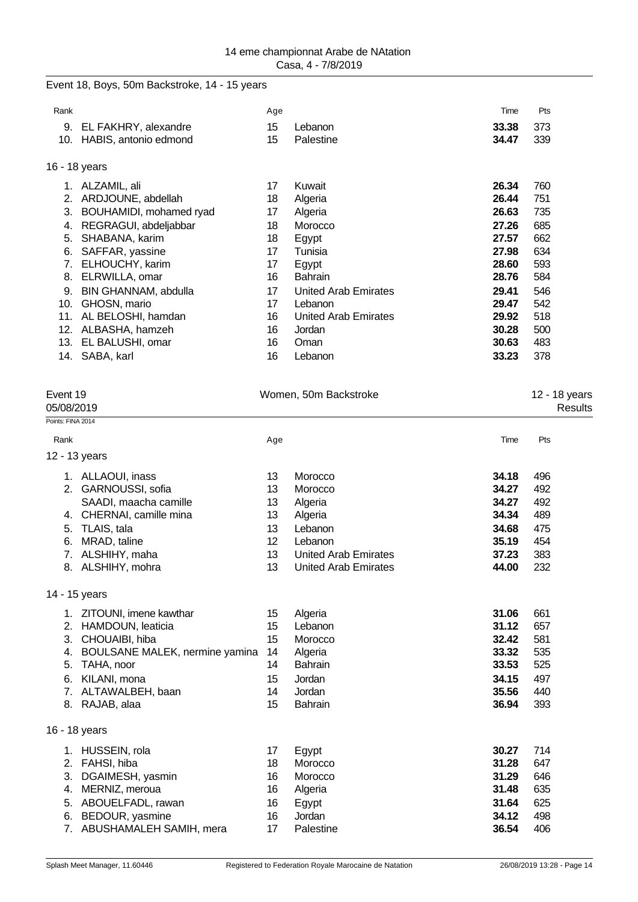## Event 18, Boys, 50m Backstroke, 14 - 15 years

| Rank |                         | Age |                             | Time  | Pts |
|------|-------------------------|-----|-----------------------------|-------|-----|
| 9.   | EL FAKHRY, alexandre    | 15  | Lebanon                     | 33.38 | 373 |
| 10.  | HABIS, antonio edmond   | 15  | Palestine                   | 34.47 | 339 |
|      | 16 - 18 years           |     |                             |       |     |
|      | ALZAMIL, ali            | 17  | Kuwait                      | 26.34 | 760 |
| 2.   | ARDJOUNE, abdellah      | 18  | Algeria                     | 26.44 | 751 |
| 3.   | BOUHAMIDI, mohamed ryad | 17  | Algeria                     | 26.63 | 735 |
| 4.   | REGRAGUI, abdeljabbar   | 18  | Morocco                     | 27.26 | 685 |
| 5.   | SHABANA, karim          | 18  | Egypt                       | 27.57 | 662 |
| 6.   | SAFFAR, yassine         | 17  | Tunisia                     | 27.98 | 634 |
| 7.   | ELHOUCHY, karim         | 17  | Egypt                       | 28.60 | 593 |
| 8.   | ELRWILLA, omar          | 16  | <b>Bahrain</b>              | 28.76 | 584 |
| 9.   | BIN GHANNAM, abdulla    | 17  | <b>United Arab Emirates</b> | 29.41 | 546 |
| 10.  | GHOSN, mario            | 17  | Lebanon                     | 29.47 | 542 |
| 11.  | AL BELOSHI, hamdan      | 16  | United Arab Emirates        | 29.92 | 518 |
| 12.  | ALBASHA, hamzeh         | 16  | Jordan                      | 30.28 | 500 |
| 13.  | EL BALUSHI, omar        | 16  | Oman                        | 30.63 | 483 |
| 14.  | SABA, karl              | 16  | Lebanon                     | 33.23 | 378 |
|      |                         |     |                             |       |     |

| Event 19<br>05/08/2019 |                                |     | Women, 50m Backstroke       |       | 12 - 18 years |
|------------------------|--------------------------------|-----|-----------------------------|-------|---------------|
|                        |                                |     |                             |       | Results       |
| Points: FINA 2014      |                                |     |                             |       |               |
| Rank                   |                                | Age |                             | Time  | Pts           |
|                        | 12 - 13 years                  |     |                             |       |               |
|                        | 1. ALLAOUI, inass              | 13  | Morocco                     | 34.18 | 496           |
|                        | 2. GARNOUSSI, sofia            | 13  | Morocco                     | 34.27 | 492           |
|                        | SAADI, maacha camille          | 13  | Algeria                     | 34.27 | 492           |
|                        | 4. CHERNAI, camille mina       | 13  | Algeria                     | 34.34 | 489           |
| 5.                     | TLAIS, tala                    | 13  | Lebanon                     | 34.68 | 475           |
| 6.                     | MRAD, taline                   | 12  | Lebanon                     | 35.19 | 454           |
|                        | 7. ALSHIHY, maha               | 13  | <b>United Arab Emirates</b> | 37.23 | 383           |
|                        | 8. ALSHIHY, mohra              | 13  | <b>United Arab Emirates</b> | 44.00 | 232           |
|                        | 14 - 15 years                  |     |                             |       |               |
|                        | 1. ZITOUNI, imene kawthar      | 15  | Algeria                     | 31.06 | 661           |
|                        | 2. HAMDOUN, leaticia           | 15  | Lebanon                     | 31.12 | 657           |
|                        | 3. CHOUAIBI, hiba              | 15  | Morocco                     | 32.42 | 581           |
| 4.                     | BOULSANE MALEK, nermine yamina | 14  | Algeria                     | 33.32 | 535           |
| 5.                     | TAHA, noor                     | 14  | <b>Bahrain</b>              | 33.53 | 525           |
| 6.                     | KILANI, mona                   | 15  | Jordan                      | 34.15 | 497           |
|                        | 7. ALTAWALBEH, baan            | 14  | Jordan                      | 35.56 | 440           |
| 8.                     | RAJAB, alaa                    | 15  | <b>Bahrain</b>              | 36.94 | 393           |
|                        | 16 - 18 years                  |     |                             |       |               |
|                        | 1. HUSSEIN, rola               | 17  | Egypt                       | 30.27 | 714           |
| 2.                     | FAHSI, hiba                    | 18  | Morocco                     | 31.28 | 647           |
| 3.                     | DGAIMESH, yasmin               | 16  | Morocco                     | 31.29 | 646           |
| 4.                     | MERNIZ, meroua                 | 16  | Algeria                     | 31.48 | 635           |
| 5.                     | ABOUELFADL, rawan              | 16  | Egypt                       | 31.64 | 625           |
|                        | 6. BEDOUR, yasmine             | 16  | Jordan                      | 34.12 | 498           |
| 7.                     | ABUSHAMALEH SAMIH, mera        | 17  | Palestine                   | 36.54 | 406           |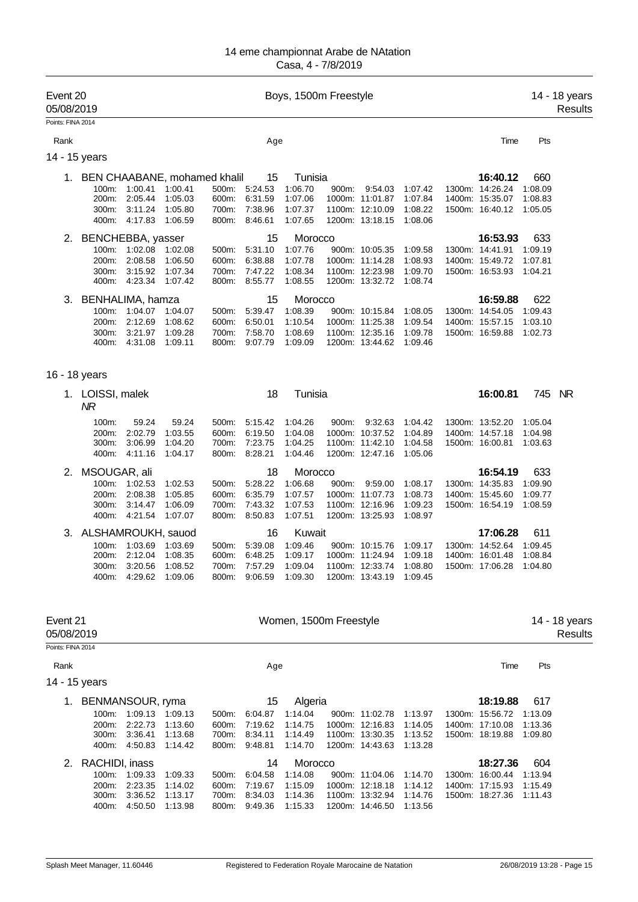| Event 20<br>05/08/2019 |                                              |                                     |                               |                         |                               | Boys, 1500m Freestyle         |       |                                                       |                               |                                    |                    | 14 - 18 years<br>Results |
|------------------------|----------------------------------------------|-------------------------------------|-------------------------------|-------------------------|-------------------------------|-------------------------------|-------|-------------------------------------------------------|-------------------------------|------------------------------------|--------------------|--------------------------|
| Points: FINA 2014      |                                              |                                     |                               |                         |                               |                               |       |                                                       |                               |                                    |                    |                          |
| Rank                   |                                              |                                     |                               |                         | Age                           |                               |       |                                                       |                               | Time                               | Pts                |                          |
| 14 - 15 years          |                                              |                                     |                               |                         |                               |                               |       |                                                       |                               |                                    |                    |                          |
|                        | 1. BEN CHAABANE, mohamed khalil<br>100m:     | 1:00.41                             | 1:00.41                       | 500m:                   | 15<br>5:24.53                 | Tunisia<br>1:06.70            | 900m: | 9:54.03                                               | 1:07.42                       | 16:40.12<br>1300m: 14:26.24        | 660<br>1:08.09     |                          |
|                        | 200m:<br>300m:                               | 2:05.44<br>3:11.24<br>400m: 4:17.83 | 1:05.03<br>1:05.80<br>1:06.59 | 600m:<br>700m:<br>800m: | 6:31.59<br>7:38.96<br>8:46.61 | 1:07.06<br>1:07.37<br>1:07.65 |       | 1000m: 11:01.87<br>1100m: 12:10.09<br>1200m: 13:18.15 | 1:07.84<br>1:08.22<br>1:08.06 | 1400m: 15:35.07<br>1500m: 16:40.12 | 1:08.83<br>1:05.05 |                          |
|                        |                                              |                                     |                               |                         |                               |                               |       |                                                       |                               |                                    |                    |                          |
| 2.                     | BENCHEBBA, yasser<br>100m:                   | 1:02.08                             | 1:02.08                       | 500m:                   | 15<br>5:31.10                 | Morocco<br>1:07.76            |       | 900m: 10:05.35                                        | 1:09.58                       | 16:53.93<br>1300m: 14:41.91        | 633<br>1:09.19     |                          |
|                        | 200m:                                        | 2:08.58                             | 1:06.50                       | 600m:                   | 6:38.88                       | 1:07.78                       |       | 1000m: 11:14.28                                       | 1:08.93                       | 1400m: 15:49.72                    | 1:07.81            |                          |
|                        | 300m:<br>400m:                               | 3:15.92<br>4:23.34                  | 1:07.34<br>1:07.42            | 700m:<br>800m:          | 7:47.22<br>8:55.77            | 1:08.34<br>1:08.55            |       | 1100m: 12:23.98<br>1200m: 13:32.72                    | 1:09.70<br>1:08.74            | 1500m: 16:53.93                    | 1:04.21            |                          |
| 3.                     | BENHALIMA, hamza                             |                                     |                               |                         | 15                            | Morocco                       |       |                                                       |                               | 16:59.88                           | 622                |                          |
|                        | 100m:                                        | 1:04.07                             | 1:04.07                       | 500m:                   | 5:39.47                       | 1:08.39                       |       | 900m: 10:15.84                                        | 1:08.05                       | 1300m: 14:54.05                    | 1:09.43            |                          |
|                        | 200m:<br>300m:<br>400m:                      | 2:12.69<br>3:21.97<br>4:31.08       | 1:08.62<br>1:09.28<br>1:09.11 | 600m:<br>700m:<br>800m: | 6:50.01<br>7:58.70<br>9:07.79 | 1:10.54<br>1:08.69<br>1:09.09 |       | 1000m: 11:25.38<br>1100m: 12:35.16<br>1200m: 13:44.62 | 1:09.54<br>1:09.78<br>1:09.46 | 1400m: 15:57.15<br>1500m: 16:59.88 | 1:03.10<br>1:02.73 |                          |
| 16 - 18 years          |                                              |                                     |                               |                         |                               |                               |       |                                                       |                               |                                    |                    |                          |
|                        | 1. LOISSI, malek<br>$\overline{\mathsf{MR}}$ |                                     |                               |                         | 18                            | Tunisia                       |       |                                                       |                               | 16:00.81                           | 745                | <b>NR</b>                |
|                        | 100m:                                        | 59.24                               | 59.24                         | 500m:                   | 5:15.42                       | 1:04.26                       | 900m: | 9:32.63                                               | 1:04.42                       | 1300m: 13:52.20                    | 1:05.04            |                          |
|                        | 200m:                                        | 2:02.79                             | 1:03.55                       | 600m:                   | 6:19.50<br>7:23.75            | 1:04.08                       |       | 1000m: 10:37.52                                       | 1:04.89                       | 1400m: 14:57.18                    | 1:04.98            |                          |
|                        | 300m:<br>400m:                               | 3:06.99<br>4:11.16                  | 1:04.20<br>1:04.17            | 700m:<br>800m:          | 8:28.21                       | 1:04.25<br>1:04.46            |       | 1100m: 11:42.10<br>1200m: 12:47.16                    | 1:04.58<br>1:05.06            | 1500m: 16:00.81                    | 1:03.63            |                          |
| 2.                     | MSOUGAR, ali                                 |                                     |                               |                         | 18                            | Morocco                       |       |                                                       |                               | 16:54.19                           | 633                |                          |
|                        | 100m:                                        | 1:02.53                             | 1:02.53                       | 500m:                   | 5:28.22                       | 1:06.68                       | 900m: | 9:59.00                                               | 1:08.17                       | 1300m: 14:35.83                    | 1:09.90            |                          |
|                        | 200m:                                        | 2:08.38                             | 1:05.85                       | 600m:                   | 6:35.79                       | 1:07.57                       |       | 1000m: 11:07.73                                       | 1:08.73                       | 1400m: 15:45.60                    | 1:09.77            |                          |
|                        | 300m:                                        | 3:14.47                             | 1:06.09                       | 700m:                   | 7:43.32                       | 1:07.53                       |       | 1100m: 12:16.96                                       | 1:09.23                       | 1500m: 16:54.19                    | 1:08.59            |                          |
|                        | 400m:                                        | 4:21.54                             | 1:07.07                       | 800m:                   | 8:50.83                       | 1:07.51                       |       | 1200m: 13:25.93                                       | 1:08.97                       |                                    |                    |                          |
| З.                     | ALSHAMROUKH, sauod                           |                                     |                               |                         | 16                            | Kuwait                        |       |                                                       |                               | 17:06.28                           | 611                |                          |
|                        | 100m:                                        | 1:03.69                             | 1:03.69                       | 500m:                   | 5:39.08                       | 1:09.46                       |       | 900m: 10:15.76                                        | 1:09.17                       | 1300m: 14:52.64                    | 1:09.45            |                          |
|                        | 200m:<br>300m:                               | 2:12.04<br>3:20.56                  | 1:08.35<br>1:08.52            | 600m:<br>700m:          | 6:48.25<br>7:57.29            | 1:09.17<br>1:09.04            |       | 1000m: 11:24.94<br>1100m: 12:33.74                    | 1:09.18<br>1:08.80            | 1400m: 16:01.48<br>1500m: 17:06.28 | 1:08.84<br>1:04.80 |                          |
|                        | 400m:                                        | 4:29.62                             | 1:09.06                       | 800m:                   | 9:06.59                       | 1:09.30                       |       | 1200m: 13:43.19                                       | 1:09.45                       |                                    |                    |                          |
| Event 21               |                                              |                                     |                               |                         |                               | Women, 1500m Freestyle        |       |                                                       |                               |                                    |                    | 14 - 18 years            |
| 05/08/2019             |                                              |                                     |                               |                         |                               |                               |       |                                                       |                               |                                    |                    | Results                  |
| Points: FINA 2014      |                                              |                                     |                               |                         |                               |                               |       |                                                       |                               |                                    |                    |                          |
| Rank<br>14 - 15 years  |                                              |                                     |                               |                         | Age                           |                               |       |                                                       |                               | Time                               | Pts                |                          |
|                        |                                              |                                     |                               |                         |                               |                               |       |                                                       |                               |                                    |                    |                          |
|                        | 1. BENMANSOUR, ryma<br>100m:                 | 1:09.13                             | 1:09.13                       | 500m:                   | 15<br>6:04.87                 | Algeria<br>1:14.04            |       | 900m: 11:02.78                                        | 1:13.97                       | 18:19.88<br>1300m: 15:56.72        | 617<br>1:13.09     |                          |
|                        | 200m:                                        | 2:22.73                             | 1:13.60                       | 600m:                   | 7:19.62                       | 1:14.75                       |       | 1000m: 12:16.83                                       | 1:14.05                       | 1400m: 17:10.08                    | 1:13.36            |                          |
|                        | 300m:                                        | 3:36.41                             | 1:13.68                       | 700m:                   | 8:34.11                       | 1:14.49                       |       | 1100m: 13:30.35                                       | 1:13.52                       | 1500m: 18:19.88                    | 1:09.80            |                          |
|                        | 400m:                                        | 4:50.83                             | 1:14.42                       | 800m:                   | 9:48.81                       | 1:14.70                       |       | 1200m: 14:43.63                                       | 1:13.28                       |                                    |                    |                          |
| 2.                     | RACHIDI, inass                               |                                     |                               |                         | 14                            | Morocco                       |       |                                                       |                               | 18:27.36                           | 604                |                          |
|                        | 100m:                                        | 1:09.33                             | 1:09.33                       | 500m:                   | 6:04.58                       | 1:14.08                       |       | 900m: 11:04.06                                        | 1:14.70                       | 1300m: 16:00.44                    | 1:13.94            |                          |
|                        | 200m:<br>300m:                               | 2:23.35<br>3:36.52                  | 1:14.02<br>1:13.17            | 600m:<br>700m:          | 7:19.67<br>8:34.03            | 1:15.09<br>1:14.36            |       | 1000m: 12:18.18<br>1100m: 13:32.94                    | 1:14.12<br>1:14.76            | 1400m: 17:15.93<br>1500m: 18:27.36 | 1:15.49<br>1:11.43 |                          |
|                        | 400m:                                        | 4:50.50                             | 1:13.98                       | 800m:                   | 9:49.36                       | 1:15.33                       |       | 1200m: 14:46.50                                       | 1:13.56                       |                                    |                    |                          |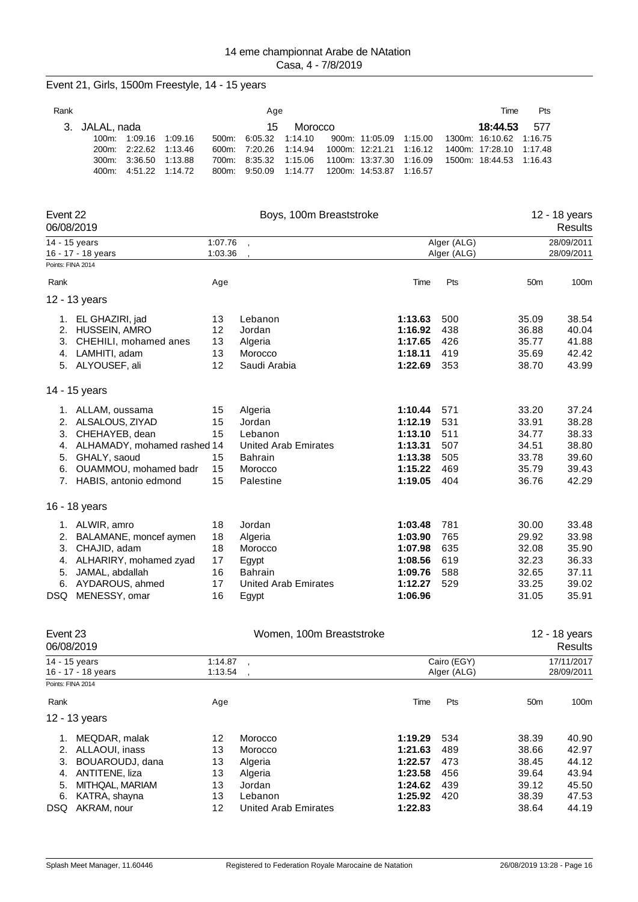| Event 21, Girls, 1500m Freestyle, 14 - 15 years                                                                                                                                    |                                        |                                                                                                       |                                                     |                                                                         |                                                                           |                                               |                                                                   |                                                             |                                                             |
|------------------------------------------------------------------------------------------------------------------------------------------------------------------------------------|----------------------------------------|-------------------------------------------------------------------------------------------------------|-----------------------------------------------------|-------------------------------------------------------------------------|---------------------------------------------------------------------------|-----------------------------------------------|-------------------------------------------------------------------|-------------------------------------------------------------|-------------------------------------------------------------|
| Rank                                                                                                                                                                               |                                        | Age                                                                                                   |                                                     |                                                                         |                                                                           |                                               | Time                                                              | Pts                                                         |                                                             |
| 3.<br>JALAL, nada<br>100m: 1:09.16<br>1:09.16<br>200m:<br>2:22.62<br>1:13.46<br>3:36.50<br>1:13.88<br>300m:<br>400m:<br>4:51.22<br>1:14.72                                         | 500m:<br>600m:<br>700m:<br>800m:       | 15<br>6:05.32<br>7:20.26<br>8:35.32<br>9:50.09                                                        | Morocco<br>1:14.10<br>1:14.94<br>1:15.06<br>1:14.77 | 900m: 11:05.09<br>1000m: 12:21.21<br>1100m: 13:37.30<br>1200m: 14:53.87 | 1:15.00<br>1:16.12<br>1:16.09<br>1:16.57                                  |                                               | 18:44.53<br>1300m: 16:10.62<br>1400m: 17:28.10<br>1500m: 18:44.53 | 577<br>1:16.75<br>1:17.48<br>1:16.43                        |                                                             |
| Event 22<br>06/08/2019                                                                                                                                                             |                                        |                                                                                                       | Boys, 100m Breaststroke                             |                                                                         |                                                                           |                                               |                                                                   |                                                             | 12 - 18 years<br>Results                                    |
| 14 - 15 years<br>16 - 17 - 18 years                                                                                                                                                | 1:07.76<br>1:03.36                     |                                                                                                       |                                                     |                                                                         |                                                                           | Alger (ALG)<br>Alger (ALG)                    |                                                                   |                                                             | 28/09/2011<br>28/09/2011                                    |
| Points: FINA 2014                                                                                                                                                                  |                                        |                                                                                                       |                                                     |                                                                         |                                                                           |                                               |                                                                   |                                                             |                                                             |
| Rank                                                                                                                                                                               | Age                                    |                                                                                                       |                                                     |                                                                         | Time                                                                      | Pts                                           |                                                                   | 50 <sub>m</sub>                                             | 100m                                                        |
| 12 - 13 years                                                                                                                                                                      |                                        |                                                                                                       |                                                     |                                                                         |                                                                           |                                               |                                                                   |                                                             |                                                             |
| 1. EL GHAZIRI, jad<br>2. HUSSEIN, AMRO<br>3. CHEHILI, mohamed anes<br>4. LAMHITI, adam<br>5. ALYOUSEF, ali                                                                         | 13<br>12<br>13<br>13<br>12             | Lebanon<br>Jordan<br>Algeria<br>Morocco<br>Saudi Arabia                                               |                                                     |                                                                         | 1:13.63<br>1:16.92<br>1:17.65<br>1:18.11<br>1:22.69                       | 500<br>438<br>426<br>419<br>353               |                                                                   | 35.09<br>36.88<br>35.77<br>35.69<br>38.70                   | 38.54<br>40.04<br>41.88<br>42.42<br>43.99                   |
| 14 - 15 years                                                                                                                                                                      |                                        |                                                                                                       |                                                     |                                                                         |                                                                           |                                               |                                                                   |                                                             |                                                             |
| 1. ALLAM, oussama<br>2. ALSALOUS, ZIYAD<br>3. CHEHAYEB, dean<br>ALHAMADY, mohamed rashed 14<br>4.<br>5.<br>GHALY, saoud<br>OUAMMOU, mohamed badr<br>6.<br>7. HABIS, antonio edmond | 15<br>15<br>15<br>15<br>15<br>15       | Algeria<br>Jordan<br>Lebanon<br><b>United Arab Emirates</b><br><b>Bahrain</b><br>Morocco<br>Palestine |                                                     |                                                                         | 1:10.44<br>1:12.19<br>1:13.10<br>1:13.31<br>1:13.38<br>1:15.22<br>1:19.05 | 571<br>531<br>511<br>507<br>505<br>469<br>404 |                                                                   | 33.20<br>33.91<br>34.77<br>34.51<br>33.78<br>35.79<br>36.76 | 37.24<br>38.28<br>38.33<br>38.80<br>39.60<br>39.43<br>42.29 |
| 16 - 18 years                                                                                                                                                                      |                                        |                                                                                                       |                                                     |                                                                         |                                                                           |                                               |                                                                   |                                                             |                                                             |
| 1. ALWIR, amro<br>2. BALAMANE, moncef aymen<br>3. CHAJID, adam<br>4. ALHARIRY, mohamed zyad<br>JAMAL, abdallah<br>5.<br>6. AYDAROUS, ahmed<br>DSQ MENESSY, omar                    | 18<br>18<br>18<br>17<br>16<br>17<br>16 | Jordan<br>Algeria<br>Morocco<br>Egypt<br><b>Bahrain</b><br><b>United Arab Emirates</b><br>Egypt       |                                                     |                                                                         | 1:03.48<br>1:03.90<br>1:07.98<br>1:08.56<br>1:09.76<br>1:12.27<br>1:06.96 | 781<br>765<br>635<br>619<br>588<br>529        |                                                                   | 30.00<br>29.92<br>32.08<br>32.23<br>32.65<br>33.25<br>31.05 | 33.48<br>33.98<br>35.90<br>36.33<br>37.11<br>39.02<br>35.91 |
| Event 23<br>06/08/2019                                                                                                                                                             |                                        |                                                                                                       | Women, 100m Breaststroke                            |                                                                         |                                                                           |                                               |                                                                   |                                                             | 12 - 18 years<br><b>Results</b>                             |
| 14 - 15 years<br>16 - 17 - 18 years<br>Dointe: EINA 2014                                                                                                                           | 1:14.87<br>1:13.54                     |                                                                                                       |                                                     |                                                                         |                                                                           | Cairo (EGY)<br>Alger (ALG)                    |                                                                   |                                                             | 17/11/2017<br>28/09/2011                                    |

| Points: FINA 2014 |                   |     |                      |         |     |                 |       |
|-------------------|-------------------|-----|----------------------|---------|-----|-----------------|-------|
| Rank              |                   | Age |                      | Time    | Pts | 50 <sub>m</sub> | 100m  |
|                   | 12 - 13 years     |     |                      |         |     |                 |       |
|                   | MEQDAR, malak     | 12  | Morocco              | 1:19.29 | 534 | 38.39           | 40.90 |
|                   | 2. ALLAOUI, inass | 13  | Morocco              | 1:21.63 | 489 | 38.66           | 42.97 |
| 3.                | BOUAROUDJ, dana   | 13  | Algeria              | 1:22.57 | 473 | 38.45           | 44.12 |
| 4.                | ANTITENE, liza    | 13  | Algeria              | 1:23.58 | 456 | 39.64           | 43.94 |
| 5.                | MITHQAL, MARIAM   | 13  | Jordan               | 1:24.62 | 439 | 39.12           | 45.50 |
| 6.                | KATRA, shayna     | 13  | Lebanon              | 1:25.92 | 420 | 38.39           | 47.53 |
| DSQ.              | AKRAM, nour       | 12  | United Arab Emirates | 1:22.83 |     | 38.64           | 44.19 |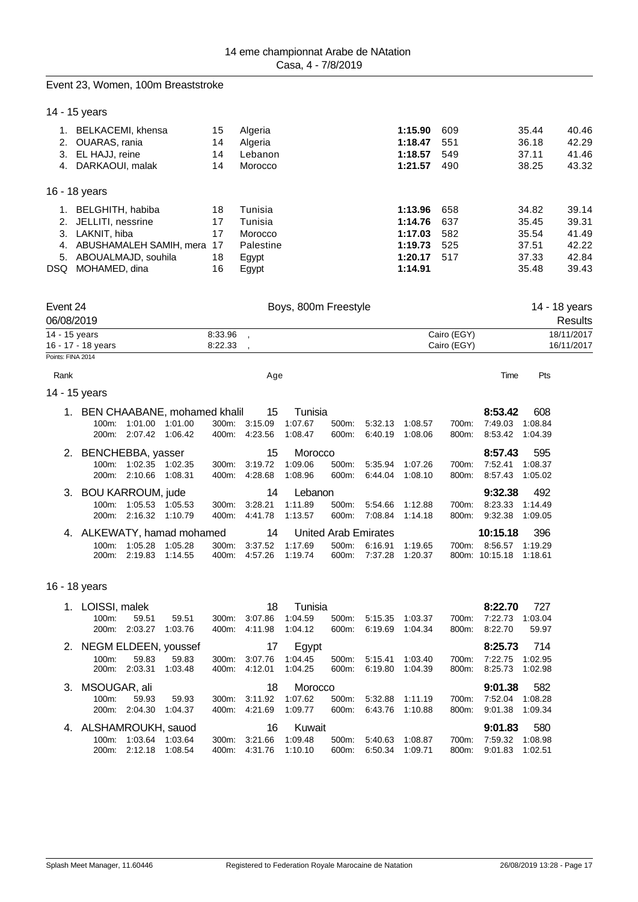#### Event 23, Women, 100m Breaststroke

14 - 15 years

|     | BELKACEMI, khensa          | 15 | Algeria   | 1:15.90 | 609 | 35.44 | 40.46 |
|-----|----------------------------|----|-----------|---------|-----|-------|-------|
| 2.  | OUARAS, rania              | 14 | Algeria   | 1:18.47 | 551 | 36.18 | 42.29 |
| 3.  | EL HAJJ, reine             | 14 | Lebanon   | 1:18.57 | 549 | 37.11 | 41.46 |
| 4.  | DARKAOUI, malak            | 14 | Morocco   | 1:21.57 | 490 | 38.25 | 43.32 |
|     | 16 - 18 years              |    |           |         |     |       |       |
| 1.  | BELGHITH, habiba           | 18 | Tunisia   | 1:13.96 | 658 | 34.82 | 39.14 |
| 2.  | JELLITI, nessrine          | 17 | Tunisia   | 1:14.76 | 637 | 35.45 | 39.31 |
| 3.  | LAKNIT, hiba               | 17 | Morocco   | 1:17.03 | 582 | 35.54 | 41.49 |
| 4.  | ABUSHAMALEH SAMIH, mera 17 |    | Palestine | 1:19.73 | 525 | 37.51 | 42.22 |
| 5.  | ABOUALMAJD, souhila        | 18 | Egypt     | 1:20.17 | 517 | 37.33 | 42.84 |
| DSQ | MOHAMED, dina              | 16 | Egypt     | 1:14.91 |     | 35.48 | 39.43 |
|     |                            |    |           |         |     |       |       |

| Event 24           | Boys, 800m Freestyle |             | 14 - 18 vears<br>Results |
|--------------------|----------------------|-------------|--------------------------|
| 06/08/2019         |                      |             |                          |
| 14 - 15 years      | 8:33.96              | Cairo (EGY) | 18/11/2017               |
| 16 - 17 - 18 years | 8:22.33              | Cairo (EGY) | 16/11/2017               |
| Points: FINA 2014  |                      |             |                          |

Rank and the control of the control of the Age of the Control of the Control of the Pts and the Pts of the Pts

14 - 15 years

|                      |                    | 1. BEN CHAABANE, mohamed khalil |       | -15     | Tunisia |                      |                    |         |       | 8:53.42  | 608     |
|----------------------|--------------------|---------------------------------|-------|---------|---------|----------------------|--------------------|---------|-------|----------|---------|
| $100m$ :             | 1:01.00            | 1:01.00                         | 300m: | 3:15.09 | 1:07.67 | 500m:                | 5:32.13            | 1:08.57 | 700m: | 7:49.03  | 1:08.84 |
| 200m:                | 2:07.42            | 1:06.42                         | 400m: | 4:23.56 | 1:08.47 | 600m:                | 6:40.19            | 1:08.06 | 800m: | 8:53.42  | 1:04.39 |
| 2. BENCHEBBA, yasser |                    |                                 |       | 15      | Morocco |                      |                    |         |       | 8:57.43  | 595     |
| $100m$ :             | 1:02.35            | 1:02.35                         | 300m: | 3:19.72 | 1:09.06 | 500m:                | 5:35.94            | 1:07.26 | 700m: | 7:52.41  | 1:08.37 |
| 200m:                | 2:10.66            | 1:08.31                         | 400m: | 4:28.68 | 1:08.96 | 600m:                | 6:44.04            | 1:08.10 | 800m: | 8:57.43  | 1:05.02 |
|                      |                    |                                 |       |         |         |                      |                    |         |       |          |         |
|                      |                    | 3. BOU KARROUM, jude            |       | 14      | Lebanon |                      |                    |         |       | 9:32.38  | 492     |
| $100m$ :             | 1:05.53            | 1:05.53                         | 300m. | 3:28.21 | 1:11.89 | 500m:                | 5:54.66            | 1:12.88 | 700m: | 8:23.33  | 1:14.49 |
| 200m:                | 2:16.32            | 1:10.79                         | 400m: | 4:41.78 | 1:13.57 | 600m:                | 7:08.84            | 1:14.18 | 800m: | 9:32.38  | 1:09.05 |
|                      |                    | 4. ALKEWATY, hamad mohamed      |       | 14      |         | United Arab Emirates |                    |         |       | 10:15.18 | 396     |
| $100m$ :             | 1:05.28<br>2:19.83 | 1:05.28                         | 300m: | 3:37.52 | 1:17.69 | $500m$ :             | 6:16.91<br>7:37.28 | 1:19.65 | 700m: | 8:56.57  | 1:19.29 |

16 - 18 years

| 1. | LOISSI, malek         |         |                         |          | 18      | Tunisia |          |         |         |       | 8:22.70 | 727     |
|----|-----------------------|---------|-------------------------|----------|---------|---------|----------|---------|---------|-------|---------|---------|
|    | $100m$ :              | 59.51   | 59.51                   | $300m$ : | 3:07.86 | 1:04.59 | 500m:    | 5:15.35 | 1:03.37 | 700m: | 7:22.73 | 1:03.04 |
|    | $200m$ :              | 2:03.27 | 1:03.76                 | 400m:    | 4:11.98 | 1:04.12 | 600m:    | 6:19.69 | 1:04.34 | 800m: | 8:22.70 | 59.97   |
|    |                       |         | 2. NEGM ELDEEN, youssef |          | -17     | Egypt   |          |         |         |       | 8:25.73 | 714     |
|    | $100m$ :              | 59.83   | 59.83                   | $300m$ : | 3:07.76 | 1:04.45 | $500m$ : | 5:15.41 | 1:03.40 | 700m: | 7:22.75 | 1:02.95 |
|    | $200m$ :              | 2:03.31 | 1:03.48                 | 400m:    | 4:12.01 | 1:04.25 | 600m:    | 6:19.80 | 1:04.39 | 800m: | 8:25.73 | 1:02.98 |
|    |                       |         |                         |          |         |         |          |         |         |       |         |         |
|    | 3. MSOUGAR, ali       |         |                         |          | 18      | Morocco |          |         |         |       | 9:01.38 | 582     |
|    | $100m$ :              | 59.93   | 59.93                   | 300m:    | 3:11.92 | 1:07.62 | 500m:    | 5:32.88 | 1:11.19 | 700m: | 7:52.04 | 1:08.28 |
|    | 200m:                 | 2:04.30 | 1:04.37                 | 400m:    | 4:21.69 | 1:09.77 | 600m:    | 6:43.76 | 1:10.88 | 800m: | 9:01.38 | 1:09.34 |
|    | 4. ALSHAMROUKH, sauod |         |                         |          | 16      | Kuwait  |          |         |         |       | 9:01.83 | 580     |
|    | $100m$ :              | 1:03.64 | 1:03.64                 | $300m$ : | 3:21.66 | 1:09.48 | 500m:    | 5:40.63 | 1:08.87 | 700m: | 7:59.32 | 1:08.98 |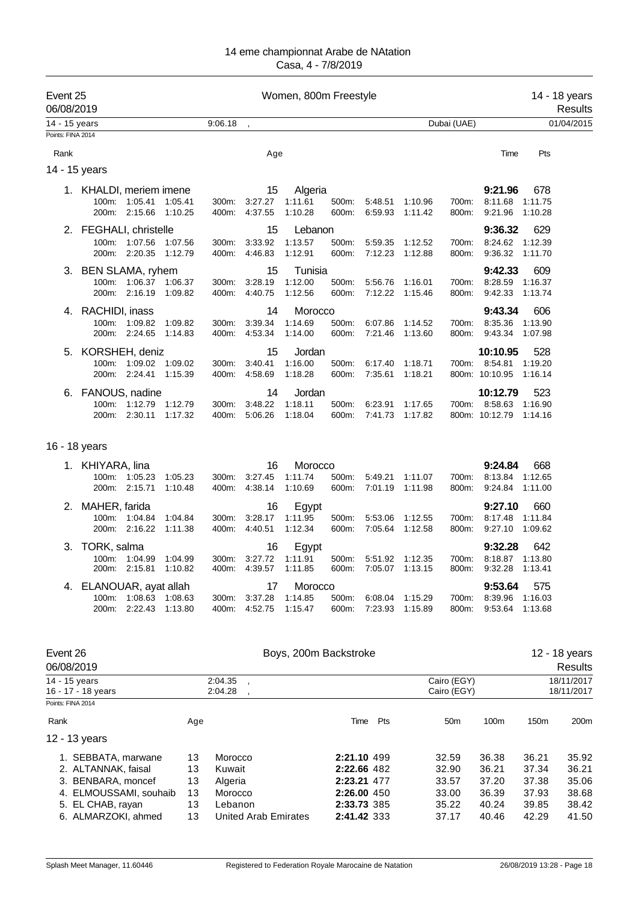| Event 25<br>06/08/2019             |                                                                                                                                        |                                        |                                  | Women, 800m Freestyle                              |                                                      |                               |                |                                                                                        |                    |                                                    |                                                    | 14 - 18 years<br>Results                           |                                                    |
|------------------------------------|----------------------------------------------------------------------------------------------------------------------------------------|----------------------------------------|----------------------------------|----------------------------------------------------|------------------------------------------------------|-------------------------------|----------------|----------------------------------------------------------------------------------------|--------------------|----------------------------------------------------|----------------------------------------------------|----------------------------------------------------|----------------------------------------------------|
| 14 - 15 years                      |                                                                                                                                        |                                        |                                  | 9:06.18                                            |                                                      |                               |                |                                                                                        |                    | Dubai (UAE)                                        |                                                    |                                                    | 01/04/2015                                         |
| Points: FINA 2014                  |                                                                                                                                        |                                        |                                  |                                                    |                                                      |                               |                |                                                                                        |                    |                                                    |                                                    |                                                    |                                                    |
| Rank                               |                                                                                                                                        |                                        |                                  |                                                    | Age                                                  |                               |                |                                                                                        |                    |                                                    | Time                                               | Pts                                                |                                                    |
|                                    | 14 - 15 years                                                                                                                          |                                        |                                  |                                                    |                                                      |                               |                |                                                                                        |                    |                                                    |                                                    |                                                    |                                                    |
|                                    | 1. KHALDI, meriem imene                                                                                                                | 100m: 1:05.41<br>200m: 2:15.66         | 1:05.41<br>1:10.25               | 300m:<br>400m:                                     | 15<br>3:27.27<br>4:37.55                             | Algeria<br>1:11.61<br>1:10.28 | 500m:<br>600m: | 5:48.51<br>6:59.93                                                                     | 1:10.96<br>1:11.42 | 700m:<br>800m:                                     | 9:21.96<br>8:11.68<br>9:21.96                      | 678<br>1:11.75<br>1:10.28                          |                                                    |
|                                    | 2. FEGHALI, christelle                                                                                                                 |                                        |                                  |                                                    | 15                                                   | Lebanon                       |                |                                                                                        |                    |                                                    | 9:36.32                                            | 629                                                |                                                    |
|                                    | 200m:                                                                                                                                  | 100m: 1:07.56<br>2:20.35               | 1:07.56<br>1:12.79               | 300m:<br>400m:                                     | 3:33.92<br>4:46.83                                   | 1:13.57<br>1:12.91            | 500m:<br>600m: | 5:59.35<br>7:12.23                                                                     | 1:12.52<br>1:12.88 | 700m:<br>800m:                                     | 8:24.62<br>9:36.32                                 | 1:12.39<br>1:11.70                                 |                                                    |
|                                    | 3. BEN SLAMA, ryhem<br>200m:                                                                                                           | 100m: 1:06.37 1:06.37<br>2:16.19       | 1:09.82                          | 300m:<br>400m:                                     | 15<br>3:28.19<br>4:40.75                             | Tunisia<br>1:12.00<br>1:12.56 | 500m:<br>600m: | 5:56.76<br>7:12.22                                                                     | 1:16.01<br>1.15.46 | 700m:<br>800m:                                     | 9:42.33<br>8:28.59<br>9:42.33                      | 609<br>1:16.37<br>1:13.74                          |                                                    |
|                                    | 4. RACHIDI, inass<br>100m:                                                                                                             | 1:09.82<br>200m: 2:24.65               | 1:09.82<br>1:14.83               | 300m:<br>400m:                                     | 14<br>3:39.34<br>4:53.34                             | Morocco<br>1:14.69<br>1:14.00 | 500m:<br>600m: | 6:07.86<br>7:21.46                                                                     | 1:14.52<br>1:13.60 | 700m:<br>800m:                                     | 9:43.34<br>8:35.36<br>9:43.34                      | 606<br>1:13.90<br>1:07.98                          |                                                    |
| 5.                                 | KORSHEH, deniz                                                                                                                         | 100m: 1:09.02<br>200m: 2:24.41         | 1:09.02<br>1:15.39               | 300m:<br>400m:                                     | 15<br>3:40.41<br>4:58.69                             | Jordan<br>1:16.00<br>1:18.28  | 500m:<br>600m: | 6:17.40<br>7:35.61                                                                     | 1:18.71<br>1:18.21 | 700m:                                              | 10:10.95<br>8:54.81<br>800m: 10:10.95              | 528<br>1:19.20<br>1:16.14                          |                                                    |
| 6.                                 | FANOUS, nadine                                                                                                                         | 100m: 1:12.79 1:12.79<br>200m: 2:30.11 | 1:17.32                          | 300m:<br>400m:                                     | 14<br>3:48.22<br>5:06.26                             | Jordan<br>1:18.11<br>1:18.04  | 500m:<br>600m: | 6:23.91<br>7:41.73                                                                     | 1:17.65<br>1:17.82 |                                                    | 10:12.79<br>700m: 8:58.63<br>800m: 10:12.79        | 523<br>1:16.90<br>1:14.16                          |                                                    |
|                                    | 16 - 18 years                                                                                                                          |                                        |                                  |                                                    |                                                      |                               |                |                                                                                        |                    |                                                    |                                                    |                                                    |                                                    |
|                                    | 1. KHIYARA, lina<br>100m:                                                                                                              | 1:05.23<br>200m: 2:15.71               | 1:05.23<br>1.10.48               | 300m:<br>400m:                                     | 16<br>3:27.45<br>4:38.14                             | Morocco<br>1:11.74<br>1:10.69 | 500m:<br>600m: | 5:49.21<br>7:01.19                                                                     | 1:11.07<br>1:11.98 | 700m:<br>800m:                                     | 9:24.84<br>8:13.84<br>9:24.84                      | 668<br>1:12.65<br>1:11.00                          |                                                    |
| 2.                                 | MAHER, farida                                                                                                                          | 100m: 1:04.84<br>200m: 2:16.22         | 1:04.84<br>1:11.38               | 300m.<br>400m:                                     | 16<br>3:28.17<br>4:40.51                             | Egypt<br>1:11.95<br>1:12.34   | 500m:<br>600m: | 5:53.06<br>7:05.64                                                                     | 1:12.55<br>1:12.58 | 700m:<br>800m:                                     | 9:27.10<br>8:17.48<br>9:27.10                      | 660<br>1:11.84<br>1:09.62                          |                                                    |
| 3.                                 | TORK, salma                                                                                                                            | 100m: 1:04.99<br>200m: 2:15.81 1:10.82 | 1:04.99                          |                                                    | 16<br>300m: 3:27.72 1:11.91<br>400m: 4:39.57 1:11.85 | Egypt                         | 500m:<br>600m: | 5:51.92 1:12.35<br>7:05.07 1:13.15                                                     |                    | 800m:                                              | 9:32.28<br>700m: 8:18.87 1:13.80<br>9:32.28        | 642<br>1:13.41                                     |                                                    |
|                                    | 4. ELANOUAR, ayat allah<br>100m:<br>200m:                                                                                              | 1:08.63 1:08.63<br>2:22.43             | 1:13.80                          | 300m:<br>400m:                                     | 17<br>3:37.28<br>4:52.75                             | Morocco<br>1:14.85<br>1:15.47 | 500m:<br>600m: | 6:08.04<br>7:23.93                                                                     | 1:15.29<br>1:15.89 | 700m:<br>800m:                                     | 9:53.64<br>8:39.96<br>9:53.64                      | 575<br>1:16.03<br>1:13.68                          |                                                    |
| Event 26<br>06/08/2019             |                                                                                                                                        |                                        |                                  |                                                    |                                                      | Boys, 200m Backstroke         |                |                                                                                        |                    |                                                    |                                                    |                                                    | 12 - 18 years<br>Results                           |
| 14 - 15 years<br>Points: FINA 2014 | 16 - 17 - 18 years                                                                                                                     |                                        |                                  | 2:04.35<br>2:04.28                                 | $\overline{\phantom{a}}$                             |                               |                |                                                                                        |                    | Cairo (EGY)<br>Cairo (EGY)                         |                                                    |                                                    | 18/11/2017<br>18/11/2017                           |
| Rank                               |                                                                                                                                        |                                        | Age                              |                                                    |                                                      |                               |                | Pts<br>Time                                                                            |                    | 50 <sub>m</sub>                                    | 100m                                               | 150m                                               | 200 <sub>m</sub>                                   |
|                                    | 12 - 13 years                                                                                                                          |                                        |                                  |                                                    |                                                      |                               |                |                                                                                        |                    |                                                    |                                                    |                                                    |                                                    |
|                                    | 1. SEBBATA, marwane<br>2. ALTANNAK, faisal<br>3. BENBARA, moncef<br>4. ELMOUSSAMI, souhaib<br>5. EL CHAB, rayan<br>6. ALMARZOKI, ahmed |                                        | 13<br>13<br>13<br>13<br>13<br>13 | Morocco<br>Kuwait<br>Algeria<br>Morocco<br>Lebanon | <b>United Arab Emirates</b>                          |                               |                | 2:21.10 499<br>2:22.66 482<br>2:23.21 477<br>2:26.00 450<br>2:33.73 385<br>2:41.42 333 |                    | 32.59<br>32.90<br>33.57<br>33.00<br>35.22<br>37.17 | 36.38<br>36.21<br>37.20<br>36.39<br>40.24<br>40.46 | 36.21<br>37.34<br>37.38<br>37.93<br>39.85<br>42.29 | 35.92<br>36.21<br>35.06<br>38.68<br>38.42<br>41.50 |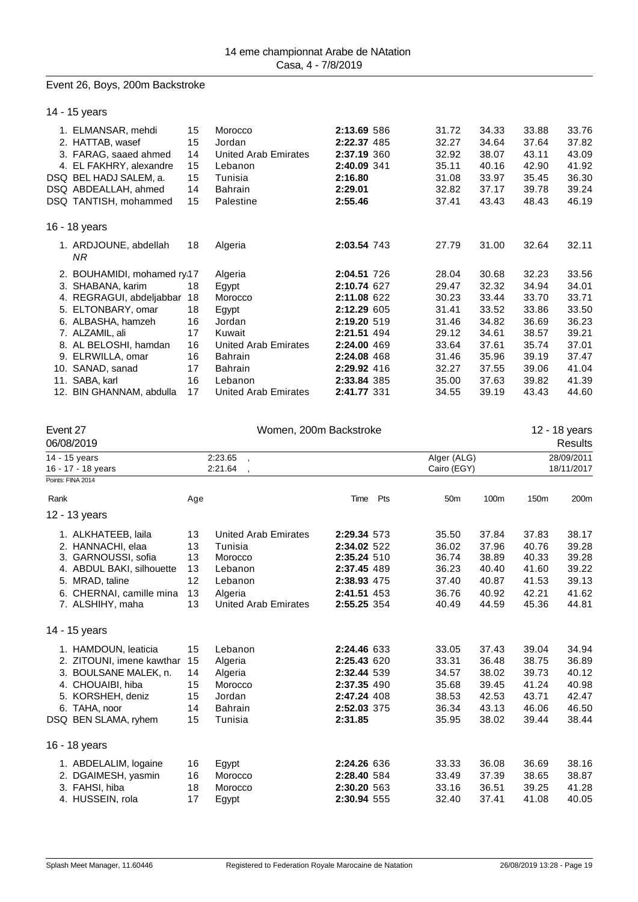#### Event 26, Boys, 200m Backstroke

14 - 15 years 1. ELMANSAR, mehdi 15 Morocco **2:13.69** 586 31.72 34.33 33.88 33.76 2. HATTAB, wasef 15 Jordan **2:22.37** 485 32.27 34.64 37.64 37.82 3. FARAG, saaed ahmed 14 United Arab Emirates **2:37.19** 360 32.92 38.07 43.11 43.09 4. EL FAKHRY, alexandre 15 Lebanon **2:40.09** 341 35.11 40.16 42.90 41.92 DSQ BEL HADJ SALEM, a. 15 Tunisia **2:16.80** 31.08 33.97 35.45 36.30 DSQ ABDEALLAH, ahmed 14 Bahrain **2:29.01** 32.82 37.17 39.78 39.24 DSQ TANTISH, mohammed 15 Palestine **2:55.46** 37.41 43.43 48.43 46.19 16 - 18 years 1. ARDJOUNE, abdellah 18 Algeria **2:03.54** 743 27.79 31.00 32.64 32.11 *NR* 2. BOUHAMIDI, mohamed ry17 Algeria **2:04.51** 726 28.04 30.68 32.23 33.56 3. SHABANA, karim 18 Egypt **2:10.74** 627 29.47 32.32 34.94 34.01 4. REGRAGUI, abdeljabbar 18 Morocco **2:11.08** 622 30.23 33.44 33.70 33.71 5. ELTONBARY, omar 18 Egypt **2:12.29** 605 31.41 33.52 33.86 33.50 6. ALBASHA, hamzeh 16 Jordan **2:19.20** 519 31.46 34.82 36.69 36.23 7. ALZAMIL, ali 17 Kuwait **2:21.51** 494 29.12 34.61 38.57 39.21 8. AL BELOSHI, hamdan 16 United Arab Emirates **2:24.00** 469 33.64 37.61 35.74 37.01 9. ELRWILLA, omar 16 Bahrain **2:24.08** 468 31.46 35.96 39.19 37.47 10. SANAD, sanad 17 Bahrain **2:29.92** 416 32.27 37.55 39.06 41.04 11. SABA, karl 16 Lebanon **2:33.84** 385 35.00 37.63 39.82 41.39 12. BIN GHANNAM, abdulla 17 United Arab Emirates **2:41.77** 331 34.55 39.19

| Event 27 | 06/08/2019                |                                 | 12 - 18 years<br><b>Results</b>     |             |     |                 |       |            |            |
|----------|---------------------------|---------------------------------|-------------------------------------|-------------|-----|-----------------|-------|------------|------------|
|          | 14 - 15 years             |                                 | 2:23.65<br>$\overline{\phantom{a}}$ |             |     | Alger (ALG)     |       |            | 28/09/2011 |
|          | 16 - 17 - 18 years        | 2:21.64<br>$\ddot{\phantom{0}}$ |                                     |             |     | Cairo (EGY)     |       | 18/11/2017 |            |
|          | Points: FINA 2014         |                                 |                                     |             |     |                 |       |            |            |
| Rank     |                           | Age                             |                                     | Time        | Pts | 50 <sub>m</sub> | 100m  | 150m       | 200m       |
|          | 12 - 13 years             |                                 |                                     |             |     |                 |       |            |            |
|          | 1. ALKHATEEB, laila       | 13                              | <b>United Arab Emirates</b>         | 2:29.34 573 |     | 35.50           | 37.84 | 37.83      | 38.17      |
|          | 2. HANNACHI, elaa         | 13                              | Tunisia                             | 2:34.02 522 |     | 36.02           | 37.96 | 40.76      | 39.28      |
|          | 3. GARNOUSSI, sofia       | 13                              | Morocco                             | 2:35.24 510 |     | 36.74           | 38.89 | 40.33      | 39.28      |
|          | 4. ABDUL BAKI, silhouette | 13                              | Lebanon                             | 2:37.45 489 |     | 36.23           | 40.40 | 41.60      | 39.22      |
|          | 5. MRAD, taline           | 12                              | Lebanon                             | 2:38.93 475 |     | 37.40           | 40.87 | 41.53      | 39.13      |
|          | 6. CHERNAI, camille mina  | 13                              | Algeria                             | 2:41.51 453 |     | 36.76           | 40.92 | 42.21      | 41.62      |
|          | 7. ALSHIHY, maha          | 13                              | <b>United Arab Emirates</b>         | 2:55.25 354 |     | 40.49           | 44.59 | 45.36      | 44.81      |
|          | 14 - 15 years             |                                 |                                     |             |     |                 |       |            |            |
|          | 1. HAMDOUN, leaticia      | 15                              | Lebanon                             | 2:24.46 633 |     | 33.05           | 37.43 | 39.04      | 34.94      |
|          | 2. ZITOUNI, imene kawthar | 15                              | Algeria                             | 2:25.43 620 |     | 33.31           | 36.48 | 38.75      | 36.89      |
|          | 3. BOULSANE MALEK, n.     | 14                              | Algeria                             | 2:32.44 539 |     | 34.57           | 38.02 | 39.73      | 40.12      |
|          | 4. CHOUAIBI, hiba         | 15                              | Morocco                             | 2:37.35 490 |     | 35.68           | 39.45 | 41.24      | 40.98      |
|          | 5. KORSHEH, deniz         | 15                              | Jordan                              | 2:47.24 408 |     | 38.53           | 42.53 | 43.71      | 42.47      |
|          | 6. TAHA, noor             | 14                              | <b>Bahrain</b>                      | 2:52.03 375 |     | 36.34           | 43.13 | 46.06      | 46.50      |
|          | DSQ BEN SLAMA, ryhem      | 15                              | Tunisia                             | 2:31.85     |     | 35.95           | 38.02 | 39.44      | 38.44      |
|          | 16 - 18 years             |                                 |                                     |             |     |                 |       |            |            |
|          | 1. ABDELALIM, logaine     | 16                              | Egypt                               | 2:24.26 636 |     | 33.33           | 36.08 | 36.69      | 38.16      |
| 2.       | DGAIMESH, yasmin          | 16                              | Morocco                             | 2:28.40 584 |     | 33.49           | 37.39 | 38.65      | 38.87      |
|          | 3. FAHSI, hiba            | 18                              | Morocco                             | 2:30.20 563 |     | 33.16           | 36.51 | 39.25      | 41.28      |
|          | 4. HUSSEIN, rola          | 17                              | Egypt                               | 2:30.94 555 |     | 32.40           | 37.41 | 41.08      | 40.05      |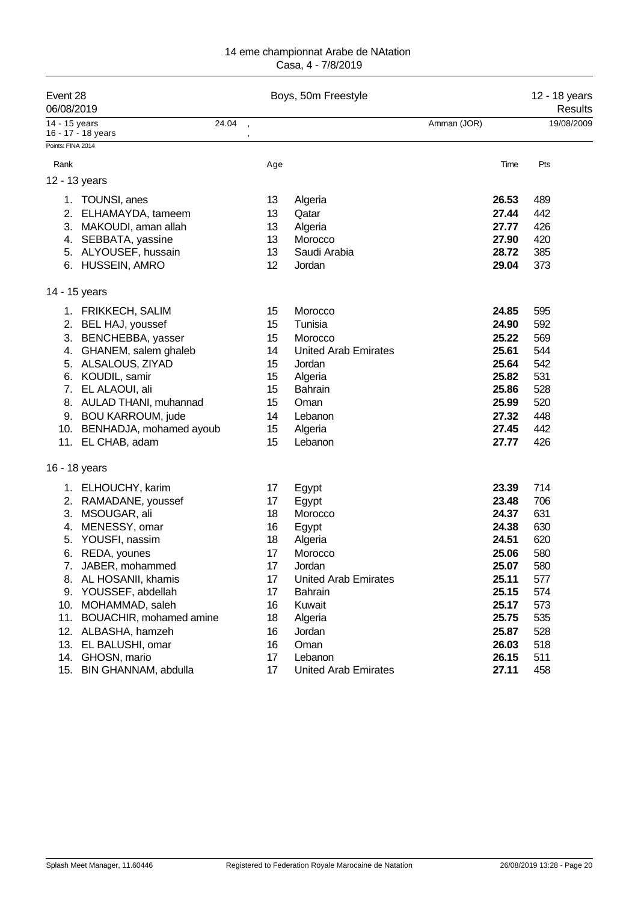| Event 28<br>06/08/2019 |                                             |       |                 | Boys, 50m Freestyle         |                | 12 - 18 years<br>Results |
|------------------------|---------------------------------------------|-------|-----------------|-----------------------------|----------------|--------------------------|
| 14 - 15 years          | 16 - 17 - 18 years                          | 24.04 |                 |                             | Amman (JOR)    | 19/08/2009               |
| Points: FINA 2014      |                                             |       |                 |                             |                |                          |
| Rank                   |                                             |       | Age             |                             | Time           | Pts                      |
| 12 - 13 years          |                                             |       |                 |                             |                |                          |
|                        | 1. TOUNSI, anes                             |       | 13              | Algeria                     | 26.53          | 489                      |
|                        | 2. ELHAMAYDA, tameem                        |       | 13              | Qatar                       | 27.44          | 442                      |
|                        | 3. MAKOUDI, aman allah                      |       | 13              | Algeria                     | 27.77          | 426                      |
|                        | 4. SEBBATA, yassine                         |       | 13              | Morocco                     | 27.90          | 420                      |
|                        | 5. ALYOUSEF, hussain                        |       | 13              | Saudi Arabia                | 28.72          | 385                      |
|                        | 6. HUSSEIN, AMRO                            |       | 12              | Jordan                      | 29.04          | 373                      |
| 14 - 15 years          |                                             |       |                 |                             |                |                          |
|                        | 1. FRIKKECH, SALIM                          |       | 15              | Morocco                     | 24.85          | 595                      |
|                        | 2. BEL HAJ, youssef                         |       | 15              | Tunisia                     | 24.90          | 592                      |
| 3.                     | BENCHEBBA, yasser                           |       | 15              | Morocco                     | 25.22          | 569                      |
|                        | 4. GHANEM, salem ghaleb                     |       | 14              | <b>United Arab Emirates</b> | 25.61          | 544                      |
|                        | 5. ALSALOUS, ZIYAD                          |       | 15              | Jordan                      | 25.64          | 542                      |
|                        | 6. KOUDIL, samir                            |       | 15              | Algeria                     | 25.82          | 531                      |
| 7.                     | EL ALAOUI, ali                              |       | 15              | <b>Bahrain</b>              | 25.86          | 528                      |
| 8.                     | AULAD THANI, muhannad                       |       | 15              | Oman                        | 25.99          | 520                      |
|                        | 9. BOU KARROUM, jude                        |       | 14              | Lebanon                     | 27.32          | 448                      |
|                        | 10. BENHADJA, mohamed ayoub                 |       | 15              | Algeria                     | 27.45          | 442                      |
|                        | 11. EL CHAB, adam                           |       | 15              | Lebanon                     | 27.77          | 426                      |
| 16 - 18 years          |                                             |       |                 |                             |                |                          |
|                        | 1. ELHOUCHY, karim                          |       | 17              | Egypt                       | 23.39          | 714                      |
| 2.                     | RAMADANE, youssef                           |       | 17              | Egypt                       | 23.48          | 706                      |
| 3.                     | MSOUGAR, ali                                |       | 18              | Morocco                     | 24.37          | 631                      |
| 4.                     | MENESSY, omar                               |       | 16              | Egypt                       | 24.38          | 630                      |
| 5.                     | YOUSFI, nassim                              |       | 18              | Algeria                     | 24.51          | 620                      |
|                        | 6. REDA, younes                             |       | 17              | Morocco                     | 25.06          | 580                      |
|                        | 7. JABER, mohammed                          |       | 17 <sub>2</sub> | Jordan                      | 25.07          | 580                      |
|                        | 8. AL HOSANII, khamis                       |       | 17              | <b>United Arab Emirates</b> | 25.11          | 577                      |
| 9.                     | YOUSSEF, abdellah                           |       | 17              | <b>Bahrain</b>              | 25.15          | 574                      |
| 11.                    | 10. MOHAMMAD, saleh                         |       | 16              | Kuwait                      | 25.17<br>25.75 | 573<br>535               |
|                        | BOUACHIR, mohamed amine                     |       | 18              | Algeria                     |                |                          |
|                        | 12. ALBASHA, hamzeh<br>13. EL BALUSHI, omar |       | 16              | Jordan<br>Oman              | 25.87<br>26.03 | 528<br>518               |
| 14.                    | GHOSN, mario                                |       | 16<br>17        | Lebanon                     | 26.15          | 511                      |
| 15.                    | BIN GHANNAM, abdulla                        |       | 17              | <b>United Arab Emirates</b> | 27.11          | 458                      |
|                        |                                             |       |                 |                             |                |                          |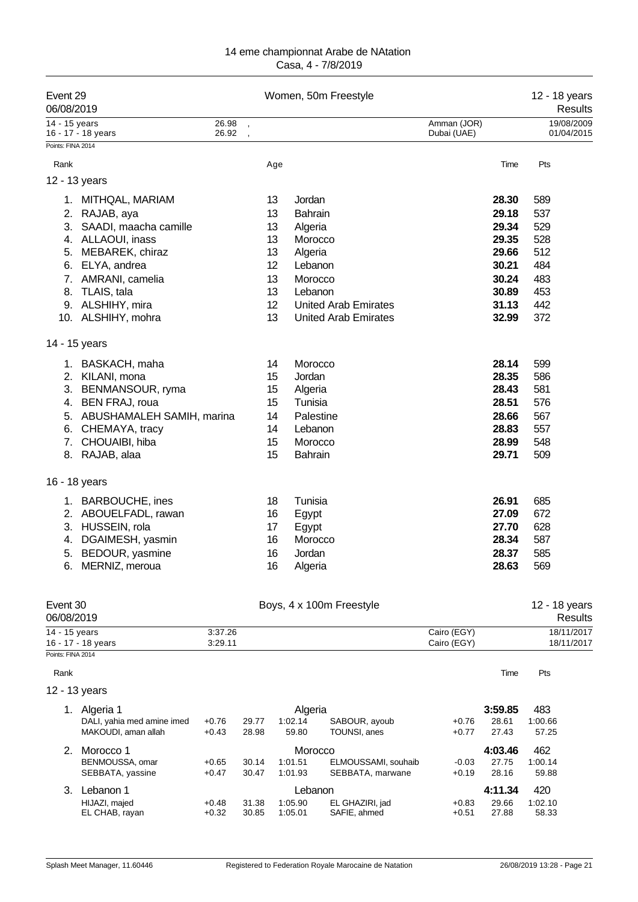| Event 29<br>06/08/2019 |                              |                          |     | Women, 50m Freestyle        |                            | 12 - 18 years<br>Results |
|------------------------|------------------------------|--------------------------|-----|-----------------------------|----------------------------|--------------------------|
| 14 - 15 years          | 16 - 17 - 18 years           | 26.98<br>26.92           |     |                             | Amman (JOR)<br>Dubai (UAE) | 19/08/2009<br>01/04/2015 |
| Points: FINA 2014      |                              | $\overline{\phantom{a}}$ |     |                             |                            |                          |
| Rank                   |                              |                          | Age |                             | Time                       | Pts                      |
| 12 - 13 years          |                              |                          |     |                             |                            |                          |
|                        | 1. MITHQAL, MARIAM           |                          | 13  | Jordan                      | 28.30                      | 589                      |
|                        | 2. RAJAB, aya                |                          | 13  | <b>Bahrain</b>              | 29.18                      | 537                      |
|                        | 3. SAADI, maacha camille     |                          | 13  | Algeria                     | 29.34                      | 529                      |
|                        | 4. ALLAOUI, inass            |                          | 13  | Morocco                     | 29.35                      | 528                      |
|                        | 5. MEBAREK, chiraz           |                          | 13  | Algeria                     | 29.66                      | 512                      |
|                        | 6. ELYA, andrea              |                          | 12  | Lebanon                     | 30.21                      | 484                      |
|                        | 7. AMRANI, camelia           |                          | 13  | Morocco                     | 30.24                      | 483                      |
|                        | 8. TLAIS, tala               |                          | 13  | Lebanon                     | 30.89                      | 453                      |
|                        | 9. ALSHIHY, mira             |                          | 12  | <b>United Arab Emirates</b> | 31.13                      | 442                      |
|                        | 10. ALSHIHY, mohra           |                          | 13  | United Arab Emirates        | 32.99                      | 372                      |
| 14 - 15 years          |                              |                          |     |                             |                            |                          |
|                        | 1. BASKACH, maha             |                          | 14  | Morocco                     | 28.14                      | 599                      |
|                        | 2. KILANI, mona              |                          | 15  | Jordan                      | 28.35                      | 586                      |
|                        | 3. BENMANSOUR, ryma          |                          | 15  | Algeria                     | 28.43                      | 581                      |
|                        | 4. BEN FRAJ, roua            |                          | 15  | Tunisia                     | 28.51                      | 576                      |
|                        | 5. ABUSHAMALEH SAMIH, marina |                          | 14  | Palestine                   | 28.66                      | 567                      |
|                        | 6. CHEMAYA, tracy            |                          | 14  | Lebanon                     | 28.83                      | 557                      |
|                        | 7. CHOUAIBI, hiba            |                          | 15  | Morocco                     | 28.99                      | 548                      |
|                        | 8. RAJAB, alaa               |                          | 15  | Bahrain                     | 29.71                      | 509                      |
| 16 - 18 years          |                              |                          |     |                             |                            |                          |
|                        | 1. BARBOUCHE, ines           |                          | 18  | Tunisia                     | 26.91                      | 685                      |
|                        | 2. ABOUELFADL, rawan         |                          | 16  | Egypt                       | 27.09                      | 672                      |
|                        | 3. HUSSEIN, rola             |                          | 17  | Egypt                       | 27.70                      | 628                      |
|                        | 4. DGAIMESH, yasmin          |                          | 16  | Morocco                     | 28.34                      | 587                      |
|                        | 5. BEDOUR, yasmine           |                          | 16  | Jordan                      | 28.37                      | 585                      |
|                        | 6. MERNIZ, meroua            |                          | 16  | Algeria                     | 28.63                      | 569                      |
| Event 30<br>06/08/2019 |                              |                          |     | Boys, 4 x 100m Freestyle    |                            | 12 - 18 years<br>Results |

| ------------       |         |             | ----------- |
|--------------------|---------|-------------|-------------|
| 14 - 15 years      | 3:37.26 | Cairo (EGY) | 18/11/2017  |
| 16 - 17 - 18 years | 3:29.11 | Cairo (EGY) | 18/11/2017  |
| Points: FINA 2014  |         |             |             |

| Rank          |                            |         |       |          |                     |         | Time    | Pts     |
|---------------|----------------------------|---------|-------|----------|---------------------|---------|---------|---------|
| 12 - 13 years |                            |         |       |          |                     |         |         |         |
|               | Algeria 1                  |         |       | Algeria  |                     |         | 3:59.85 | 483     |
|               | DALI, yahia med amine imed | $+0.76$ | 29.77 | 1:02.14  | SABOUR, ayoub       | $+0.76$ | 28.61   | 1:00.66 |
|               | MAKOUDI, aman allah        | $+0.43$ | 28.98 | 59.80    | TOUNSI, anes        | $+0.77$ | 27.43   | 57.25   |
| 2.            | Morocco 1                  |         |       | Morocco  |                     |         | 4:03.46 | 462     |
|               | BENMOUSSA, omar            | $+0.65$ | 30.14 | 1:01.51  | ELMOUSSAMI, souhaib | $-0.03$ | 27.75   | 1:00.14 |
|               | SEBBATA, yassine           | $+0.47$ | 30.47 | 1:01.93  | SEBBATA, marwane    | $+0.19$ | 28.16   | 59.88   |
| 3.            | Lebanon 1                  |         |       | Lebanon. |                     |         | 4:11.34 | 420     |
|               | HIJAZI, majed              | $+0.48$ | 31.38 | 1:05.90  | EL GHAZIRI, jad     | $+0.83$ | 29.66   | 1:02.10 |
|               | EL CHAB, rayan             | $+0.32$ | 30.85 | 1:05.01  | SAFIE, ahmed        | $+0.51$ | 27.88   | 58.33   |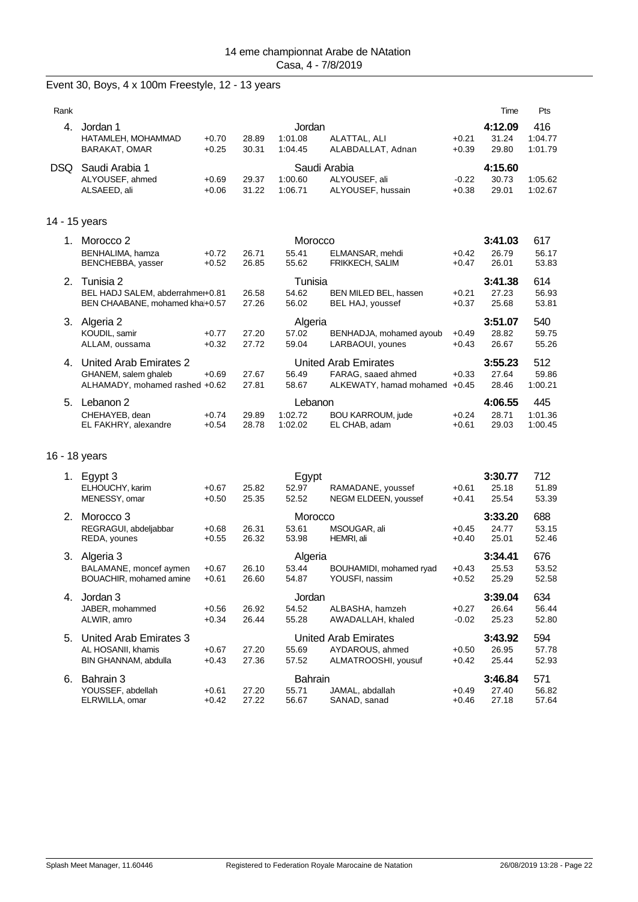|  |  |  | Event 30, Boys, 4 x 100m Freestyle, 12 - 13 years |  |  |  |
|--|--|--|---------------------------------------------------|--|--|--|
|--|--|--|---------------------------------------------------|--|--|--|

| Rank          |                                                                                  |                    |                |                                    |                                                                              |                    | Time                      | Pts                       |
|---------------|----------------------------------------------------------------------------------|--------------------|----------------|------------------------------------|------------------------------------------------------------------------------|--------------------|---------------------------|---------------------------|
| $4_{-}$       | Jordan 1<br>HATAMLEH, MOHAMMAD<br><b>BARAKAT, OMAR</b>                           | $+0.70$<br>$+0.25$ | 28.89<br>30.31 | Jordan<br>1:01.08<br>1:04.45       | ALATTAL, ALI<br>ALABDALLAT, Adnan                                            | $+0.21$<br>$+0.39$ | 4:12.09<br>31.24<br>29.80 | 416<br>1:04.77<br>1:01.79 |
| <b>DSQ</b>    | Saudi Arabia 1<br>ALYOUSEF, ahmed<br>ALSAEED, ali                                | $+0.69$<br>$+0.06$ | 29.37<br>31.22 | Saudi Arabia<br>1:00.60<br>1:06.71 | ALYOUSEF, ali<br>ALYOUSEF, hussain                                           | $-0.22$<br>$+0.38$ | 4:15.60<br>30.73<br>29.01 | 1:05.62<br>1:02.67        |
| 14 - 15 years |                                                                                  |                    |                |                                    |                                                                              |                    |                           |                           |
|               | 1. Morocco 2<br>BENHALIMA, hamza<br>BENCHEBBA, yasser                            | $+0.72$<br>$+0.52$ | 26.71<br>26.85 | Morocco<br>55.41<br>55.62          | ELMANSAR, mehdi<br><b>FRIKKECH, SALIM</b>                                    | $+0.42$<br>$+0.47$ | 3:41.03<br>26.79<br>26.01 | 617<br>56.17<br>53.83     |
| 2.            | Tunisia 2<br>BEL HADJ SALEM, abderrahme+0.81<br>BEN CHAABANE, mohamed kha+0.57   |                    | 26.58<br>27.26 | Tunisia<br>54.62<br>56.02          | BEN MILED BEL, hassen<br>BEL HAJ, youssef                                    | $+0.21$<br>$+0.37$ | 3:41.38<br>27.23<br>25.68 | 614<br>56.93<br>53.81     |
| 3.            | Algeria 2<br>KOUDIL, samir<br>ALLAM, oussama                                     | $+0.77$<br>$+0.32$ | 27.20<br>27.72 | Algeria<br>57.02<br>59.04          | BENHADJA, mohamed ayoub<br>LARBAOUI, younes                                  | $+0.49$<br>$+0.43$ | 3:51.07<br>28.82<br>26.67 | 540<br>59.75<br>55.26     |
| 4.            | United Arab Emirates 2<br>GHANEM, salem ghaleb<br>ALHAMADY, mohamed rashed +0.62 | $+0.69$            | 27.67<br>27.81 | 56.49<br>58.67                     | <b>United Arab Emirates</b><br>FARAG, saaed ahmed<br>ALKEWATY, hamad mohamed | $+0.33$<br>$+0.45$ | 3:55.23<br>27.64<br>28.46 | 512<br>59.86<br>1:00.21   |
| 5.            | Lebanon 2<br>CHEHAYEB, dean<br>EL FAKHRY, alexandre                              | $+0.74$<br>$+0.54$ | 29.89<br>28.78 | Lebanon<br>1:02.72<br>1:02.02      | <b>BOU KARROUM, jude</b><br>EL CHAB, adam                                    | $+0.24$<br>$+0.61$ | 4:06.55<br>28.71<br>29.03 | 445<br>1:01.36<br>1:00.45 |

## 16 - 18 years

| 1. | Egypt 3                 |         |       | Egypt          |                         |         | 3:30.77 | 712          |
|----|-------------------------|---------|-------|----------------|-------------------------|---------|---------|--------------|
|    | ELHOUCHY, karim         | $+0.67$ | 25.82 | 52.97          | RAMADANE, youssef       | $+0.61$ | 25.18   | 51.89        |
|    | MENESSY, omar           | $+0.50$ | 25.35 | 52.52          | NEGM ELDEEN, youssef    | $+0.41$ | 25.54   | 53.39        |
| 2. | Morocco 3               |         |       | Morocco        |                         |         | 3:33.20 | 688          |
|    | REGRAGUI, abdeljabbar   | $+0.68$ | 26.31 | 53.61          | MSOUGAR, ali            | $+0.45$ | 24.77   | 53.15        |
|    | REDA, younes            | $+0.55$ | 26.32 | 53.98          | HEMRI, ali              | $+0.40$ | 25.01   | 52.46        |
| 3. | Algeria 3               |         |       | Algeria        |                         |         | 3:34.41 | 676          |
|    | BALAMANE, moncef aymen  | $+0.67$ | 26.10 | 53.44          | BOUHAMIDI, mohamed ryad | $+0.43$ | 25.53   | 53.52        |
|    | BOUACHIR, mohamed amine | $+0.61$ | 26.60 | 54.87          | YOUSFI, nassim          | $+0.52$ | 25.29   | 52.58        |
|    |                         |         |       |                |                         |         |         |              |
| 4. | Jordan 3                |         |       | Jordan         |                         |         | 3:39.04 | 634          |
|    | JABER, mohammed         | $+0.56$ | 26.92 | 54.52          | ALBASHA, hamzeh         | $+0.27$ | 26.64   | 56.44        |
|    | ALWIR, amro             | $+0.34$ | 26.44 | 55.28          | AWADALLAH, khaled       | $-0.02$ | 25.23   | 52.80        |
| 5. | United Arab Emirates 3  |         |       |                | United Arab Emirates    |         | 3:43.92 | 594          |
|    | AL HOSANII, khamis      | $+0.67$ | 27.20 | 55.69          | AYDAROUS, ahmed         | $+0.50$ | 26.95   | 57.78        |
|    | BIN GHANNAM, abdulla    | $+0.43$ | 27.36 | 57.52          | ALMATROOSHI, yousuf     | $+0.42$ | 25.44   | 52.93        |
| 6. | Bahrain 3               |         |       | <b>Bahrain</b> |                         |         | 3:46.84 |              |
|    | YOUSSEF, abdellah       | $+0.61$ | 27.20 | 55.71          | JAMAL, abdallah         | $+0.49$ | 27.40   | 571<br>56.82 |
|    | ELRWILLA, omar          | $+0.42$ | 27.22 | 56.67          | SANAD, sanad            | $+0.46$ | 27.18   | 57.64        |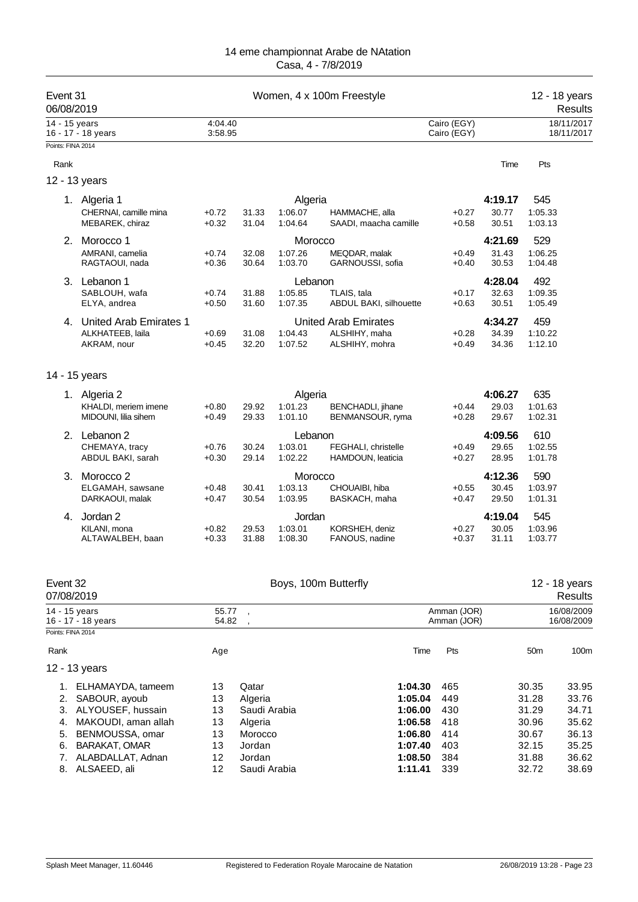| 14 - 15 years<br>4:04.40<br>Cairo (EGY)<br>18/11/2017<br>3:58.95<br>Cairo (EGY)<br>18/11/2017<br>16 - 17 - 18 years<br>Points: FINA 2014<br>Rank<br>Time<br>Pts<br>12 - 13 years<br>4:19.17<br>545<br>1. Algeria 1<br>Algeria<br>1:06.07<br>30.77<br>1:05.33<br>CHERNAI, camille mina<br>$+0.72$<br>31.33<br>HAMMACHE, alla<br>$+0.27$<br>MEBAREK, chiraz<br>1:04.64<br>30.51<br>$+0.32$<br>31.04<br>SAADI, maacha camille<br>$+0.58$<br>1:03.13<br>529<br>2.<br>Morocco 1<br>4:21.69<br>Morocco<br>1:07.26<br>MEQDAR, malak<br>31.43<br>1:06.25<br>AMRANI, camelia<br>$+0.74$<br>32.08<br>$+0.49$<br>RAGTAOUI, nada<br>30.64<br>1:03.70<br>30.53<br>1:04.48<br>$+0.36$<br>GARNOUSSI, sofia<br>$+0.40$<br>4:28.04<br>492<br>3. Lebanon 1<br>Lebanon<br>SABLOUH, wafa<br>1:05.85<br>TLAIS, tala<br>32.63<br>1:09.35<br>$+0.74$<br>31.88<br>$+0.17$<br>ELYA, andrea<br>$+0.50$<br>31.60<br>1:07.35<br>ABDUL BAKI, silhouette<br>$+0.63$<br>30.51<br>1:05.49<br>4:34.27<br>459<br>United Arab Emirates 1<br><b>United Arab Emirates</b><br>4.<br>ALKHATEEB, laila<br>31.08<br>1:04.43<br>ALSHIHY, maha<br>34.39<br>1:10.22<br>$+0.69$<br>$+0.28$<br>34.36<br>1:12.10<br>AKRAM, nour<br>$+0.45$<br>32.20<br>1:07.52<br>ALSHIHY, mohra<br>$+0.49$<br>14 - 15 years<br>635<br>4:06.27<br>1. Algeria 2<br>Algeria<br>KHALDI, meriem imene<br>1:01.23<br>29.03<br>1:01.63<br>$+0.80$<br>29.92<br><b>BENCHADLI</b> , jihane<br>$+0.44$<br>MIDOUNI, lilia sihem<br>29.33<br>1:01.10<br>BENMANSOUR, ryma<br>29.67<br>1:02.31<br>$+0.49$<br>$+0.28$<br>4:09.56<br>610<br>2. Lebanon 2<br>Lebanon<br>1:03.01<br>FEGHALI, christelle<br>29.65<br>1:02.55<br>CHEMAYA, tracy<br>$+0.76$<br>30.24<br>$+0.49$<br>ABDUL BAKI, sarah<br>$+0.30$<br>29.14<br>1:02.22<br>HAMDOUN, leaticia<br>$+0.27$<br>28.95<br>1:01.78<br>Morocco<br>4:12.36<br>590<br>3.<br>Morocco <sub>2</sub><br>1:03.97<br>ELGAMAH, sawsane<br>30.41<br>1:03.13<br>CHOUAIBI, hiba<br>30.45<br>$+0.48$<br>$+0.55$<br>29.50<br>1:01.31<br>DARKAOUI, malak<br>30.54<br>1:03.95<br>BASKACH, maha<br>$+0.47$<br>$+0.47$<br>4:19.04<br>545<br>Jordan 2<br>Jordan<br>4.<br>1:03.96<br>KILANI, mona<br>$+0.82$<br>29.53<br>1:03.01<br>KORSHEH, deniz<br>$+0.27$<br>30.05<br>$+0.33$<br>1:08.30<br>FANOUS, nadine<br>$+0.37$<br>31.11<br>1:03.77<br>ALTAWALBEH, baan<br>31.88<br>Boys, 100m Butterfly<br>Event 32<br>12 - 18 years<br>07/08/2019<br>Results<br>16/08/2009<br>14 - 15 years<br>55.77<br>Amman (JOR)<br>54.82<br>Amman (JOR)<br>16/08/2009<br>16 - 17 - 18 years<br>Points: FINA 2014<br>Rank<br>Time<br>Pts<br>50m<br>100m<br>Age<br>12 - 13 years<br>13<br>Qatar<br>1:04.30<br>465<br>30.35<br>33.95<br>ELHAMAYDA, tameem<br>1.<br>13<br>1:05.04<br>31.28<br>2.<br>SABOUR, ayoub<br>Algeria<br>449<br>33.76<br>ALYOUSEF, hussain<br>3.<br>13<br>Saudi Arabia<br>1:06.00<br>430<br>31.29<br>34.71<br>1:06.58<br>MAKOUDI, aman allah<br>13<br>Algeria<br>418<br>30.96<br>35.62<br>4.<br>1:06.80<br>414<br>5.<br>BENMOUSSA, omar<br>13<br>Morocco<br>30.67<br>36.13<br>BARAKAT, OMAR<br>6.<br>13<br>Jordan<br>1:07.40<br>403<br>32.15<br>35.25<br>ALABDALLAT, Adnan<br>12<br>1:08.50<br>384<br>7.<br>Jordan<br>31.88<br>36.62 | Event 31<br>06/08/2019 |  | 12 - 18 years<br>Results |  |  |  |
|-------------------------------------------------------------------------------------------------------------------------------------------------------------------------------------------------------------------------------------------------------------------------------------------------------------------------------------------------------------------------------------------------------------------------------------------------------------------------------------------------------------------------------------------------------------------------------------------------------------------------------------------------------------------------------------------------------------------------------------------------------------------------------------------------------------------------------------------------------------------------------------------------------------------------------------------------------------------------------------------------------------------------------------------------------------------------------------------------------------------------------------------------------------------------------------------------------------------------------------------------------------------------------------------------------------------------------------------------------------------------------------------------------------------------------------------------------------------------------------------------------------------------------------------------------------------------------------------------------------------------------------------------------------------------------------------------------------------------------------------------------------------------------------------------------------------------------------------------------------------------------------------------------------------------------------------------------------------------------------------------------------------------------------------------------------------------------------------------------------------------------------------------------------------------------------------------------------------------------------------------------------------------------------------------------------------------------------------------------------------------------------------------------------------------------------------------------------------------------------------------------------------------------------------------------------------------------------------------------------------------------------------------------------------------------------------------------------------------------------------------------------------------------------------------------------------------------------------------------------------------------------------------------------------------------------------------------------------------------------------------------------------------------------------------------------------------------------------------------------------------------------------------------------------------------------|------------------------|--|--------------------------|--|--|--|
|                                                                                                                                                                                                                                                                                                                                                                                                                                                                                                                                                                                                                                                                                                                                                                                                                                                                                                                                                                                                                                                                                                                                                                                                                                                                                                                                                                                                                                                                                                                                                                                                                                                                                                                                                                                                                                                                                                                                                                                                                                                                                                                                                                                                                                                                                                                                                                                                                                                                                                                                                                                                                                                                                                                                                                                                                                                                                                                                                                                                                                                                                                                                                                                     |                        |  |                          |  |  |  |
|                                                                                                                                                                                                                                                                                                                                                                                                                                                                                                                                                                                                                                                                                                                                                                                                                                                                                                                                                                                                                                                                                                                                                                                                                                                                                                                                                                                                                                                                                                                                                                                                                                                                                                                                                                                                                                                                                                                                                                                                                                                                                                                                                                                                                                                                                                                                                                                                                                                                                                                                                                                                                                                                                                                                                                                                                                                                                                                                                                                                                                                                                                                                                                                     |                        |  |                          |  |  |  |
|                                                                                                                                                                                                                                                                                                                                                                                                                                                                                                                                                                                                                                                                                                                                                                                                                                                                                                                                                                                                                                                                                                                                                                                                                                                                                                                                                                                                                                                                                                                                                                                                                                                                                                                                                                                                                                                                                                                                                                                                                                                                                                                                                                                                                                                                                                                                                                                                                                                                                                                                                                                                                                                                                                                                                                                                                                                                                                                                                                                                                                                                                                                                                                                     |                        |  |                          |  |  |  |
|                                                                                                                                                                                                                                                                                                                                                                                                                                                                                                                                                                                                                                                                                                                                                                                                                                                                                                                                                                                                                                                                                                                                                                                                                                                                                                                                                                                                                                                                                                                                                                                                                                                                                                                                                                                                                                                                                                                                                                                                                                                                                                                                                                                                                                                                                                                                                                                                                                                                                                                                                                                                                                                                                                                                                                                                                                                                                                                                                                                                                                                                                                                                                                                     |                        |  |                          |  |  |  |
|                                                                                                                                                                                                                                                                                                                                                                                                                                                                                                                                                                                                                                                                                                                                                                                                                                                                                                                                                                                                                                                                                                                                                                                                                                                                                                                                                                                                                                                                                                                                                                                                                                                                                                                                                                                                                                                                                                                                                                                                                                                                                                                                                                                                                                                                                                                                                                                                                                                                                                                                                                                                                                                                                                                                                                                                                                                                                                                                                                                                                                                                                                                                                                                     |                        |  |                          |  |  |  |
|                                                                                                                                                                                                                                                                                                                                                                                                                                                                                                                                                                                                                                                                                                                                                                                                                                                                                                                                                                                                                                                                                                                                                                                                                                                                                                                                                                                                                                                                                                                                                                                                                                                                                                                                                                                                                                                                                                                                                                                                                                                                                                                                                                                                                                                                                                                                                                                                                                                                                                                                                                                                                                                                                                                                                                                                                                                                                                                                                                                                                                                                                                                                                                                     |                        |  |                          |  |  |  |
|                                                                                                                                                                                                                                                                                                                                                                                                                                                                                                                                                                                                                                                                                                                                                                                                                                                                                                                                                                                                                                                                                                                                                                                                                                                                                                                                                                                                                                                                                                                                                                                                                                                                                                                                                                                                                                                                                                                                                                                                                                                                                                                                                                                                                                                                                                                                                                                                                                                                                                                                                                                                                                                                                                                                                                                                                                                                                                                                                                                                                                                                                                                                                                                     |                        |  |                          |  |  |  |
|                                                                                                                                                                                                                                                                                                                                                                                                                                                                                                                                                                                                                                                                                                                                                                                                                                                                                                                                                                                                                                                                                                                                                                                                                                                                                                                                                                                                                                                                                                                                                                                                                                                                                                                                                                                                                                                                                                                                                                                                                                                                                                                                                                                                                                                                                                                                                                                                                                                                                                                                                                                                                                                                                                                                                                                                                                                                                                                                                                                                                                                                                                                                                                                     |                        |  |                          |  |  |  |
|                                                                                                                                                                                                                                                                                                                                                                                                                                                                                                                                                                                                                                                                                                                                                                                                                                                                                                                                                                                                                                                                                                                                                                                                                                                                                                                                                                                                                                                                                                                                                                                                                                                                                                                                                                                                                                                                                                                                                                                                                                                                                                                                                                                                                                                                                                                                                                                                                                                                                                                                                                                                                                                                                                                                                                                                                                                                                                                                                                                                                                                                                                                                                                                     |                        |  |                          |  |  |  |
|                                                                                                                                                                                                                                                                                                                                                                                                                                                                                                                                                                                                                                                                                                                                                                                                                                                                                                                                                                                                                                                                                                                                                                                                                                                                                                                                                                                                                                                                                                                                                                                                                                                                                                                                                                                                                                                                                                                                                                                                                                                                                                                                                                                                                                                                                                                                                                                                                                                                                                                                                                                                                                                                                                                                                                                                                                                                                                                                                                                                                                                                                                                                                                                     |                        |  |                          |  |  |  |
|                                                                                                                                                                                                                                                                                                                                                                                                                                                                                                                                                                                                                                                                                                                                                                                                                                                                                                                                                                                                                                                                                                                                                                                                                                                                                                                                                                                                                                                                                                                                                                                                                                                                                                                                                                                                                                                                                                                                                                                                                                                                                                                                                                                                                                                                                                                                                                                                                                                                                                                                                                                                                                                                                                                                                                                                                                                                                                                                                                                                                                                                                                                                                                                     |                        |  |                          |  |  |  |
|                                                                                                                                                                                                                                                                                                                                                                                                                                                                                                                                                                                                                                                                                                                                                                                                                                                                                                                                                                                                                                                                                                                                                                                                                                                                                                                                                                                                                                                                                                                                                                                                                                                                                                                                                                                                                                                                                                                                                                                                                                                                                                                                                                                                                                                                                                                                                                                                                                                                                                                                                                                                                                                                                                                                                                                                                                                                                                                                                                                                                                                                                                                                                                                     |                        |  |                          |  |  |  |
|                                                                                                                                                                                                                                                                                                                                                                                                                                                                                                                                                                                                                                                                                                                                                                                                                                                                                                                                                                                                                                                                                                                                                                                                                                                                                                                                                                                                                                                                                                                                                                                                                                                                                                                                                                                                                                                                                                                                                                                                                                                                                                                                                                                                                                                                                                                                                                                                                                                                                                                                                                                                                                                                                                                                                                                                                                                                                                                                                                                                                                                                                                                                                                                     |                        |  |                          |  |  |  |
|                                                                                                                                                                                                                                                                                                                                                                                                                                                                                                                                                                                                                                                                                                                                                                                                                                                                                                                                                                                                                                                                                                                                                                                                                                                                                                                                                                                                                                                                                                                                                                                                                                                                                                                                                                                                                                                                                                                                                                                                                                                                                                                                                                                                                                                                                                                                                                                                                                                                                                                                                                                                                                                                                                                                                                                                                                                                                                                                                                                                                                                                                                                                                                                     |                        |  |                          |  |  |  |
|                                                                                                                                                                                                                                                                                                                                                                                                                                                                                                                                                                                                                                                                                                                                                                                                                                                                                                                                                                                                                                                                                                                                                                                                                                                                                                                                                                                                                                                                                                                                                                                                                                                                                                                                                                                                                                                                                                                                                                                                                                                                                                                                                                                                                                                                                                                                                                                                                                                                                                                                                                                                                                                                                                                                                                                                                                                                                                                                                                                                                                                                                                                                                                                     |                        |  |                          |  |  |  |
|                                                                                                                                                                                                                                                                                                                                                                                                                                                                                                                                                                                                                                                                                                                                                                                                                                                                                                                                                                                                                                                                                                                                                                                                                                                                                                                                                                                                                                                                                                                                                                                                                                                                                                                                                                                                                                                                                                                                                                                                                                                                                                                                                                                                                                                                                                                                                                                                                                                                                                                                                                                                                                                                                                                                                                                                                                                                                                                                                                                                                                                                                                                                                                                     |                        |  |                          |  |  |  |
|                                                                                                                                                                                                                                                                                                                                                                                                                                                                                                                                                                                                                                                                                                                                                                                                                                                                                                                                                                                                                                                                                                                                                                                                                                                                                                                                                                                                                                                                                                                                                                                                                                                                                                                                                                                                                                                                                                                                                                                                                                                                                                                                                                                                                                                                                                                                                                                                                                                                                                                                                                                                                                                                                                                                                                                                                                                                                                                                                                                                                                                                                                                                                                                     |                        |  |                          |  |  |  |
|                                                                                                                                                                                                                                                                                                                                                                                                                                                                                                                                                                                                                                                                                                                                                                                                                                                                                                                                                                                                                                                                                                                                                                                                                                                                                                                                                                                                                                                                                                                                                                                                                                                                                                                                                                                                                                                                                                                                                                                                                                                                                                                                                                                                                                                                                                                                                                                                                                                                                                                                                                                                                                                                                                                                                                                                                                                                                                                                                                                                                                                                                                                                                                                     |                        |  |                          |  |  |  |
|                                                                                                                                                                                                                                                                                                                                                                                                                                                                                                                                                                                                                                                                                                                                                                                                                                                                                                                                                                                                                                                                                                                                                                                                                                                                                                                                                                                                                                                                                                                                                                                                                                                                                                                                                                                                                                                                                                                                                                                                                                                                                                                                                                                                                                                                                                                                                                                                                                                                                                                                                                                                                                                                                                                                                                                                                                                                                                                                                                                                                                                                                                                                                                                     |                        |  |                          |  |  |  |
|                                                                                                                                                                                                                                                                                                                                                                                                                                                                                                                                                                                                                                                                                                                                                                                                                                                                                                                                                                                                                                                                                                                                                                                                                                                                                                                                                                                                                                                                                                                                                                                                                                                                                                                                                                                                                                                                                                                                                                                                                                                                                                                                                                                                                                                                                                                                                                                                                                                                                                                                                                                                                                                                                                                                                                                                                                                                                                                                                                                                                                                                                                                                                                                     |                        |  |                          |  |  |  |
|                                                                                                                                                                                                                                                                                                                                                                                                                                                                                                                                                                                                                                                                                                                                                                                                                                                                                                                                                                                                                                                                                                                                                                                                                                                                                                                                                                                                                                                                                                                                                                                                                                                                                                                                                                                                                                                                                                                                                                                                                                                                                                                                                                                                                                                                                                                                                                                                                                                                                                                                                                                                                                                                                                                                                                                                                                                                                                                                                                                                                                                                                                                                                                                     |                        |  |                          |  |  |  |
|                                                                                                                                                                                                                                                                                                                                                                                                                                                                                                                                                                                                                                                                                                                                                                                                                                                                                                                                                                                                                                                                                                                                                                                                                                                                                                                                                                                                                                                                                                                                                                                                                                                                                                                                                                                                                                                                                                                                                                                                                                                                                                                                                                                                                                                                                                                                                                                                                                                                                                                                                                                                                                                                                                                                                                                                                                                                                                                                                                                                                                                                                                                                                                                     |                        |  |                          |  |  |  |
|                                                                                                                                                                                                                                                                                                                                                                                                                                                                                                                                                                                                                                                                                                                                                                                                                                                                                                                                                                                                                                                                                                                                                                                                                                                                                                                                                                                                                                                                                                                                                                                                                                                                                                                                                                                                                                                                                                                                                                                                                                                                                                                                                                                                                                                                                                                                                                                                                                                                                                                                                                                                                                                                                                                                                                                                                                                                                                                                                                                                                                                                                                                                                                                     |                        |  |                          |  |  |  |
|                                                                                                                                                                                                                                                                                                                                                                                                                                                                                                                                                                                                                                                                                                                                                                                                                                                                                                                                                                                                                                                                                                                                                                                                                                                                                                                                                                                                                                                                                                                                                                                                                                                                                                                                                                                                                                                                                                                                                                                                                                                                                                                                                                                                                                                                                                                                                                                                                                                                                                                                                                                                                                                                                                                                                                                                                                                                                                                                                                                                                                                                                                                                                                                     |                        |  |                          |  |  |  |
|                                                                                                                                                                                                                                                                                                                                                                                                                                                                                                                                                                                                                                                                                                                                                                                                                                                                                                                                                                                                                                                                                                                                                                                                                                                                                                                                                                                                                                                                                                                                                                                                                                                                                                                                                                                                                                                                                                                                                                                                                                                                                                                                                                                                                                                                                                                                                                                                                                                                                                                                                                                                                                                                                                                                                                                                                                                                                                                                                                                                                                                                                                                                                                                     |                        |  |                          |  |  |  |
|                                                                                                                                                                                                                                                                                                                                                                                                                                                                                                                                                                                                                                                                                                                                                                                                                                                                                                                                                                                                                                                                                                                                                                                                                                                                                                                                                                                                                                                                                                                                                                                                                                                                                                                                                                                                                                                                                                                                                                                                                                                                                                                                                                                                                                                                                                                                                                                                                                                                                                                                                                                                                                                                                                                                                                                                                                                                                                                                                                                                                                                                                                                                                                                     |                        |  |                          |  |  |  |
|                                                                                                                                                                                                                                                                                                                                                                                                                                                                                                                                                                                                                                                                                                                                                                                                                                                                                                                                                                                                                                                                                                                                                                                                                                                                                                                                                                                                                                                                                                                                                                                                                                                                                                                                                                                                                                                                                                                                                                                                                                                                                                                                                                                                                                                                                                                                                                                                                                                                                                                                                                                                                                                                                                                                                                                                                                                                                                                                                                                                                                                                                                                                                                                     |                        |  |                          |  |  |  |
|                                                                                                                                                                                                                                                                                                                                                                                                                                                                                                                                                                                                                                                                                                                                                                                                                                                                                                                                                                                                                                                                                                                                                                                                                                                                                                                                                                                                                                                                                                                                                                                                                                                                                                                                                                                                                                                                                                                                                                                                                                                                                                                                                                                                                                                                                                                                                                                                                                                                                                                                                                                                                                                                                                                                                                                                                                                                                                                                                                                                                                                                                                                                                                                     |                        |  |                          |  |  |  |
|                                                                                                                                                                                                                                                                                                                                                                                                                                                                                                                                                                                                                                                                                                                                                                                                                                                                                                                                                                                                                                                                                                                                                                                                                                                                                                                                                                                                                                                                                                                                                                                                                                                                                                                                                                                                                                                                                                                                                                                                                                                                                                                                                                                                                                                                                                                                                                                                                                                                                                                                                                                                                                                                                                                                                                                                                                                                                                                                                                                                                                                                                                                                                                                     |                        |  |                          |  |  |  |
|                                                                                                                                                                                                                                                                                                                                                                                                                                                                                                                                                                                                                                                                                                                                                                                                                                                                                                                                                                                                                                                                                                                                                                                                                                                                                                                                                                                                                                                                                                                                                                                                                                                                                                                                                                                                                                                                                                                                                                                                                                                                                                                                                                                                                                                                                                                                                                                                                                                                                                                                                                                                                                                                                                                                                                                                                                                                                                                                                                                                                                                                                                                                                                                     |                        |  |                          |  |  |  |
|                                                                                                                                                                                                                                                                                                                                                                                                                                                                                                                                                                                                                                                                                                                                                                                                                                                                                                                                                                                                                                                                                                                                                                                                                                                                                                                                                                                                                                                                                                                                                                                                                                                                                                                                                                                                                                                                                                                                                                                                                                                                                                                                                                                                                                                                                                                                                                                                                                                                                                                                                                                                                                                                                                                                                                                                                                                                                                                                                                                                                                                                                                                                                                                     |                        |  |                          |  |  |  |
|                                                                                                                                                                                                                                                                                                                                                                                                                                                                                                                                                                                                                                                                                                                                                                                                                                                                                                                                                                                                                                                                                                                                                                                                                                                                                                                                                                                                                                                                                                                                                                                                                                                                                                                                                                                                                                                                                                                                                                                                                                                                                                                                                                                                                                                                                                                                                                                                                                                                                                                                                                                                                                                                                                                                                                                                                                                                                                                                                                                                                                                                                                                                                                                     |                        |  |                          |  |  |  |
|                                                                                                                                                                                                                                                                                                                                                                                                                                                                                                                                                                                                                                                                                                                                                                                                                                                                                                                                                                                                                                                                                                                                                                                                                                                                                                                                                                                                                                                                                                                                                                                                                                                                                                                                                                                                                                                                                                                                                                                                                                                                                                                                                                                                                                                                                                                                                                                                                                                                                                                                                                                                                                                                                                                                                                                                                                                                                                                                                                                                                                                                                                                                                                                     |                        |  |                          |  |  |  |
|                                                                                                                                                                                                                                                                                                                                                                                                                                                                                                                                                                                                                                                                                                                                                                                                                                                                                                                                                                                                                                                                                                                                                                                                                                                                                                                                                                                                                                                                                                                                                                                                                                                                                                                                                                                                                                                                                                                                                                                                                                                                                                                                                                                                                                                                                                                                                                                                                                                                                                                                                                                                                                                                                                                                                                                                                                                                                                                                                                                                                                                                                                                                                                                     |                        |  |                          |  |  |  |
|                                                                                                                                                                                                                                                                                                                                                                                                                                                                                                                                                                                                                                                                                                                                                                                                                                                                                                                                                                                                                                                                                                                                                                                                                                                                                                                                                                                                                                                                                                                                                                                                                                                                                                                                                                                                                                                                                                                                                                                                                                                                                                                                                                                                                                                                                                                                                                                                                                                                                                                                                                                                                                                                                                                                                                                                                                                                                                                                                                                                                                                                                                                                                                                     |                        |  |                          |  |  |  |
|                                                                                                                                                                                                                                                                                                                                                                                                                                                                                                                                                                                                                                                                                                                                                                                                                                                                                                                                                                                                                                                                                                                                                                                                                                                                                                                                                                                                                                                                                                                                                                                                                                                                                                                                                                                                                                                                                                                                                                                                                                                                                                                                                                                                                                                                                                                                                                                                                                                                                                                                                                                                                                                                                                                                                                                                                                                                                                                                                                                                                                                                                                                                                                                     |                        |  |                          |  |  |  |
|                                                                                                                                                                                                                                                                                                                                                                                                                                                                                                                                                                                                                                                                                                                                                                                                                                                                                                                                                                                                                                                                                                                                                                                                                                                                                                                                                                                                                                                                                                                                                                                                                                                                                                                                                                                                                                                                                                                                                                                                                                                                                                                                                                                                                                                                                                                                                                                                                                                                                                                                                                                                                                                                                                                                                                                                                                                                                                                                                                                                                                                                                                                                                                                     |                        |  |                          |  |  |  |
|                                                                                                                                                                                                                                                                                                                                                                                                                                                                                                                                                                                                                                                                                                                                                                                                                                                                                                                                                                                                                                                                                                                                                                                                                                                                                                                                                                                                                                                                                                                                                                                                                                                                                                                                                                                                                                                                                                                                                                                                                                                                                                                                                                                                                                                                                                                                                                                                                                                                                                                                                                                                                                                                                                                                                                                                                                                                                                                                                                                                                                                                                                                                                                                     |                        |  |                          |  |  |  |
|                                                                                                                                                                                                                                                                                                                                                                                                                                                                                                                                                                                                                                                                                                                                                                                                                                                                                                                                                                                                                                                                                                                                                                                                                                                                                                                                                                                                                                                                                                                                                                                                                                                                                                                                                                                                                                                                                                                                                                                                                                                                                                                                                                                                                                                                                                                                                                                                                                                                                                                                                                                                                                                                                                                                                                                                                                                                                                                                                                                                                                                                                                                                                                                     |                        |  |                          |  |  |  |
|                                                                                                                                                                                                                                                                                                                                                                                                                                                                                                                                                                                                                                                                                                                                                                                                                                                                                                                                                                                                                                                                                                                                                                                                                                                                                                                                                                                                                                                                                                                                                                                                                                                                                                                                                                                                                                                                                                                                                                                                                                                                                                                                                                                                                                                                                                                                                                                                                                                                                                                                                                                                                                                                                                                                                                                                                                                                                                                                                                                                                                                                                                                                                                                     |                        |  |                          |  |  |  |
|                                                                                                                                                                                                                                                                                                                                                                                                                                                                                                                                                                                                                                                                                                                                                                                                                                                                                                                                                                                                                                                                                                                                                                                                                                                                                                                                                                                                                                                                                                                                                                                                                                                                                                                                                                                                                                                                                                                                                                                                                                                                                                                                                                                                                                                                                                                                                                                                                                                                                                                                                                                                                                                                                                                                                                                                                                                                                                                                                                                                                                                                                                                                                                                     |                        |  |                          |  |  |  |
|                                                                                                                                                                                                                                                                                                                                                                                                                                                                                                                                                                                                                                                                                                                                                                                                                                                                                                                                                                                                                                                                                                                                                                                                                                                                                                                                                                                                                                                                                                                                                                                                                                                                                                                                                                                                                                                                                                                                                                                                                                                                                                                                                                                                                                                                                                                                                                                                                                                                                                                                                                                                                                                                                                                                                                                                                                                                                                                                                                                                                                                                                                                                                                                     |                        |  |                          |  |  |  |

8. ALSAEED, ali 12 Saudi Arabia **1:11.41** 339 32.72 38.69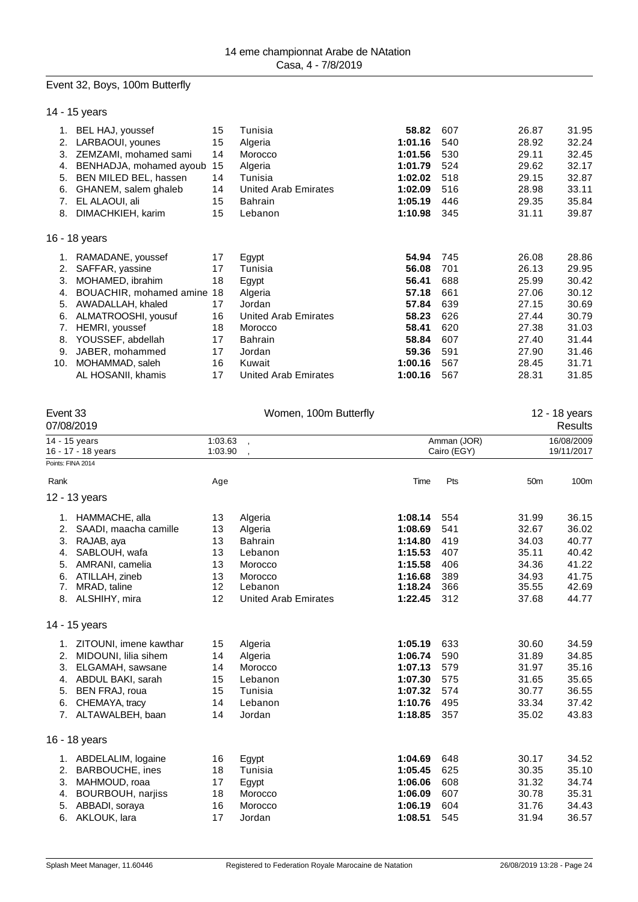#### Event 32, Boys, 100m Butterfly

|  | 14 - 15 years |
|--|---------------|
|--|---------------|

| 1.  | BEL HAJ, youssef        | 15 | Tunisia                     | 58.82   | 607 | 26.87 | 31.95 |
|-----|-------------------------|----|-----------------------------|---------|-----|-------|-------|
| 2.  | LARBAOUI, younes        | 15 | Algeria                     | 1:01.16 | 540 | 28.92 | 32.24 |
| 3.  | ZEMZAMI, mohamed sami   | 14 | Morocco                     | 1:01.56 | 530 | 29.11 | 32.45 |
| 4.  | BENHADJA, mohamed ayoub | 15 | Algeria                     | 1:01.79 | 524 | 29.62 | 32.17 |
| 5.  | BEN MILED BEL, hassen   | 14 | Tunisia                     | 1:02.02 | 518 | 29.15 | 32.87 |
| 6.  | GHANEM, salem ghaleb    | 14 | United Arab Emirates        | 1:02.09 | 516 | 28.98 | 33.11 |
| 7.  | EL ALAOUI, ali          | 15 | <b>Bahrain</b>              | 1:05.19 | 446 | 29.35 | 35.84 |
| 8.  | DIMACHKIEH, karim       | 15 | Lebanon                     | 1:10.98 | 345 | 31.11 | 39.87 |
|     |                         |    |                             |         |     |       |       |
|     | 16 - 18 years           |    |                             |         |     |       |       |
| 1.  | RAMADANE, youssef       | 17 | Egypt                       | 54.94   | 745 | 26.08 | 28.86 |
| 2.  | SAFFAR, yassine         | 17 | Tunisia                     | 56.08   | 701 | 26.13 | 29.95 |
| 3.  | MOHAMED, ibrahim        | 18 | Egypt                       | 56.41   | 688 | 25.99 | 30.42 |
| 4.  | BOUACHIR, mohamed amine | 18 | Algeria                     | 57.18   | 661 | 27.06 | 30.12 |
| 5.  | AWADALLAH, khaled       | 17 | Jordan                      | 57.84   | 639 | 27.15 | 30.69 |
| 6.  | ALMATROOSHI, yousuf     | 16 | <b>United Arab Emirates</b> | 58.23   | 626 | 27.44 | 30.79 |
| 7.  | HEMRI, youssef          | 18 | Morocco                     | 58.41   | 620 | 27.38 | 31.03 |
| 8.  | YOUSSEF, abdellah       | 17 | <b>Bahrain</b>              | 58.84   | 607 | 27.40 | 31.44 |
| 9.  | JABER, mohammed         | 17 | Jordan                      | 59.36   | 591 | 27.90 | 31.46 |
| 10. | MOHAMMAD, saleh         | 16 | Kuwait                      | 1:00.16 | 567 | 28.45 | 31.71 |
|     | AL HOSANII, khamis      | 17 | United Arab Emirates        | 1:00.16 | 567 | 28.31 | 31.85 |

| Event 33          | 07/08/2019                          |                    | Women, 100m Butterfly       |         |                            |                 | 12 - 18 years<br><b>Results</b> |
|-------------------|-------------------------------------|--------------------|-----------------------------|---------|----------------------------|-----------------|---------------------------------|
|                   | 14 - 15 years<br>16 - 17 - 18 years | 1:03.63<br>1:03.90 | $\overline{\phantom{a}}$    |         | Amman (JOR)<br>Cairo (EGY) |                 | 16/08/2009<br>19/11/2017        |
| Points: FINA 2014 |                                     |                    |                             |         |                            |                 |                                 |
| Rank              |                                     | Age                |                             | Time    | Pts                        | 50 <sub>m</sub> | 100m                            |
|                   | 12 - 13 years                       |                    |                             |         |                            |                 |                                 |
|                   | 1. HAMMACHE, alla                   | 13                 | Algeria                     | 1:08.14 | 554                        | 31.99           | 36.15                           |
| 2.                | SAADI, maacha camille               | 13                 | Algeria                     | 1:08.69 | 541                        | 32.67           | 36.02                           |
| 3.                | RAJAB, aya                          | 13                 | <b>Bahrain</b>              | 1:14.80 | 419                        | 34.03           | 40.77                           |
| 4.                | SABLOUH, wafa                       | 13                 | Lebanon                     | 1:15.53 | 407                        | 35.11           | 40.42                           |
| 5.                | AMRANI, camelia                     | 13                 | Morocco                     | 1:15.58 | 406                        | 34.36           | 41.22                           |
| 6.                | ATILLAH, zineb                      | 13                 | Morocco                     | 1:16.68 | 389                        | 34.93           | 41.75                           |
| 7.                | MRAD, taline                        | $12 \overline{ }$  | Lebanon                     | 1:18.24 | 366                        | 35.55           | 42.69                           |
|                   | 8. ALSHIHY, mira                    | 12                 | <b>United Arab Emirates</b> | 1:22.45 | 312                        | 37.68           | 44.77                           |
|                   | 14 - 15 years                       |                    |                             |         |                            |                 |                                 |
| 1.                | ZITOUNI, imene kawthar              | 15                 | Algeria                     | 1:05.19 | 633                        | 30.60           | 34.59                           |
| 2.                | MIDOUNI, lilia sihem                | 14                 | Algeria                     | 1:06.74 | 590                        | 31.89           | 34.85                           |
| 3.                | ELGAMAH, sawsane                    | 14                 | Morocco                     | 1:07.13 | 579                        | 31.97           | 35.16                           |
| 4.                | ABDUL BAKI, sarah                   | 15                 | Lebanon                     | 1:07.30 | 575                        | 31.65           | 35.65                           |
| 5.                | BEN FRAJ, roua                      | 15                 | Tunisia                     | 1:07.32 | 574                        | 30.77           | 36.55                           |
| 6.                | CHEMAYA, tracy                      | 14                 | Lebanon                     | 1:10.76 | 495                        | 33.34           | 37.42                           |
|                   | 7. ALTAWALBEH, baan                 | 14                 | Jordan                      | 1:18.85 | 357                        | 35.02           | 43.83                           |
|                   | 16 - 18 years                       |                    |                             |         |                            |                 |                                 |
|                   | 1. ABDELALIM, logaine               | 16                 | Egypt                       | 1:04.69 | 648                        | 30.17           | 34.52                           |
| 2.                | BARBOUCHE, ines                     | 18                 | Tunisia                     | 1:05.45 | 625                        | 30.35           | 35.10                           |
| 3.                | MAHMOUD, roaa                       | 17                 | Egypt                       | 1:06.06 | 608                        | 31.32           | 34.74                           |
| 4.                | <b>BOURBOUH, narjiss</b>            | 18                 | Morocco                     | 1:06.09 | 607                        | 30.78           | 35.31                           |
| 5.                | ABBADI, soraya                      | 16                 | Morocco                     | 1:06.19 | 604                        | 31.76           | 34.43                           |
| 6.                | AKLOUK, lara                        | 17                 | Jordan                      | 1:08.51 | 545                        | 31.94           | 36.57                           |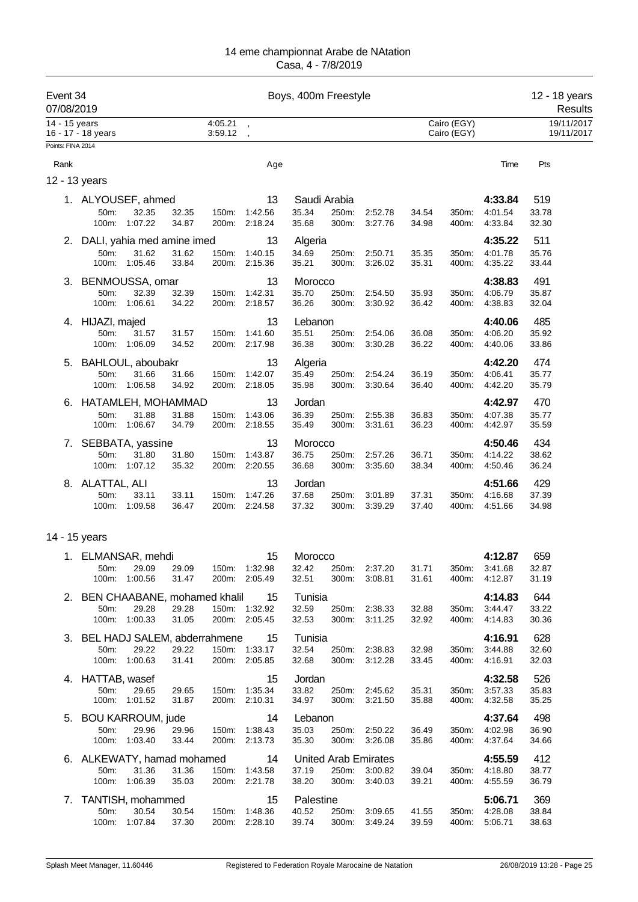| Event 34<br>07/08/2019 |                                     |                             |                |                    |                                      | Boys, 400m Freestyle           |                |                                |                |                            |                                     | 12 - 18 years<br>Results |
|------------------------|-------------------------------------|-----------------------------|----------------|--------------------|--------------------------------------|--------------------------------|----------------|--------------------------------|----------------|----------------------------|-------------------------------------|--------------------------|
| 14 - 15 years          | 16 - 17 - 18 years                  |                             |                | 4:05.21<br>3:59.12 |                                      |                                |                |                                |                | Cairo (EGY)<br>Cairo (EGY) |                                     | 19/11/2017<br>19/11/2017 |
| Points: FINA 2014      |                                     |                             |                |                    |                                      |                                |                |                                |                |                            |                                     |                          |
| Rank                   |                                     |                             |                |                    | Age                                  |                                |                |                                |                |                            | Time                                | Pts                      |
|                        | 12 - 13 years                       |                             |                |                    |                                      |                                |                |                                |                |                            |                                     |                          |
|                        | 1. ALYOUSEF, ahmed<br>50m:<br>100m: | 32.35<br>1:07.22            | 32.35<br>34.87 | 150m:<br>200m:     | 13<br>1:42.56<br>2:18.24             | Saudi Arabia<br>35.34<br>35.68 | 250m:<br>300m: | 2:52.78<br>3:27.76             | 34.54<br>34.98 | 350m:<br>400m:             | 4:33.84<br>4:01.54<br>4:33.84       | 519<br>33.78<br>32.30    |
|                        | 2. DALI, yahia med amine imed       |                             |                |                    | 13                                   | Algeria                        |                |                                |                |                            | 4:35.22                             | 511                      |
|                        | 50m:<br>100m:                       | 31.62<br>1:05.46            | 31.62<br>33.84 | 150m:<br>200m:     | 1:40.15<br>2:15.36                   | 34.69<br>35.21                 | 250m:<br>300m: | 2:50.71<br>3:26.02             | 35.35<br>35.31 | 350m:<br>400m:             | 4:01.78<br>4:35.22                  | 35.76<br>33.44           |
|                        | 3. BENMOUSSA, omar                  |                             |                |                    | 13                                   | Morocco                        |                |                                |                |                            | 4:38.83                             | 491                      |
|                        | 50m:<br>100m:                       | 32.39<br>1:06.61            | 32.39<br>34.22 | 150m:<br>200m:     | 1:42.31<br>2:18.57                   | 35.70<br>36.26                 | 250m:<br>300m: | 2:54.50<br>3:30.92             | 35.93<br>36.42 | 350m:<br>400m:             | 4:06.79<br>4:38.83                  | 35.87<br>32.04           |
|                        | 4. HIJAZI, majed<br>50m:<br>100m:   | 31.57<br>1:06.09            | 31.57<br>34.52 | 150m:              | 13<br>1:41.60<br>200m: 2:17.98       | Lebanon<br>35.51<br>36.38      | 250m:<br>300m: | 2:54.06<br>3:30.28             | 36.08<br>36.22 | 350m:<br>400m:             | 4:40.06<br>4:06.20<br>4:40.06       | 485<br>35.92<br>33.86    |
| 5.                     | BAHLOUL, aboubakr                   |                             |                |                    | 13                                   | Algeria                        |                |                                |                |                            | 4:42.20                             | 474                      |
|                        | 50m:<br>100m:                       | 31.66<br>1:06.58            | 31.66<br>34.92 | 150m:<br>200m:     | 1:42.07<br>2:18.05                   | 35.49<br>35.98                 | 250m:<br>300m: | 2:54.24<br>3:30.64             | 36.19<br>36.40 | 350m:<br>400m:             | 4:06.41<br>4:42.20                  | 35.77<br>35.79           |
| 6.                     | HATAMLEH, MOHAMMAD                  |                             |                |                    | 13                                   | Jordan                         |                |                                |                |                            | 4:42.97                             | 470                      |
|                        | 50m:<br>100m:                       | 31.88<br>1:06.67            | 31.88<br>34.79 | 150m:<br>200m:     | 1:43.06<br>2:18.55                   | 36.39<br>35.49                 | 250m:<br>300m: | 2:55.38<br>3:31.61             | 36.83<br>36.23 | 350m:<br>400m:             | 4:07.38<br>4:42.97                  | 35.77<br>35.59           |
|                        | 7. SEBBATA, yassine<br>50m:         | 31.80<br>100m: 1:07.12      | 31.80<br>35.32 | 150m:              | 13<br>1:43.87<br>200m: 2:20.55       | Morocco<br>36.75<br>36.68      | 250m:<br>300m: | 2:57.26<br>3:35.60             | 36.71<br>38.34 | 350m:<br>400m:             | 4:50.46<br>4:14.22<br>4:50.46       | 434<br>38.62<br>36.24    |
|                        | 8. ALATTAL, ALI                     |                             |                |                    | 13                                   | Jordan                         |                |                                |                |                            | 4:51.66                             | 429                      |
|                        | 50m:<br>100m:                       | 33.11<br>1:09.58            | 33.11<br>36.47 | 150m:              | 1:47.26<br>200m: 2:24.58             | 37.68<br>37.32                 | 250m:<br>300m: | 3:01.89<br>3:39.29             | 37.31<br>37.40 | 350m:<br>400m:             | 4:16.68<br>4:51.66                  | 37.39<br>34.98           |
|                        | 14 - 15 years                       |                             |                |                    |                                      |                                |                |                                |                |                            |                                     |                          |
|                        | 1. ELMANSAR, mehdi                  |                             |                |                    | 15                                   | Morocco                        |                |                                |                |                            | 4:12.87                             | 659                      |
|                        |                                     | 50m: 29.09<br>100m: 1:00.56 | 29.09<br>31.47 |                    | 150m: 1:32.98<br>200m: 2:05.49       | 32.42<br>32.51                 | 250m:          | 2:37.20<br>300m: 3:08.81       | 31.71<br>31.61 |                            | 350m: 3:41.68<br>400m: 4:12.87      | 32.87<br>31.19           |
|                        | 2. BEN CHAABANE, mohamed khalil 15  |                             |                |                    |                                      | Tunisia                        |                |                                |                |                            | 4:14.83                             | 644                      |
|                        | 50m:                                | 29.28<br>100m: 1:00.33      | 29.28<br>31.05 |                    | 150m: 1:32.92<br>200m: 2:05.45       | 32.59<br>32.53                 |                | 250m: 2:38.33<br>300m: 3:11.25 | 32.88<br>32.92 | 400m:                      | 350m: 3:44.47<br>4:14.83            | 33.22<br>30.36           |
|                        | 3. BEL HADJ SALEM, abderrahmene 15  |                             |                |                    |                                      | Tunisia                        |                |                                |                |                            | 4:16.91                             | 628                      |
|                        | 50m:                                | 29.22<br>100m: 1:00.63      | 29.22<br>31.41 |                    | 150m: 1:33.17<br>200m: 2:05.85       | 32.54<br>32.68                 |                | 250m: 2:38.83<br>300m: 3:12.28 | 32.98<br>33.45 | 350m:<br>400m:             | 3:44.88<br>4:16.91                  | 32.60<br>32.03           |
|                        | 4. HATTAB, wasef<br>50m:            | 29.65<br>100m: 1:01.52      | 29.65<br>31.87 |                    | 15<br>150m: 1:35.34<br>200m: 2:10.31 | Jordan<br>33.82<br>34.97       | 300m:          | 250m: 2:45.62<br>3:21.50       | 35.31<br>35.88 | 400m:                      | 4:32.58<br>350m: 3:57.33<br>4:32.58 | 526<br>35.83<br>35.25    |
|                        | 5. BOU KARROUM, jude                |                             |                |                    | 14                                   | Lebanon                        |                |                                |                |                            | 4:37.64                             | 498                      |
|                        | 50m:                                | 29.96<br>100m: 1:03.40      | 29.96<br>33.44 |                    | 150m: 1:38.43<br>200m: 2:13.73       | 35.03<br>35.30                 |                | 250m: 2:50.22<br>300m: 3:26.08 | 36.49<br>35.86 | 400m:                      | 350m: 4:02.98<br>4:37.64            | 36.90<br>34.66           |
|                        | 6. ALKEWATY, hamad mohamed 14       |                             |                |                    |                                      |                                |                | United Arab Emirates           |                |                            | 4:55.59                             | 412                      |
|                        | 50m:                                | 31.36<br>100m: 1:06.39      | 31.36<br>35.03 |                    | 150m: 1:43.58<br>200m: 2:21.78       | 37.19<br>38.20                 |                | 250m: 3:00.82<br>300m: 3:40.03 | 39.04<br>39.21 |                            | 350m: 4:18.80<br>400m: 4:55.59      | 38.77<br>36.79           |
|                        | 7. TANTISH, mohammed                |                             |                |                    | 15                                   | Palestine                      |                |                                |                |                            | 5:06.71                             | 369                      |
|                        | 50m:                                | 30.54<br>100m: 1:07.84      | 30.54<br>37.30 | 150m: 1:48.36      | 200m: 2:28.10                        | 40.52<br>39.74                 |                | 250m: 3:09.65<br>300m: 3:49.24 | 41.55<br>39.59 |                            | 350m: 4:28.08<br>400m: 5:06.71      | 38.84<br>38.63           |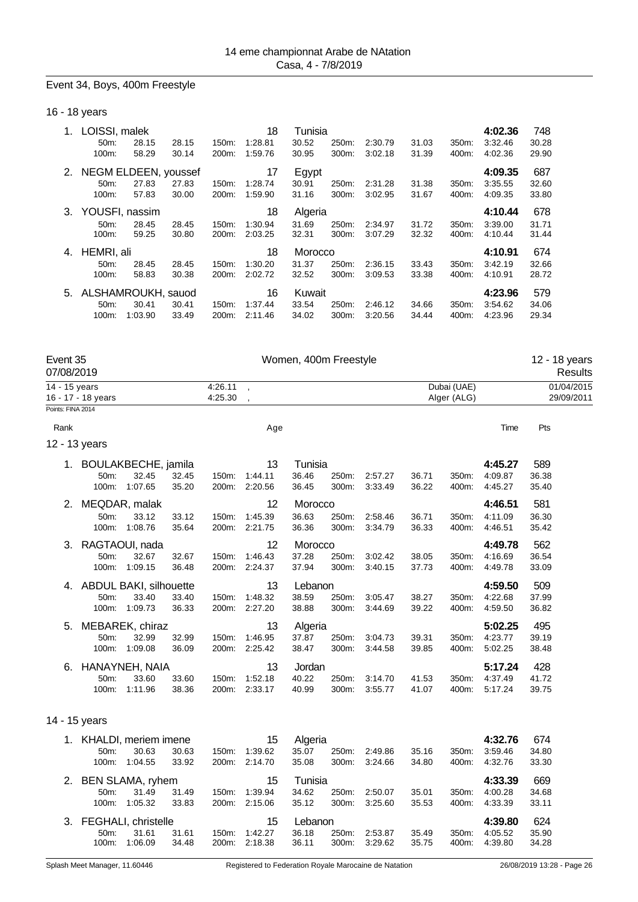#### Event 34, Boys, 400m Freestyle

#### 16 - 18 years

| 1. | LOISSI, malek           |         |       |          | 18      | Tunisia |       |         |       |       | 4:02.36 | 748   |
|----|-------------------------|---------|-------|----------|---------|---------|-------|---------|-------|-------|---------|-------|
|    | 50 <sub>m</sub> :       | 28.15   | 28.15 | 150m:    | 1:28.81 | 30.52   | 250m: | 2:30.79 | 31.03 | 350m: | 3:32.46 | 30.28 |
|    | 100m:                   | 58.29   | 30.14 | 200m:    | 1:59.76 | 30.95   | 300m: | 3:02.18 | 31.39 | 400m: | 4:02.36 | 29.90 |
|    | 2. NEGM ELDEEN, youssef |         |       |          | 17      | Egypt   |       |         |       |       | 4:09.35 | 687   |
|    | 50 <sub>m</sub> :       | 27.83   | 27.83 | 150m:    | 1:28.74 | 30.91   | 250m: | 2:31.28 | 31.38 | 350m: | 3:35.55 | 32.60 |
|    | 100m:                   | 57.83   | 30.00 | 200m:    | 1:59.90 | 31.16   | 300m: | 3:02.95 | 31.67 | 400m: | 4:09.35 | 33.80 |
| 3. | YOUSFI, nassim          |         |       |          | 18      | Algeria |       |         |       |       | 4:10.44 | 678   |
|    | 50 <sub>m</sub> :       | 28.45   | 28.45 | 150m:    | 1:30.94 | 31.69   | 250m: | 2:34.97 | 31.72 | 350m: | 3:39.00 | 31.71 |
|    | 100m:                   | 59.25   | 30.80 | 200m:    | 2:03.25 | 32.31   | 300m: | 3:07.29 | 32.32 | 400m: | 4:10.44 | 31.44 |
| 4. | HEMRI, ali              |         |       |          | 18      | Morocco |       |         |       |       | 4:10.91 | 674   |
|    | $50m$ :                 | 28.45   | 28.45 | $150m$ : | 1:30.20 | 31.37   | 250m: | 2:36.15 | 33.43 | 350m: | 3:42.19 | 32.66 |
|    | 100m:                   | 58.83   | 30.38 | 200m:    | 2:02.72 | 32.52   | 300m: | 3:09.53 | 33.38 | 400m: | 4:10.91 | 28.72 |
|    | 5. ALSHAMROUKH, sauod   |         |       |          | 16      | Kuwait  |       |         |       |       | 4:23.96 | 579   |
|    | 50 <sub>m</sub> :       | 30.41   | 30.41 | 150m:    | 1:37.44 | 33.54   | 250m: | 2:46.12 | 34.66 | 350m: | 3:54.62 | 34.06 |
|    | 100m:                   | 1:03.90 | 33.49 | 200m:    | 2:11.46 | 34.02   | 300m: | 3.20.56 | 34.44 | 400m: | 4:23.96 | 29.34 |

| Event 35<br>07/08/2019 |                    |                                            |                | Women, 400m Freestyle |                          |                           |                |                    |                | 12 - 18 years<br><b>Results</b> |                               |                          |  |
|------------------------|--------------------|--------------------------------------------|----------------|-----------------------|--------------------------|---------------------------|----------------|--------------------|----------------|---------------------------------|-------------------------------|--------------------------|--|
| 14 - 15 years          | 16 - 17 - 18 years |                                            |                | 4:26.11<br>4:25.30    | $\overline{\phantom{a}}$ |                           |                |                    |                | Dubai (UAE)<br>Alger (ALG)      |                               | 01/04/2015<br>29/09/2011 |  |
| Points: FINA 2014      |                    |                                            |                |                       |                          |                           |                |                    |                |                                 |                               |                          |  |
| Rank                   |                    |                                            |                |                       | Age                      |                           |                |                    |                |                                 | Time                          | Pts                      |  |
|                        | 12 - 13 years      |                                            |                |                       |                          |                           |                |                    |                |                                 |                               |                          |  |
| 1.                     | 50m:<br>100m:      | BOULAKBECHE, jamila<br>32.45<br>1:07.65    | 32.45<br>35.20 | 150m:<br>200m:        | 13<br>1:44.11<br>2:20.56 | Tunisia<br>36.46<br>36.45 | 250m:<br>300m: | 2:57.27<br>3:33.49 | 36.71<br>36.22 | 350m:<br>400m:                  | 4:45.27<br>4:09.87<br>4:45.27 | 589<br>36.38<br>35.40    |  |
| 2.                     | 50m:<br>100m:      | MEQDAR, malak<br>33.12<br>1:08.76          | 33.12<br>35.64 | 150m:<br>200m:        | 12<br>1:45.39<br>2:21.75 | Morocco<br>36.63<br>36.36 | 250m:<br>300m: | 2:58.46<br>3:34.79 | 36.71<br>36.33 | 350m:<br>400m:                  | 4:46.51<br>4:11.09<br>4:46.51 | 581<br>36.30<br>35.42    |  |
| 3.                     | 50m:<br>100m:      | RAGTAOUI, nada<br>32.67<br>1:09.15         | 32.67<br>36.48 | 150m:<br>200m:        | 12<br>1:46.43<br>2:24.37 | Morocco<br>37.28<br>37.94 | 250m:<br>300m: | 3:02.42<br>3:40.15 | 38.05<br>37.73 | 350m:<br>400m:                  | 4:49.78<br>4:16.69<br>4:49.78 | 562<br>36.54<br>33.09    |  |
| 4.                     | 50m:<br>100m:      | ABDUL BAKI, silhouette<br>33.40<br>1:09.73 | 33.40<br>36.33 | 150m:<br>200m:        | 13<br>1:48.32<br>2:27.20 | Lebanon<br>38.59<br>38.88 | 250m:<br>300m: | 3:05.47<br>3:44.69 | 38.27<br>39.22 | 350m:<br>400m:                  | 4:59.50<br>4:22.68<br>4:59.50 | 509<br>37.99<br>36.82    |  |
| 5.                     | 50m:<br>100m:      | MEBAREK, chiraz<br>32.99<br>1:09.08        | 32.99<br>36.09 | 150m:<br>200m:        | 13<br>1:46.95<br>2:25.42 | Algeria<br>37.87<br>38.47 | 250m:<br>300m: | 3:04.73<br>3:44.58 | 39.31<br>39.85 | 350m:<br>400m:                  | 5:02.25<br>4:23.77<br>5:02.25 | 495<br>39.19<br>38.48    |  |
| 6.                     | 50m:<br>100m:      | HANAYNEH, NAIA<br>33.60<br>1:11.96         | 33.60<br>38.36 | 150m:<br>200m:        | 13<br>1:52.18<br>2:33.17 | Jordan<br>40.22<br>40.99  | 250m:<br>300m: | 3:14.70<br>3:55.77 | 41.53<br>41.07 | 350m:<br>400m:                  | 5:17.24<br>4:37.49<br>5:17.24 | 428<br>41.72<br>39.75    |  |
|                        | 14 - 15 years      |                                            |                |                       |                          |                           |                |                    |                |                                 |                               |                          |  |
| 1.                     | 50m:<br>100m:      | KHALDI, meriem imene<br>30.63<br>1:04.55   | 30.63<br>33.92 | 150m:<br>200m:        | 15<br>1:39.62<br>2:14.70 | Algeria<br>35.07<br>35.08 | 250m:<br>300m: | 2:49.86<br>3:24.66 | 35.16<br>34.80 | 350m:<br>400m:                  | 4:32.76<br>3:59.46<br>4:32.76 | 674<br>34.80<br>33.30    |  |

| 2. BEN SLAMA, ryhem    |               |       |       | 15            | Tunisia |       |               |       |       | 4:33.39       | 669     |
|------------------------|---------------|-------|-------|---------------|---------|-------|---------------|-------|-------|---------------|---------|
| 50m                    | 31.49         | 31.49 | 150m: | 1:39.94       | 34.62   | 250m: | 2:50.07       | 35.01 | 350m: | 4:00.28       | 34.68   |
|                        | 100m: 1:05.32 | 33.83 |       | 200m: 2:15.06 | 35.12   |       | 300m: 3:25.60 | 35.53 |       | 400m: 4:33.39 | - 33.11 |
|                        |               |       |       |               |         |       |               |       |       |               |         |
| 3. FEGHALI, christelle |               |       |       | 15            | Lebanon |       |               |       |       | 4:39.80       | 624     |
| 50m                    | 31.61         | 31.61 | 150m: | 1:42.27       | 36.18   | 250m: | 2:53.87       | 35.49 | 350m: | 4:05.52       | 35.90   |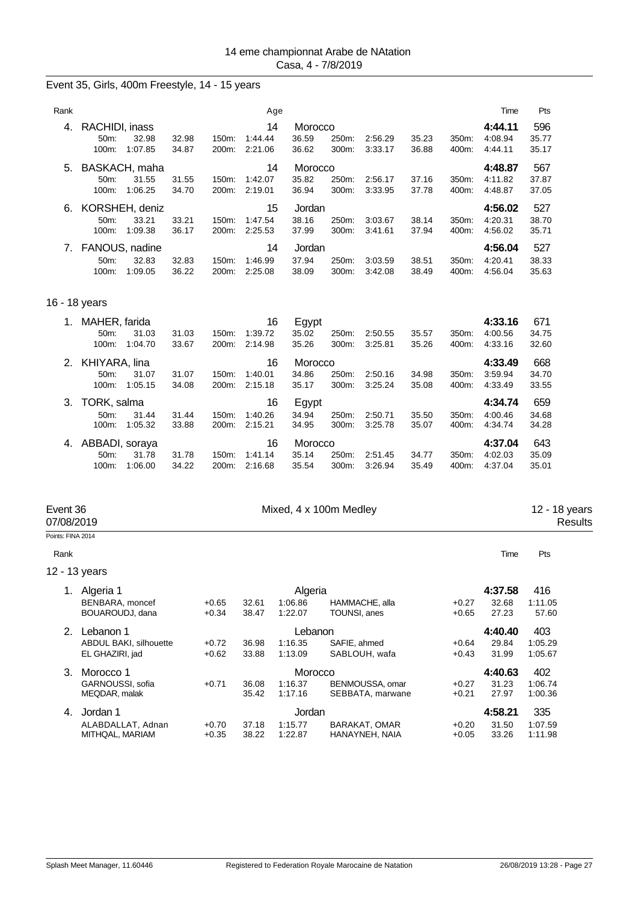## Event 35, Girls, 400m Freestyle, 14 - 15 years

| Rank |                                            |                                    |                |                                | Age                      |                           |                |                    |                |                | Time                          | Pts                   |
|------|--------------------------------------------|------------------------------------|----------------|--------------------------------|--------------------------|---------------------------|----------------|--------------------|----------------|----------------|-------------------------------|-----------------------|
| 4.   | RACHIDI, inass<br>$50m$ :<br>100m:         | 32.98<br>1:07.85                   | 32.98<br>34.87 | 150m:<br>200m:                 | 14<br>1:44.44<br>2:21.06 | Morocco<br>36.59<br>36.62 | 250m:<br>300m: | 2:56.29<br>3:33.17 | 35.23<br>36.88 | 350m:<br>400m: | 4:44.11<br>4:08.94<br>4:44.11 | 596<br>35.77<br>35.17 |
| 5.   | $50m$ :<br>$100m$ :                        | BASKACH, maha<br>31.55<br>1:06.25  | 31.55<br>34.70 | $150m$ :<br>200m:              | 14<br>1:42.07<br>2:19.01 | Morocco<br>35.82<br>36.94 | 250m:<br>300m: | 2:56.17<br>3:33.95 | 37.16<br>37.78 | 350m:<br>400m: | 4:48.87<br>4:11.82<br>4:48.87 | 567<br>37.87<br>37.05 |
| 6.   | $50m$ :<br>100m:                           | KORSHEH, deniz<br>33.21<br>1:09.38 | 33.21<br>36.17 | $150m$ :<br>200 <sub>m</sub> : | 15<br>1:47.54<br>2:25.53 | Jordan<br>38.16<br>37.99  | 250m:<br>300m: | 3:03.67<br>3:41.61 | 38.14<br>37.94 | 350m:<br>400m: | 4:56.02<br>4:20.31<br>4:56.02 | 527<br>38.70<br>35.71 |
| 7.   | FANOUS, nadine<br>50 <sub>m</sub><br>100m: | 32.83<br>1:09.05                   | 32.83<br>36.22 | 150m:<br>200m:                 | 14<br>1:46.99<br>2:25.08 | Jordan<br>37.94<br>38.09  | 250m:<br>300m: | 3:03.59<br>3:42.08 | 38.51<br>38.49 | 350m:<br>400m: | 4:56.04<br>4:20.41<br>4:56.04 | 527<br>38.33<br>35.63 |

## 16 - 18 years

| 1. | MAHER, farida       |       |          | 16      | Egypt   |          |         |       |       | 4:33.16 | 671   |
|----|---------------------|-------|----------|---------|---------|----------|---------|-------|-------|---------|-------|
|    | $50m$ :<br>31.03    | 31.03 | $150m$ : | 1:39.72 | 35.02   | 250m:    | 2:50.55 | 35.57 | 350m: | 4:00.56 | 34.75 |
|    | 100m:<br>1:04.70    | 33.67 | 200m:    | 2:14.98 | 35.26   | $300m$ : | 3:25.81 | 35.26 | 400m: | 4:33.16 | 32.60 |
|    | 2. KHIYARA, lina    |       |          | 16      | Morocco |          |         |       |       | 4:33.49 | 668   |
|    | $50m$ :<br>31.07    | 31.07 | $150m$ : | 1:40.01 | 34.86   | 250m:    | 2:50.16 | 34.98 | 350m: | 3:59.94 | 34.70 |
|    | 100m:<br>1:05.15    | 34.08 | 200m:    | 2:15.18 | 35.17   | 300m:    | 3:25.24 | 35.08 | 400m: | 4:33.49 | 33.55 |
|    |                     |       |          |         |         |          |         |       |       |         |       |
| 3. | TORK, salma         |       |          | 16      | Egypt   |          |         |       |       | 4:34.74 | 659   |
|    | 50m:<br>31.44       | 31.44 | 150m:    | 1:40.26 | 34.94   | 250m:    | 2:50.71 | 35.50 | 350m: | 4:00.46 | 34.68 |
|    | 1:05.32<br>$100m$ : | 33.88 | 200m:    | 2:15.21 | 34.95   | $300m$ : | 3:25.78 | 35.07 | 400m: | 4:34.74 | 34.28 |
| 4. | ABBADI, soraya      |       |          | 16      | Morocco |          |         |       |       | 4:37.04 | 643   |
|    | $50m$ :<br>31.78    | 31.78 | $150m$ : | 1:41.14 | 35.14   | 250m:    | 2:51.45 | 34.77 | 350m: | 4:02.03 | 35.09 |

## Event 36 **Event 36** Mixed, 4 x 100m Medley 12 - 18 years<br>O7/08/2019 Results

07/08/2019 Results

Points: FINA 2014

#### Rank **Time Pts**

12 - 13 years

|    | Algeria 1                     |         |       | Algeria |                  |         | 4:37.58 | 416     |
|----|-------------------------------|---------|-------|---------|------------------|---------|---------|---------|
|    | BENBARA, moncef               | $+0.65$ | 32.61 | 1:06.86 | HAMMACHE, alla   | $+0.27$ | 32.68   | 1:11.05 |
|    | BOUAROUDJ, dana               | $+0.34$ | 38.47 | 1:22.07 | TOUNSI, anes     | $+0.65$ | 27.23   | 57.60   |
| 2. | Lebanon 1                     |         |       | Lebanon |                  |         | 4:40.40 | 403     |
|    | <b>ABDUL BAKI, silhouette</b> | $+0.72$ | 36.98 | 1:16.35 | SAFIE, ahmed     | $+0.64$ | 29.84   | 1:05.29 |
|    | EL GHAZIRI, jad               | $+0.62$ | 33.88 | 1:13.09 | SABLOUH, wafa    | $+0.43$ | 31.99   | 1:05.67 |
| 3. | Morocco 1                     |         |       | Morocco |                  |         | 4:40.63 | 402     |
|    | GARNOUSSI, sofia              | $+0.71$ | 36.08 | 1:16.37 | BENMOUSSA, omar  | $+0.27$ | 31.23   | 1:06.74 |
|    | MEQDAR, malak                 |         | 35.42 | 1:17.16 | SEBBATA, marwane | $+0.21$ | 27.97   | 1:00.36 |
| 4. | Jordan 1                      |         |       | Jordan  |                  |         | 4:58.21 | 335     |
|    | ALABDALLAT, Adnan             | $+0.70$ | 37.18 | 1:15.77 | BARAKAT, OMAR    | $+0.20$ | 31.50   | 1:07.59 |
|    | MITHQAL, MARIAM               | $+0.35$ | 38.22 | 1:22.87 | HANAYNEH, NAIA   | $+0.05$ | 33.26   | 1:11.98 |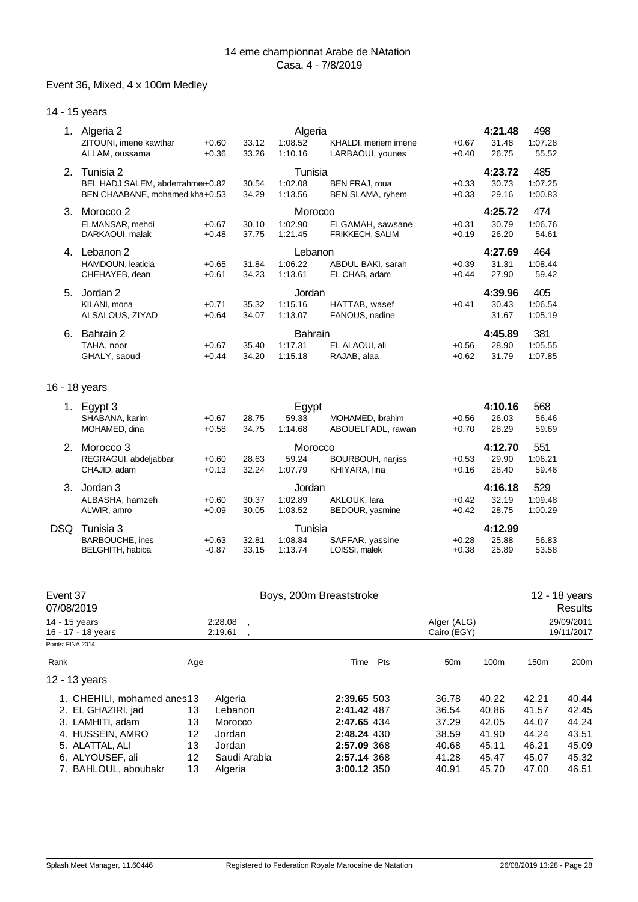#### Event 36, Mixed, 4 x 100m Medley

| 1. | Algeria 2<br>ZITOUNI, imene kawthar | $+0.60$ | 33.12 | Algeria<br>1:08.52 | KHALDI, meriem imene     | $+0.67$ | 4:21.48<br>31.48 | 498<br>1:07.28 |
|----|-------------------------------------|---------|-------|--------------------|--------------------------|---------|------------------|----------------|
|    | ALLAM, oussama                      | $+0.36$ | 33.26 | 1:10.16            | LARBAOUI, younes         | $+0.40$ | 26.75            | 55.52          |
| 2. | Tunisia 2                           |         |       | Tunisia            |                          |         | 4:23.72          | 485            |
|    | BEL HADJ SALEM, abderrahme+0.82     |         | 30.54 | 1:02.08            | <b>BEN FRAJ, roua</b>    | $+0.33$ | 30.73            | 1:07.25        |
|    | BEN CHAABANE, mohamed kha+0.53      |         | 34.29 | 1:13.56            | BEN SLAMA, ryhem         | $+0.33$ | 29.16            | 1:00.83        |
| 3. | Morocco 2                           |         |       | Morocco            |                          |         | 4:25.72          | 474            |
|    | ELMANSAR, mehdi                     | $+0.67$ | 30.10 | 1:02.90            | ELGAMAH, sawsane         | $+0.31$ | 30.79            | 1:06.76        |
|    | DARKAOUI, malak                     | $+0.48$ | 37.75 | 1:21.45            | <b>FRIKKECH, SALIM</b>   | $+0.19$ | 26.20            | 54.61          |
| 4. | Lebanon 2                           |         |       | Lebanon            |                          |         | 4:27.69          | 464            |
|    | HAMDOUN, leaticia                   | $+0.65$ | 31.84 | 1:06.22            | ABDUL BAKI, sarah        | $+0.39$ | 31.31            | 1:08.44        |
|    | CHEHAYEB, dean                      | $+0.61$ | 34.23 | 1:13.61            | EL CHAB, adam            | $+0.44$ | 27.90            | 59.42          |
| 5. | Jordan 2                            |         |       | Jordan             |                          |         | 4:39.96          | 405            |
|    | KILANI, mona                        | $+0.71$ | 35.32 | 1:15.16            | HATTAB, wasef            | $+0.41$ | 30.43            | 1:06.54        |
|    | ALSALOUS, ZIYAD                     | $+0.64$ | 34.07 | 1:13.07            | FANOUS, nadine           |         | 31.67            | 1:05.19        |
| 6. | Bahrain 2                           |         |       | <b>Bahrain</b>     |                          |         | 4:45.89          | 381            |
|    | TAHA, noor                          | $+0.67$ | 35.40 | 1:17.31            | EL ALAOUI, ali           | $+0.56$ | 28.90            | 1:05.55        |
|    | GHALY, saoud                        | $+0.44$ | 34.20 | 1:15.18            | RAJAB, alaa              | $+0.62$ | 31.79            | 1:07.85        |
|    |                                     |         |       |                    |                          |         |                  |                |
|    | 16 - 18 years                       |         |       |                    |                          |         |                  |                |
|    | 1. Egypt 3                          |         |       | Egypt              |                          |         | 4:10.16          | 568            |
|    | SHABANA, karim                      | $+0.67$ | 28.75 | 59.33              | MOHAMED, ibrahim         | $+0.56$ | 26.03            | 56.46          |
|    | MOHAMED, dina                       | $+0.58$ | 34.75 | 1:14.68            | ABOUELFADL, rawan        | $+0.70$ | 28.29            | 59.69          |
| 2. | Morocco <sub>3</sub>                |         |       | Morocco            |                          |         | 4:12.70          | 551            |
|    | REGRAGUI, abdeljabbar               | $+0.60$ | 28.63 | 59.24              | <b>BOURBOUH, narjiss</b> | $+0.53$ | 29.90            | 1:06.21        |
|    | CHAJID, adam                        | $+0.13$ | 32.24 | 1:07.79            | KHIYARA, lina            | $+0.16$ | 28.40            | 59.46          |
| 3. | Jordan 3                            |         |       | Jordan             |                          |         | 4:16.18          | 529            |
|    | ALRASHA hamzeh                      | $+0.60$ | 30 37 | 1.02.89            | $\Delta$ KI OI IK Jara   | $+0.42$ | 32.10            | 1.09A          |

|      | ALDASHA, HAHIZEH<br>ALWIR, amro                  | +v.ov<br>$+0.09$   | 30.37<br>30.05 | 1.UZ.OY<br>1:03.52            | ANLUUN. Idid<br>BEDOUR, yasmine  | +0.42<br>$+0.42$   | 32. IY<br>28.75           | I .UY.40<br>1:00.29 |
|------|--------------------------------------------------|--------------------|----------------|-------------------------------|----------------------------------|--------------------|---------------------------|---------------------|
| DSQ. | Tunisia 3<br>BARBOUCHE, ines<br>BELGHITH, habiba | $+0.63$<br>$-0.87$ | 32.81<br>33.15 | Tunisia<br>1:08.84<br>1:13.74 | SAFFAR, yassine<br>LOISSI, malek | $+0.28$<br>$+0.38$ | 4:12.99<br>25.88<br>25.89 | 56.83<br>53.58      |
|      |                                                  |                    |                |                               |                                  |                    |                           |                     |

| Event 37<br>07/08/2019                                                                                                                                  |                                                 | Boys, 200m Breaststroke                                                      |                                                                                                       |                            |                                                             |                                                             | 12 - 18 years<br>Results                                    |                                                             |
|---------------------------------------------------------------------------------------------------------------------------------------------------------|-------------------------------------------------|------------------------------------------------------------------------------|-------------------------------------------------------------------------------------------------------|----------------------------|-------------------------------------------------------------|-------------------------------------------------------------|-------------------------------------------------------------|-------------------------------------------------------------|
| 14 - 15 years<br>16 - 17 - 18 years                                                                                                                     |                                                 | 2:28.08<br>2:19.61                                                           |                                                                                                       | Alger (ALG)<br>Cairo (EGY) |                                                             | 29/09/2011<br>19/11/2017                                    |                                                             |                                                             |
| Points: FINA 2014<br>Rank<br>12 - 13 years                                                                                                              | Age                                             |                                                                              | Time                                                                                                  | <b>Pts</b>                 | 50 <sub>m</sub>                                             | 100m                                                        | 150 <sub>m</sub>                                            | 200m                                                        |
| 1. CHEHILI, mohamed anes13<br>2. EL GHAZIRI, jad<br>3. LAMHITI, adam<br>4. HUSSEIN, AMRO<br>5. ALATTAL, ALI<br>6. ALYOUSEF, ali<br>7. BAHLOUL, aboubakr | 13<br>13<br>12<br>13<br>$12 \overline{ }$<br>13 | Algeria<br>Lebanon<br>Morocco<br>Jordan<br>Jordan<br>Saudi Arabia<br>Algeria | 2:39.65 503<br>2:41.42 487<br>2:47.65 434<br>2:48.24 430<br>2:57.09 368<br>2:57.14 368<br>3:00.12 350 |                            | 36.78<br>36.54<br>37.29<br>38.59<br>40.68<br>41.28<br>40.91 | 40.22<br>40.86<br>42.05<br>41.90<br>45.11<br>45.47<br>45.70 | 42.21<br>41.57<br>44.07<br>44.24<br>46.21<br>45.07<br>47.00 | 40.44<br>42.45<br>44.24<br>43.51<br>45.09<br>45.32<br>46.51 |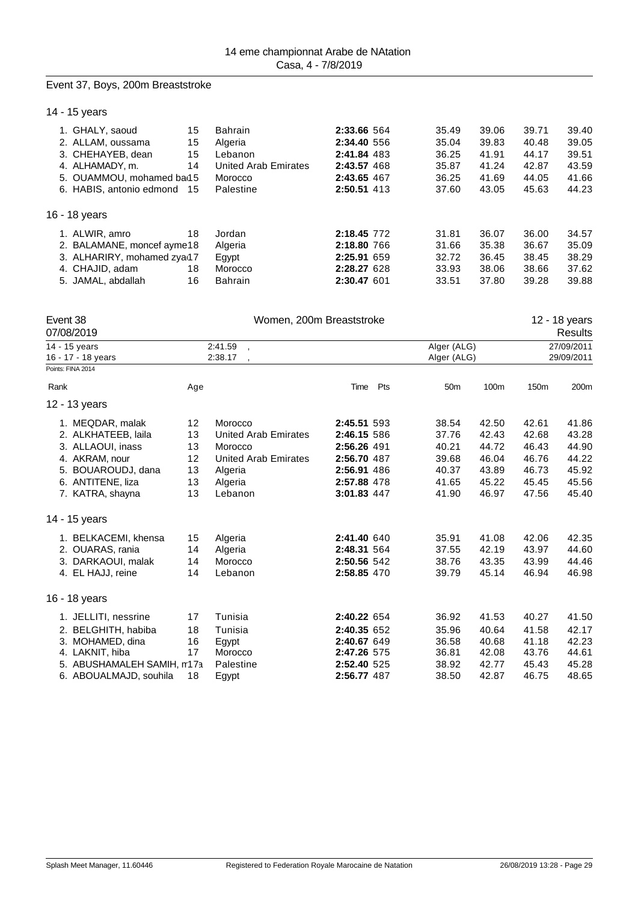## Event 37, Boys, 200m Breaststroke

14 - 15 years

| 1. GHALY, saoud          | 15 | <b>Bahrain</b>                                                                              | 2:33.66 564 | 35.49 | 39.06 | 39.71 | 39.40 |
|--------------------------|----|---------------------------------------------------------------------------------------------|-------------|-------|-------|-------|-------|
| 2. ALLAM, oussama        | 15 | Algeria                                                                                     | 2:34.40 556 | 35.04 | 39.83 | 40.48 | 39.05 |
| 3. CHEHAYEB, dean        | 15 | Lebanon                                                                                     | 2:41.84 483 | 36.25 | 41.91 | 44.17 | 39.51 |
| 4. ALHAMADY, m.          | 14 | <b>United Arab Emirates</b>                                                                 | 2:43.57 468 | 35.87 | 41.24 | 42.87 | 43.59 |
|                          |    | Morocco                                                                                     | 2:43.65 467 | 36.25 | 41.69 | 44.05 | 41.66 |
| 6. HABIS, antonio edmond |    | Palestine                                                                                   | 2:50.51 413 | 37.60 | 43.05 | 45.63 | 44.23 |
| 16 - 18 years            |    |                                                                                             |             |       |       |       |       |
| 1. ALWIR, amro           | 18 | Jordan                                                                                      | 2:18.45 772 | 31.81 | 36.07 | 36.00 | 34.57 |
|                          |    | Algeria                                                                                     | 2:18.80 766 | 31.66 | 35.38 | 36.67 | 35.09 |
|                          |    | Egypt                                                                                       | 2:25.91 659 | 32.72 | 36.45 | 38.45 | 38.29 |
| 4. CHAJID, adam          | 18 | Morocco                                                                                     | 2:28.27 628 | 33.93 | 38.06 | 38.66 | 37.62 |
| 5. JAMAL, abdallah       | 16 | <b>Bahrain</b>                                                                              | 2:30.47 601 | 33.51 | 37.80 | 39.28 | 39.88 |
|                          |    | 5. OUAMMOU, mohamed ba15<br>-15<br>2. BALAMANE, moncef ayme18<br>3. ALHARIRY, mohamed zya17 |             |       |       |       |       |

| Event 38<br>07/08/2019     |     | Women, 200m Breaststroke<br>12 - 18 years<br><b>Results</b> |             |                 |       |            |            |  |  |  |  |
|----------------------------|-----|-------------------------------------------------------------|-------------|-----------------|-------|------------|------------|--|--|--|--|
| 14 - 15 years              |     | 2:41.59                                                     |             | Alger (ALG)     |       |            | 27/09/2011 |  |  |  |  |
| 16 - 17 - 18 years         |     | 2:38.17                                                     |             | Alger (ALG)     |       | 29/09/2011 |            |  |  |  |  |
| Points: FINA 2014          |     |                                                             |             |                 |       |            |            |  |  |  |  |
| Rank                       | Age |                                                             | Time<br>Pts | 50 <sub>m</sub> | 100m  | 150m       | 200m       |  |  |  |  |
| 12 - 13 years              |     |                                                             |             |                 |       |            |            |  |  |  |  |
| 1. MEQDAR, malak           | 12  | Morocco                                                     | 2:45.51 593 | 38.54           | 42.50 | 42.61      | 41.86      |  |  |  |  |
| 2. ALKHATEEB, laila        | 13  | <b>United Arab Emirates</b>                                 | 2:46.15 586 | 37.76           | 42.43 | 42.68      | 43.28      |  |  |  |  |
| 3. ALLAOUI, inass          | 13  | Morocco                                                     | 2:56.26 491 | 40.21           | 44.72 | 46.43      | 44.90      |  |  |  |  |
| 4. AKRAM, nour             | 12  | <b>United Arab Emirates</b>                                 | 2:56.70 487 | 39.68           | 46.04 | 46.76      | 44.22      |  |  |  |  |
| 5. BOUAROUDJ, dana         | 13  | Algeria                                                     | 2:56.91 486 | 40.37           | 43.89 | 46.73      | 45.92      |  |  |  |  |
| 6. ANTITENE, liza          | 13  | Algeria                                                     | 2:57.88 478 | 41.65           | 45.22 | 45.45      | 45.56      |  |  |  |  |
| 7. KATRA, shayna           | 13  | Lebanon                                                     | 3:01.83 447 | 41.90           | 46.97 | 47.56      | 45.40      |  |  |  |  |
| 14 - 15 years              |     |                                                             |             |                 |       |            |            |  |  |  |  |
| 1. BELKACEMI, khensa       | 15  | Algeria                                                     | 2:41.40 640 | 35.91           | 41.08 | 42.06      | 42.35      |  |  |  |  |
| 2. OUARAS, rania           | 14  | Algeria                                                     | 2:48.31 564 | 37.55           | 42.19 | 43.97      | 44.60      |  |  |  |  |
| 3. DARKAOUI, malak         | 14  | Morocco                                                     | 2:50.56 542 | 38.76           | 43.35 | 43.99      | 44.46      |  |  |  |  |
| 4. EL HAJJ, reine          | 14  | Lebanon                                                     | 2:58.85 470 | 39.79           | 45.14 | 46.94      | 46.98      |  |  |  |  |
| 16 - 18 years              |     |                                                             |             |                 |       |            |            |  |  |  |  |
| 1. JELLITI, nessrine       | 17  | Tunisia                                                     | 2:40.22 654 | 36.92           | 41.53 | 40.27      | 41.50      |  |  |  |  |
| 2. BELGHITH, habiba        | 18  | Tunisia                                                     | 2:40.35 652 | 35.96           | 40.64 | 41.58      | 42.17      |  |  |  |  |
| 3. MOHAMED, dina           | 16  | Egypt                                                       | 2:40.67 649 | 36.58           | 40.68 | 41.18      | 42.23      |  |  |  |  |
| 4. LAKNIT, hiba            | 17  | Morocco                                                     | 2:47.26 575 | 36.81           | 42.08 | 43.76      | 44.61      |  |  |  |  |
| 5. ABUSHAMALEH SAMIH, m17a |     | Palestine                                                   | 2:52.40 525 | 38.92           | 42.77 | 45.43      | 45.28      |  |  |  |  |
| 6. ABOUALMAJD, souhila     | 18  | Egypt                                                       | 2:56.77 487 | 38.50           | 42.87 | 46.75      | 48.65      |  |  |  |  |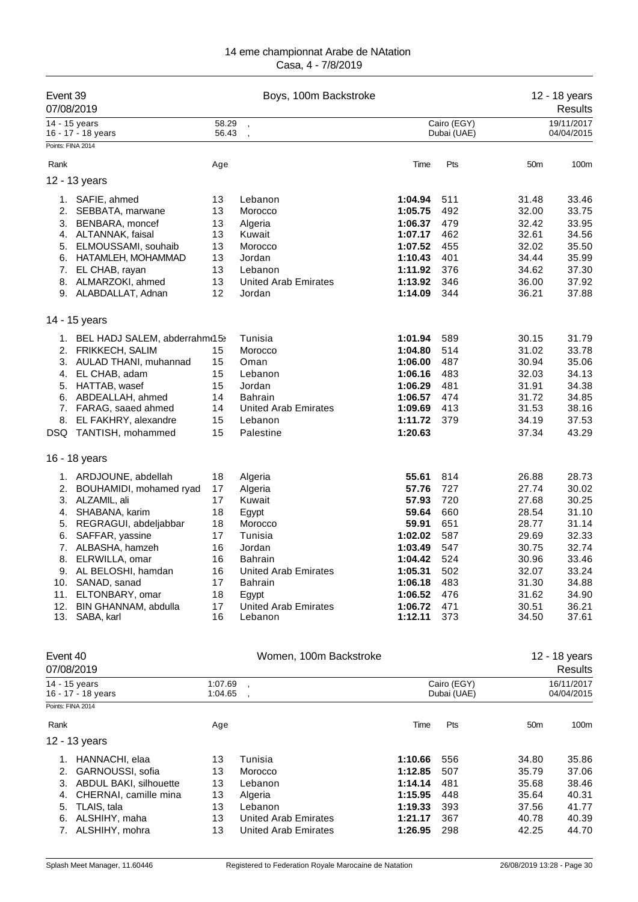| Event 39<br>07/08/2019                 |                                                                                                                                                                                                                                                                                          |                                                                            | Boys, 100m Backstroke                                                                                                                                                                       |                                                                                                                                   | 12 - 18 years<br>Results                                                                |                                                                                                                   |                                                                                                                   |
|----------------------------------------|------------------------------------------------------------------------------------------------------------------------------------------------------------------------------------------------------------------------------------------------------------------------------------------|----------------------------------------------------------------------------|---------------------------------------------------------------------------------------------------------------------------------------------------------------------------------------------|-----------------------------------------------------------------------------------------------------------------------------------|-----------------------------------------------------------------------------------------|-------------------------------------------------------------------------------------------------------------------|-------------------------------------------------------------------------------------------------------------------|
|                                        | 14 - 15 years<br>16 - 17 - 18 years                                                                                                                                                                                                                                                      | 58.29<br>56.43                                                             | $\overline{\phantom{a}}$                                                                                                                                                                    |                                                                                                                                   | Cairo (EGY)<br>Dubai (UAE)                                                              |                                                                                                                   | 19/11/2017<br>04/04/2015                                                                                          |
|                                        | Points: FINA 2014                                                                                                                                                                                                                                                                        |                                                                            |                                                                                                                                                                                             |                                                                                                                                   |                                                                                         |                                                                                                                   |                                                                                                                   |
| Rank                                   |                                                                                                                                                                                                                                                                                          | Age                                                                        |                                                                                                                                                                                             | Time                                                                                                                              | Pts                                                                                     | 50m                                                                                                               | 100m                                                                                                              |
|                                        | 12 - 13 years                                                                                                                                                                                                                                                                            |                                                                            |                                                                                                                                                                                             |                                                                                                                                   |                                                                                         |                                                                                                                   |                                                                                                                   |
| 1.<br>2.<br>3.<br>5.<br>6.<br>7.<br>8. | SAFIE, ahmed<br>SEBBATA, marwane<br>BENBARA, moncef<br>4. ALTANNAK, faisal<br>ELMOUSSAMI, souhaib<br>HATAMLEH, MOHAMMAD<br>EL CHAB, rayan                                                                                                                                                | 13<br>13<br>13<br>13<br>13<br>13<br>13<br>13                               | Lebanon<br>Morocco<br>Algeria<br>Kuwait<br>Morocco<br>Jordan<br>Lebanon<br><b>United Arab Emirates</b>                                                                                      | 1:04.94<br>1:05.75<br>1:06.37<br>1:07.17<br>1:07.52<br>1:10.43<br>1:11.92<br>1:13.92                                              | 511<br>492<br>479<br>462<br>455<br>401<br>376<br>346                                    | 31.48<br>32.00<br>32.42<br>32.61<br>32.02<br>34.44<br>34.62<br>36.00                                              | 33.46<br>33.75<br>33.95<br>34.56<br>35.50<br>35.99<br>37.30<br>37.92                                              |
|                                        | ALMARZOKI, ahmed<br>9. ALABDALLAT, Adnan                                                                                                                                                                                                                                                 | 12                                                                         | Jordan                                                                                                                                                                                      | 1:14.09                                                                                                                           | 344                                                                                     | 36.21                                                                                                             | 37.88                                                                                                             |
|                                        | 14 - 15 years                                                                                                                                                                                                                                                                            |                                                                            |                                                                                                                                                                                             |                                                                                                                                   |                                                                                         |                                                                                                                   |                                                                                                                   |
| 4.<br>5.<br>6.<br>7.<br>8.<br>DSQ.     | 1. BEL HADJ SALEM, abderrahm(15)<br>2. FRIKKECH, SALIM<br>3. AULAD THANI, muhannad<br>EL CHAB, adam<br>HATTAB, wasef<br>ABDEALLAH, ahmed<br>FARAG, saaed ahmed<br>EL FAKHRY, alexandre<br>TANTISH, mohammed                                                                              | 15<br>15<br>15<br>15<br>14<br>14<br>15<br>15                               | Tunisia<br>Morocco<br>Oman<br>Lebanon<br>Jordan<br><b>Bahrain</b><br><b>United Arab Emirates</b><br>Lebanon<br>Palestine                                                                    | 1:01.94<br>1:04.80<br>1:06.00<br>1:06.16<br>1:06.29<br>1:06.57<br>1:09.69<br>1:11.72<br>1:20.63                                   | 589<br>514<br>487<br>483<br>481<br>474<br>413<br>379                                    | 30.15<br>31.02<br>30.94<br>32.03<br>31.91<br>31.72<br>31.53<br>34.19<br>37.34                                     | 31.79<br>33.78<br>35.06<br>34.13<br>34.38<br>34.85<br>38.16<br>37.53<br>43.29                                     |
|                                        | 16 - 18 years                                                                                                                                                                                                                                                                            |                                                                            |                                                                                                                                                                                             |                                                                                                                                   |                                                                                         |                                                                                                                   |                                                                                                                   |
| 2.<br>3.<br>4.<br>5.<br>6.<br>8.       | 1. ARDJOUNE, abdellah<br>BOUHAMIDI, mohamed ryad<br>ALZAMIL, ali<br>SHABANA, karim<br>REGRAGUI, abdeljabbar<br>SAFFAR, yassine<br>7. ALBASHA, hamzeh<br>ELRWILLA, omar<br>9. AL BELOSHI, hamdan<br>10. SANAD, sanad<br>11. ELTONBARY, omar<br>12. BIN GHANNAM, abdulla<br>13. SABA, karl | 18<br>17<br>17<br>18<br>18<br>17<br>16<br>16<br>16<br>17<br>18<br>17<br>16 | Algeria<br>Algeria<br>Kuwait<br>Egypt<br>Morocco<br>Tunisia<br>Jordan<br><b>Bahrain</b><br><b>United Arab Emirates</b><br><b>Bahrain</b><br>Egypt<br><b>United Arab Emirates</b><br>Lebanon | 55.61<br>57.76<br>57.93<br>59.64<br>59.91<br>1:02.02<br>1:03.49<br>1:04.42<br>1:05.31<br>1:06.18<br>1:06.52<br>1:06.72<br>1:12.11 | 814<br>727<br>720<br>660<br>651<br>587<br>547<br>524<br>502<br>483<br>476<br>471<br>373 | 26.88<br>27.74<br>27.68<br>28.54<br>28.77<br>29.69<br>30.75<br>30.96<br>32.07<br>31.30<br>31.62<br>30.51<br>34.50 | 28.73<br>30.02<br>30.25<br>31.10<br>31.14<br>32.33<br>32.74<br>33.46<br>33.24<br>34.88<br>34.90<br>36.21<br>37.61 |
| Event 40                               | 07/08/2019                                                                                                                                                                                                                                                                               |                                                                            | Women, 100m Backstroke                                                                                                                                                                      |                                                                                                                                   |                                                                                         |                                                                                                                   | 12 - 18 years<br><b>Results</b>                                                                                   |
|                                        | 14 - 15 years<br>16 - 17 - 18 years<br>Points: FINA 2014                                                                                                                                                                                                                                 | 1:07.69<br>1:04.65                                                         |                                                                                                                                                                                             |                                                                                                                                   | Cairo (EGY)<br>Dubai (UAE)                                                              |                                                                                                                   | 16/11/2017<br>04/04/2015                                                                                          |
| Rank                                   |                                                                                                                                                                                                                                                                                          | Age                                                                        |                                                                                                                                                                                             | Time                                                                                                                              | Pts                                                                                     | 50m                                                                                                               | 100m                                                                                                              |

12 - 13 years

| <u> 2 - 13 vears</u> |                                                                                                                                                              |                      |  |                                                                                                         |       |
|----------------------|--------------------------------------------------------------------------------------------------------------------------------------------------------------|----------------------|--|---------------------------------------------------------------------------------------------------------|-------|
|                      | 13                                                                                                                                                           | Tunisia              |  | 34.80                                                                                                   | 35.86 |
|                      | 13                                                                                                                                                           | Morocco              |  | 35.79                                                                                                   | 37.06 |
|                      | 13                                                                                                                                                           | Lebanon              |  | 35.68                                                                                                   | 38.46 |
|                      | 13                                                                                                                                                           | Algeria              |  | 35.64                                                                                                   | 40.31 |
|                      | 13                                                                                                                                                           | Lebanon              |  | 37.56                                                                                                   | 41.77 |
|                      | 13                                                                                                                                                           | United Arab Emirates |  | 40.78                                                                                                   | 40.39 |
|                      | 13                                                                                                                                                           | United Arab Emirates |  | 42.25                                                                                                   | 44.70 |
|                      | 1. HANNACHI, elaa<br>2. GARNOUSSI, sofia<br>3. ABDUL BAKI, silhouette<br>4. CHERNAI, camille mina<br>5. TLAIS, tala<br>6. ALSHIHY, maha<br>7. ALSHIHY, mohra |                      |  | 1:10.66 556<br>1:12.85 507<br>1:14.14 481<br>1:15.95 448<br>$1:19.33$ 393<br>1:21.17 367<br>1:26.95 298 |       |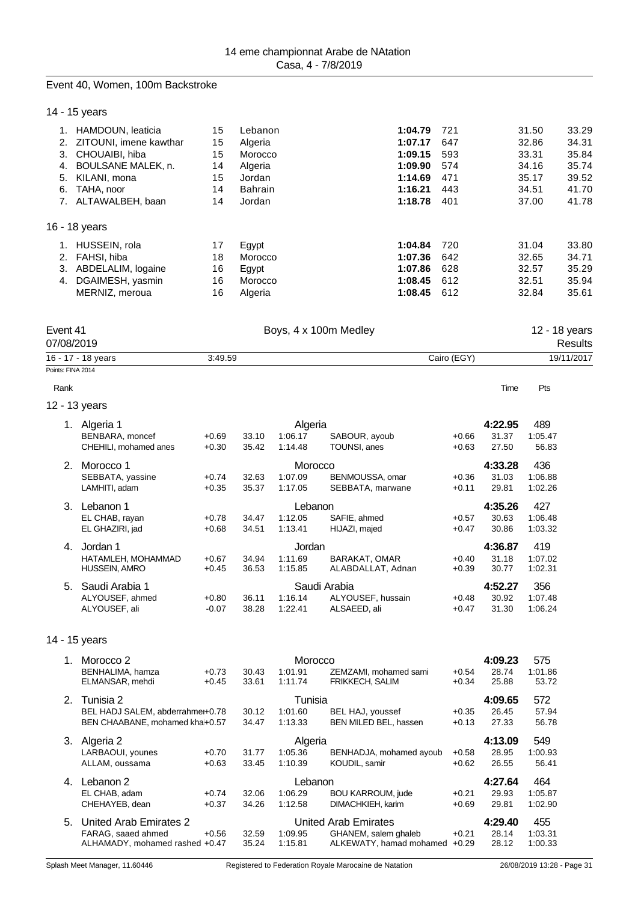#### Event 40, Women, 100m Backstroke

| 14 - 15 years |  |
|---------------|--|
|---------------|--|

|    | HAMDOUN, leaticia      | 15 | Lebanon        | 1:04.79 | 721 | 31.50 | 33.29 |
|----|------------------------|----|----------------|---------|-----|-------|-------|
| 2. | ZITOUNI, imene kawthar | 15 | Algeria        | 1:07.17 | 647 | 32.86 | 34.31 |
| 3. | CHOUAIBI, hiba         | 15 | Morocco        | 1:09.15 | 593 | 33.31 | 35.84 |
| 4. | BOULSANE MALEK, n.     | 14 | Algeria        | 1:09.90 | 574 | 34.16 | 35.74 |
| 5. | KILANI, mona           | 15 | Jordan         | 1:14.69 | 471 | 35.17 | 39.52 |
| 6. | TAHA, noor             | 14 | <b>Bahrain</b> | 1:16.21 | 443 | 34.51 | 41.70 |
|    | ALTAWALBEH, baan       | 14 | Jordan         | 1:18.78 | 401 | 37.00 | 41.78 |
|    | 16 - 18 years          |    |                |         |     |       |       |
|    | HUSSEIN, rola          | 17 | Egypt          | 1:04.84 | 720 | 31.04 | 33.80 |
| 2. | FAHSI, hiba            | 18 | Morocco        | 1:07.36 | 642 | 32.65 | 34.71 |
| 3. | ABDELALIM, logaine     | 16 | Egypt          | 1:07.86 | 628 | 32.57 | 35.29 |
| 4. | DGAIMESH, yasmin       | 16 | Morocco        | 1:08.45 | 612 | 32.51 | 35.94 |
|    | MERNIZ, meroua         | 16 | Algeria        | 1:08.45 | 612 | 32.84 | 35.61 |

| Event 41<br>07/08/2019 |         | Boys, 4 x 100m Medley |             | 12 - 18 years<br>Results |  |
|------------------------|---------|-----------------------|-------------|--------------------------|--|
| 16 - 17 - 18 years     | 3:49.59 |                       | Cairo (EGY) | 19/11/2017               |  |
| Points: FINA 2014      |         |                       |             |                          |  |
| Rank                   |         |                       | Time        | Pts                      |  |
| 12 - 13 years          |         |                       |             |                          |  |

|    | Algeria 1             | 4:22.95<br>Algeria |       |         |                   |         |         | 489     |
|----|-----------------------|--------------------|-------|---------|-------------------|---------|---------|---------|
|    | BENBARA, moncef       | $+0.69$            | 33.10 | 1:06.17 | SABOUR, ayoub     | $+0.66$ | 31.37   | 1:05.47 |
|    | CHEHILI. mohamed anes | $+0.30$            | 35.42 | 1:14.48 | TOUNSI, anes      | $+0.63$ | 27.50   | 56.83   |
| 2. | Morocco 1             |                    |       | Morocco |                   |         | 4:33.28 | 436     |
|    | SEBBATA, yassine      | $+0.74$            | 32.63 | 1:07.09 | BENMOUSSA, omar   | $+0.36$ | 31.03   | 1:06.88 |
|    | LAMHITI, adam         | $+0.35$            | 35.37 | 1:17.05 | SEBBATA, marwane  | $+0.11$ | 29.81   | 1:02.26 |
| 3. | Lebanon 1             |                    |       | Lebanon |                   |         | 4:35.26 | 427     |
|    | EL CHAB, rayan        | $+0.78$            | 34.47 | 1:12.05 | SAFIE, ahmed      | $+0.57$ | 30.63   | 1:06.48 |
|    | EL GHAZIRI, jad       | $+0.68$            | 34.51 | 1:13.41 | HIJAZI, majed     | $+0.47$ | 30.86   | 1:03.32 |
| 4. | Jordan 1              |                    |       | Jordan  |                   |         | 4:36.87 | 419     |
|    | HATAMLEH, MOHAMMAD    | $+0.67$            | 34.94 | 1:11.69 | BARAKAT, OMAR     | $+0.40$ | 31.18   | 1:07.02 |
|    | HUSSEIN, AMRO         | $+0.45$            | 36.53 | 1:15.85 | ALABDALLAT, Adnan | $+0.39$ | 30.77   | 1:02.31 |
| 5. | Saudi Arabia 1        |                    |       |         | Saudi Arabia      |         | 4:52.27 | 356     |
|    | ALYOUSEF, ahmed       | $+0.80$            | 36.11 | 1:16.14 | ALYOUSEF, hussain | $+0.48$ | 30.92   | 1:07.48 |
|    | ALYOUSEF, ali         | $-0.07$            | 38.28 | 1:22.41 | ALSAEED, ali      | $+0.47$ | 31.30   | 1:06.24 |
|    |                       |                    |       |         |                   |         |         |         |

14 - 15 years

|    | Morocco 2                           |                    |                |                    | 4:09.23                                         | 575                |                |                  |
|----|-------------------------------------|--------------------|----------------|--------------------|-------------------------------------------------|--------------------|----------------|------------------|
|    | BENHALIMA, hamza<br>ELMANSAR, mehdi | $+0.73$<br>$+0.45$ | 30.43<br>33.61 | 1:01.91<br>1:11.74 | ZEMZAMI, mohamed sami<br><b>FRIKKECH, SALIM</b> | $+0.54$<br>$+0.34$ | 28.74<br>25.88 | 1:01.86<br>53.72 |
| 2. | Tunisia 2                           |                    |                | Tunisia            |                                                 |                    | 4:09.65        | 572              |
|    | BEL HADJ SALEM, abderrahme+0.78     |                    | 30.12          | 1:01.60            | BEL HAJ, youssef                                | $+0.35$            | 26.45          | 57.94            |
|    | BEN CHAABANE, mohamed kha+0.57      |                    | 34.47          | 1:13.33            | BEN MILED BEL, hassen                           | $+0.13$            | 27.33          | 56.78            |
| 3. | Algeria 2                           |                    | Algeria        |                    |                                                 |                    | 4:13.09        | 549              |
|    | LARBAOUI, younes                    | $+0.70$            | 31.77          | 1:05.36            | BENHADJA, mohamed ayoub                         | $+0.58$            | 28.95          | 1:00.93          |
|    | ALLAM, oussama                      | $+0.63$            | 33.45          | 1:10.39            | KOUDIL, samir                                   | $+0.62$            | 26.55          | 56.41            |
| 4. | Lebanon 2                           |                    |                | Lebanon            |                                                 |                    | 4:27.64        | 464              |
|    | EL CHAB, adam                       | $+0.74$            | 32.06          | 1:06.29            | <b>BOU KARROUM, jude</b>                        | $+0.21$            | 29.93          | 1:05.87          |
|    | CHEHAYEB, dean                      | $+0.37$            | 34.26          | 1:12.58            | DIMACHKIEH, karim                               | $+0.69$            | 29.81          | 1:02.90          |
| 5. | United Arab Emirates 2              |                    |                |                    | United Arab Emirates                            |                    | 4:29.40        | 455              |
|    | FARAG, saaed ahmed                  | $+0.56$            | 32.59          | 1:09.95            | GHANEM, salem ghaleb                            | $+0.21$            | 28.14          | 1:03.31          |
|    | ALHAMADY, mohamed rashed +0.47      |                    | 35.24          | 1:15.81            | ALKEWATY, hamad mohamed                         | $+0.29$            | 28.12          | 1:00.33          |